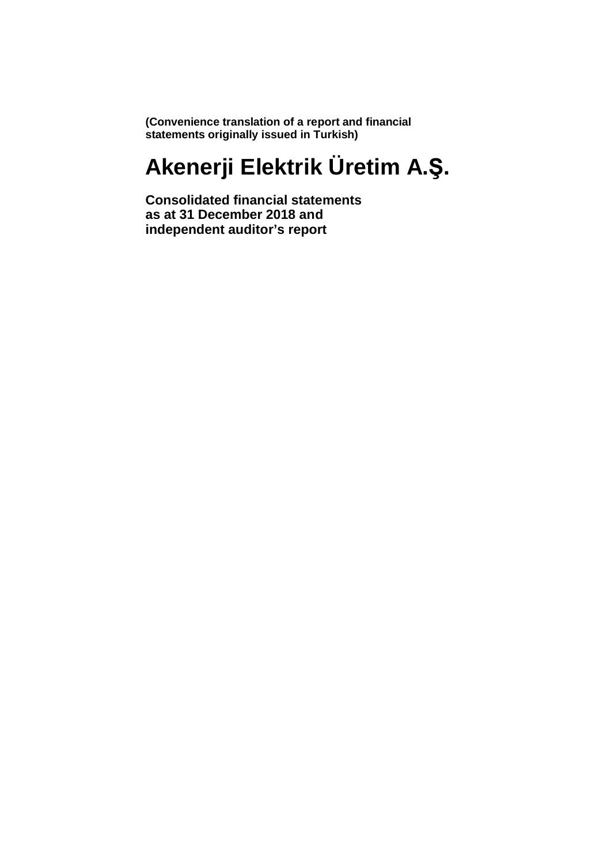**(Convenience translation of a report and financial statements originally issued in Turkish)**

# **Akenerji Elektrik Üretim A.Ş.**

**Consolidated financial statements as at 31 December 2018 and independent auditor's report**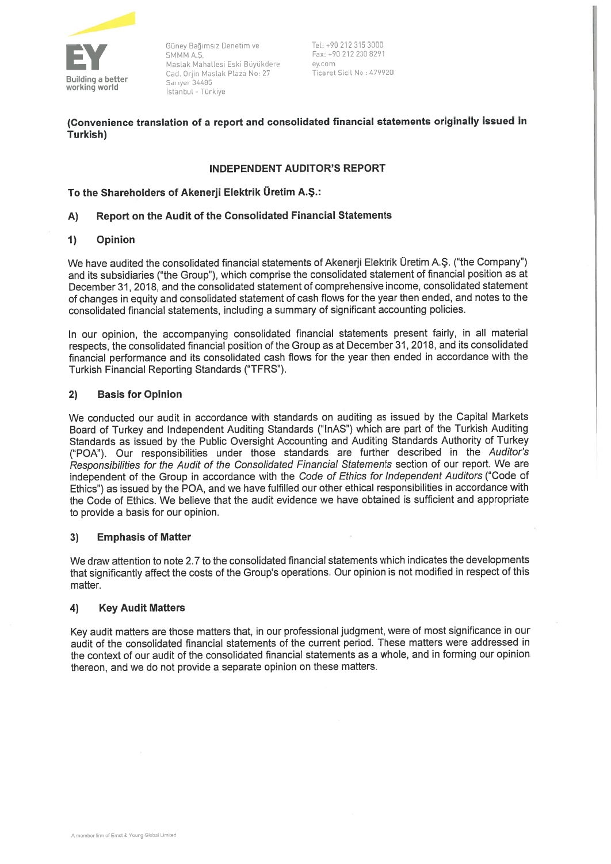

Güney Bağımsız Denetim ve Fel: +90 212 315 3000<br>
SMMM A.S. Fax: +90 212 230 8291<br>
Maslak Mahallesi Eski Büyükdere ey.com<br>
Cad. Orjin Maslak Plaza No: 27 Ticaret Sicil No : 479920<br> **Building a better** Sariyer 34485<br>
Istanbu

(Convenience translation of <sup>a</sup> repor<sup>t</sup> and consolidated financial statements originaliy issued in Turkish)

## INDEPENDENI AUDITOR'S REPORT

## To the Shareholders of Akenetji Elektrik Üretim A.Ş.:

## A) Report on the Audit of the Consolidated Financial Statements

## 1) Opinion

We have audited the consolidated financial statements of Akenerii Elektrik Üretim A.S. ("the Company") and its subsidiaries ('the Group"), which comprise the consolidated statement of financial position as at December 31, 2018, and the consolidated statement of comprehensive income, consolidated statement of changes in equity and consolidated statement of cash flows for the year then ended, and notes to the consolidated financial statements, including <sup>a</sup> summary of significant accounting policies.

in our opinion, the accompanying consolidated financial statements presen<sup>t</sup> fairiy, in ali material respects, the consolidated financial position of the Group as at December 31, 2018, and its consolidated financial performance and its consolidated cash flows for the year then ended in accordance with the Turkish Financial Reporting Standards ('TFRS").

## 2) Basis for Opinion

We conducted our audit in accordance with standards on auditing as issued by the Capital Markets Board of Turkey and independent Auditing Standards ("mAS") which are par<sup>t</sup> of the Turkish Auditing Standards as issued by the Public Oversight Accounting and Auditing Standards Authority of Turkey ("POA"). Our responsibilities under those standards are further described in the Auditor's Responsibilities for the Audit of the Consolidated Financial Statements section of our report. We are independent of the Group in accordance with the Code of Ethics for Independent Auditors ("Code of Ethics") as issued by the POA, and we have fuifiiled our other ethical responsibiiities in accordance with the Code of Ethics. We believe that the audit evidence we have obtained is sufficient and appropriate to provide <sup>a</sup> basis for our opinion.

## 3) Emphasis of Matter

We draw attention to note 2.7 to the consolidated financial statements which indicates the developments that significantiy affect the costs of the Group's operations. Out opinion is not modifled in respec<sup>t</sup> of this matter.

## 4) Key Audit Matters

Key audit matters are those matters that, in our professional judgment, were of most significance in our audit of the consolidated financial statements of the current period. These matters were addressed in the context of our audit of the consolidated financial statements as <sup>a</sup> whole, and in forming our opinion thereon, and we do not provide <sup>a</sup> separate opinion on these matters.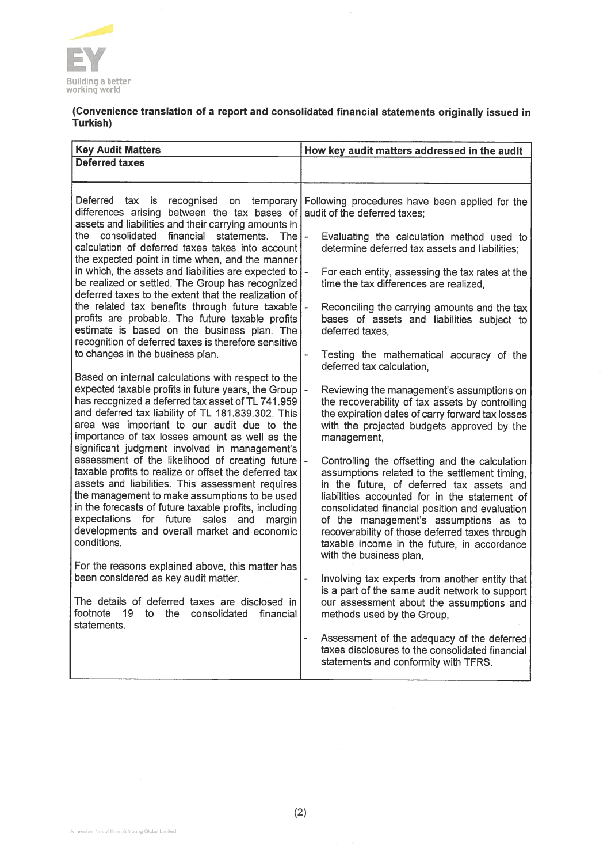

## (Convenience translation of <sup>a</sup> repor<sup>t</sup> and consolidated financial statements originally issued in Turkish)

| <b>Key Audit Matters</b>                                                                                                                                                                                                                                                                                                                                                                                                                                                                                                                                                                                                                                                                                                                                                                                                        | How key audit matters addressed in the audit                                                                                                                                                                                                                                                                                                                                                                                                                                                                                                                                                                                                            |
|---------------------------------------------------------------------------------------------------------------------------------------------------------------------------------------------------------------------------------------------------------------------------------------------------------------------------------------------------------------------------------------------------------------------------------------------------------------------------------------------------------------------------------------------------------------------------------------------------------------------------------------------------------------------------------------------------------------------------------------------------------------------------------------------------------------------------------|---------------------------------------------------------------------------------------------------------------------------------------------------------------------------------------------------------------------------------------------------------------------------------------------------------------------------------------------------------------------------------------------------------------------------------------------------------------------------------------------------------------------------------------------------------------------------------------------------------------------------------------------------------|
|                                                                                                                                                                                                                                                                                                                                                                                                                                                                                                                                                                                                                                                                                                                                                                                                                                 |                                                                                                                                                                                                                                                                                                                                                                                                                                                                                                                                                                                                                                                         |
| <b>Deferred taxes</b><br>Deferred tax<br>is<br>recognised on temporary<br>differences arising between the tax bases of<br>assets and liabilities and their carrying amounts in<br>financial<br>the consolidated<br>statements.<br><b>The</b><br>calculation of deferred taxes takes into account<br>the expected point in time when, and the manner<br>in which, the assets and liabilities are expected to<br>be realized or settled. The Group has recognized<br>deferred taxes to the extent that the realization of<br>the related tax benefits through future taxable<br>profits are probable. The future taxable profits<br>estimate is based on the business plan. The<br>recognition of deferred taxes is therefore sensitive<br>to changes in the business plan.<br>Based on internal calculations with respect to the | Following procedures have been applied for the<br>audit of the deferred taxes:<br>$\overline{\phantom{a}}$<br>Evaluating the calculation method used to<br>determine deferred tax assets and liabilities;<br>$\overline{\phantom{0}}$<br>For each entity, assessing the tax rates at the<br>time the tax differences are realized,<br>Reconciling the carrying amounts and the tax<br>bases of assets and liabilities subject to<br>deferred taxes.<br>Testing the mathematical accuracy of the<br>deferred tax calculation,                                                                                                                            |
| expected taxable profits in future years, the Group<br>has recognized a deferred tax asset of TL 741.959<br>and deferred tax liability of TL 181.839.302. This<br>area was important to our audit due to the<br>importance of tax losses amount as well as the<br>significant judgment involved in management's<br>assessment of the likelihood of creating future<br>taxable profits to realize or offset the deferred tax<br>assets and liabilities. This assessment requires<br>the management to make assumptions to be used<br>in the forecasts of future taxable profits, including<br>expectations for future<br>sales and<br>margin<br>developments and overall market and economic<br>conditions.<br>For the reasons explained above, this matter has                                                                  | $\overline{a}$<br>Reviewing the management's assumptions on<br>the recoverability of tax assets by controlling<br>the expiration dates of carry forward tax losses<br>with the projected budgets approved by the<br>management,<br>Controlling the offsetting and the calculation<br>assumptions related to the settlement timing,<br>in the future, of deferred tax assets and<br>liabilities accounted for in the statement of<br>consolidated financial position and evaluation<br>of the management's assumptions as to<br>recoverability of those deferred taxes through<br>taxable income in the future, in accordance<br>with the business plan, |
| been considered as key audit matter.<br>The details of deferred taxes are disclosed in<br>footnote<br>19<br>the<br>consolidated<br>to<br>financial<br>statements.                                                                                                                                                                                                                                                                                                                                                                                                                                                                                                                                                                                                                                                               | Involving tax experts from another entity that<br>is a part of the same audit network to support<br>our assessment about the assumptions and<br>methods used by the Group,<br>Assessment of the adequacy of the deferred<br>taxes disclosures to the consolidated financial<br>statements and conformity with TFRS.                                                                                                                                                                                                                                                                                                                                     |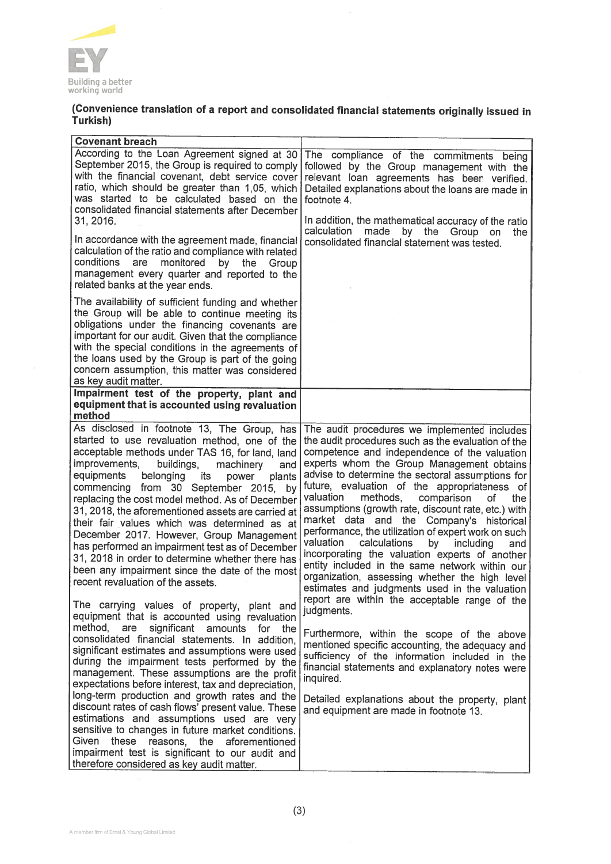

## (Convenience translation of <sup>a</sup> report and consolidated financial statements originaliy issued in Turkish)

| According to the Loan Agreement signed at 30<br>The compliance of the commitments being<br>September 2015, the Group is required to comply<br>followed by the Group management with the<br>with the financial covenant, debt service cover<br>relevant loan agreements has been verified.<br>ratio, which should be greater than 1,05, which<br>Detailed explanations about the loans are made in<br>was started to be calculated based on the<br>footnote 4.<br>consolidated financial statements after December<br>In addition, the mathematical accuracy of the ratio<br>31, 2016.<br>calculation<br>made<br>by the Group on<br>the<br>In accordance with the agreement made, financial<br>consolidated financial statement was tested.<br>calculation of the ratio and compliance with related<br>conditions<br>monitored<br>are<br>by<br>the<br>Group<br>management every quarter and reported to the<br>related banks at the year ends.<br>The availability of sufficient funding and whether<br>the Group will be able to continue meeting its<br>obligations under the financing covenants are<br>important for our audit. Given that the compliance<br>with the special conditions in the agreements of<br>the loans used by the Group is part of the going<br>concern assumption, this matter was considered<br>as key audit matter.<br>Impairment test of the property, plant and<br>equipment that is accounted using revaluation<br>method<br>As disclosed in footnote 13, The Group, has<br>The audit procedures we implemented includes<br>started to use revaluation method, one of the<br>the audit procedures such as the evaluation of the<br>acceptable methods under TAS 16, for land, land<br>competence and independence of the valuation<br>experts whom the Group Management obtains<br>improvements,<br>buildings,<br>machinery<br>and<br>advise to determine the sectoral assumptions for<br>equipments<br>belonging<br>its<br>power<br>plants<br>future, evaluation of the appropriateness of<br>commencing from 30 September 2015,<br>by<br>valuation<br>methods,<br>comparison<br>οf<br>the<br>replacing the cost model method. As of December<br>assumptions (growth rate, discount rate, etc.) with<br>31, 2018, the aforementioned assets are carried at<br>market data and the Company's historical<br>their fair values which was determined as at<br>performance, the utilization of expert work on such<br>December 2017. However, Group Management<br>valuation<br>calculations<br>by<br>including<br>and<br>has performed an impairment test as of December<br>incorporating the valuation experts of another<br>31, 2018 in order to determine whether there has<br>entity included in the same network within our<br>been any impairment since the date of the most<br>organization, assessing whether the high level<br>recent revaluation of the assets.<br>estimates and judgments used in the valuation<br>report are within the acceptable range of the<br>The carrying values of property, plant and<br>judgments.<br>equipment that is accounted using revaluation<br>method, are<br>significant<br>amounts<br>for the<br>Furthermore, within the scope of the above<br>consolidated financial statements. In addition,<br>mentioned specific accounting, the adequacy and<br>significant estimates and assumptions were used<br>sufficiency of the information included in the<br>during the impairment tests performed by the<br>financial statements and explanatory notes were<br>management. These assumptions are the profit<br>inquired.<br>expectations before interest, tax and depreciation,<br>long-term production and growth rates and the<br>Detailed explanations about the property, plant<br>discount rates of cash flows' present value. These<br>and equipment are made in footnote 13.<br>estimations and assumptions used are very<br>sensitive to changes in future market conditions. | these<br>reasons, the aforementioned<br>impairment test is significant to our audit and<br>therefore considered as key audit matter. | <b>Covenant breach</b> |  |
|--------------------------------------------------------------------------------------------------------------------------------------------------------------------------------------------------------------------------------------------------------------------------------------------------------------------------------------------------------------------------------------------------------------------------------------------------------------------------------------------------------------------------------------------------------------------------------------------------------------------------------------------------------------------------------------------------------------------------------------------------------------------------------------------------------------------------------------------------------------------------------------------------------------------------------------------------------------------------------------------------------------------------------------------------------------------------------------------------------------------------------------------------------------------------------------------------------------------------------------------------------------------------------------------------------------------------------------------------------------------------------------------------------------------------------------------------------------------------------------------------------------------------------------------------------------------------------------------------------------------------------------------------------------------------------------------------------------------------------------------------------------------------------------------------------------------------------------------------------------------------------------------------------------------------------------------------------------------------------------------------------------------------------------------------------------------------------------------------------------------------------------------------------------------------------------------------------------------------------------------------------------------------------------------------------------------------------------------------------------------------------------------------------------------------------------------------------------------------------------------------------------------------------------------------------------------------------------------------------------------------------------------------------------------------------------------------------------------------------------------------------------------------------------------------------------------------------------------------------------------------------------------------------------------------------------------------------------------------------------------------------------------------------------------------------------------------------------------------------------------------------------------------------------------------------------------------------------------------------------------------------------------------------------------------------------------------------------------------------------------------------------------------------------------------------------------------------------------------------------------------------------------------------------------------------------------------------------------------------------------------------------------------------------------------------------------------------------------------------------------------------------------------------------------------------------------------------------------------------------------------------------------------------------------------------------------------------------|--------------------------------------------------------------------------------------------------------------------------------------|------------------------|--|
|                                                                                                                                                                                                                                                                                                                                                                                                                                                                                                                                                                                                                                                                                                                                                                                                                                                                                                                                                                                                                                                                                                                                                                                                                                                                                                                                                                                                                                                                                                                                                                                                                                                                                                                                                                                                                                                                                                                                                                                                                                                                                                                                                                                                                                                                                                                                                                                                                                                                                                                                                                                                                                                                                                                                                                                                                                                                                                                                                                                                                                                                                                                                                                                                                                                                                                                                                                                                                                                                                                                                                                                                                                                                                                                                                                                                                                                                                                                                                              |                                                                                                                                      |                        |  |
|                                                                                                                                                                                                                                                                                                                                                                                                                                                                                                                                                                                                                                                                                                                                                                                                                                                                                                                                                                                                                                                                                                                                                                                                                                                                                                                                                                                                                                                                                                                                                                                                                                                                                                                                                                                                                                                                                                                                                                                                                                                                                                                                                                                                                                                                                                                                                                                                                                                                                                                                                                                                                                                                                                                                                                                                                                                                                                                                                                                                                                                                                                                                                                                                                                                                                                                                                                                                                                                                                                                                                                                                                                                                                                                                                                                                                                                                                                                                                              |                                                                                                                                      |                        |  |
|                                                                                                                                                                                                                                                                                                                                                                                                                                                                                                                                                                                                                                                                                                                                                                                                                                                                                                                                                                                                                                                                                                                                                                                                                                                                                                                                                                                                                                                                                                                                                                                                                                                                                                                                                                                                                                                                                                                                                                                                                                                                                                                                                                                                                                                                                                                                                                                                                                                                                                                                                                                                                                                                                                                                                                                                                                                                                                                                                                                                                                                                                                                                                                                                                                                                                                                                                                                                                                                                                                                                                                                                                                                                                                                                                                                                                                                                                                                                                              |                                                                                                                                      |                        |  |
|                                                                                                                                                                                                                                                                                                                                                                                                                                                                                                                                                                                                                                                                                                                                                                                                                                                                                                                                                                                                                                                                                                                                                                                                                                                                                                                                                                                                                                                                                                                                                                                                                                                                                                                                                                                                                                                                                                                                                                                                                                                                                                                                                                                                                                                                                                                                                                                                                                                                                                                                                                                                                                                                                                                                                                                                                                                                                                                                                                                                                                                                                                                                                                                                                                                                                                                                                                                                                                                                                                                                                                                                                                                                                                                                                                                                                                                                                                                                                              |                                                                                                                                      |                        |  |
|                                                                                                                                                                                                                                                                                                                                                                                                                                                                                                                                                                                                                                                                                                                                                                                                                                                                                                                                                                                                                                                                                                                                                                                                                                                                                                                                                                                                                                                                                                                                                                                                                                                                                                                                                                                                                                                                                                                                                                                                                                                                                                                                                                                                                                                                                                                                                                                                                                                                                                                                                                                                                                                                                                                                                                                                                                                                                                                                                                                                                                                                                                                                                                                                                                                                                                                                                                                                                                                                                                                                                                                                                                                                                                                                                                                                                                                                                                                                                              |                                                                                                                                      | Given                  |  |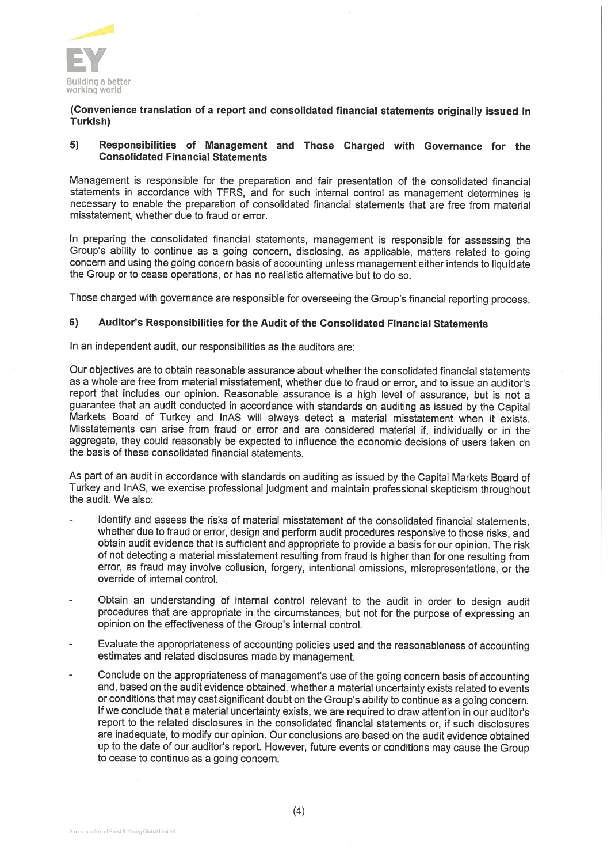

## (Convenience translation of <sup>a</sup> report and consolidated financial statements originaliy issued in Turkish)

#### 5) Responsibilities of Management and Those Charged with Governance for the Consolidated Financial Statements

Management is responsible for the preparation and fair presentation of the consolidated financial statements in accordance with TFRS, and for such internal control as management determines is necessary to enable the preparation of consolidated financial statements that are free from material misstatement, whether due to fraud ot error.

In preparing the consolidated financial statements, management is responsible for assessing the Group's ability to continue as a going concern, disclosing, as applicable, matters related to going concern and using the going concern basis of accounting unless management either intends ta liquidate the Group or to cease operations, or has no realistic alternative but to do so.

Those charged with governance are responsible for overseeing the Group's financial reporting process.

## 6) Auditor's Responsibilities for the Audit of the Consolidated Financial Statements

In an independent audit, our responsibilities as the auditors are:

Our objectives are to obtain reasonable assurance about whether the consolidated financial statements as a whole are free from material misstatement, whether due to fraud or error, and to issue an auditor's report that includes our opinion. Reasonable assurance is a high level of assurance, but is not a guarantee that an audit conducted in accordance with standards on auditing as issued by the Capital Markets Board of Turkey and InAS will always detect a material misstatement when it exists. Misstatements can arise fram fraud ot error and are cansidered material if, individualiy ar in the aggregate, they could reasonably be expected to influence the economic decisions of users taken on the basis af these cansolidated financial statements.

As part of an audit in accordance with standards on auditing as issued by the Capital Markets Board of Turkey and InAS, we exercise professional judgment and maintain professional skepticism throughout the audit. We alsa:

- Identify and assess the risks of material misstatement of the consolidated financial statements, whether due to fraud or error, design and perform audit procedures responsive to those risks, and obtain audit evidence that is sufficient and appropriate to provide a basis for our opinion. The risk af nat detecting <sup>a</sup> material misstatement resulting fram fraud is higher than for one resulting from error, as fraud may involve collusion, forgery, intentional omissions, misrepresentations, or the override of internal control.
- Obtain an understanding of internal control relevant to the audit in order to design audit procedures that are appropriate in the circumstances, but not for the purpose af expressing an apinian an the effectiveness af the Group's internal contral.
- Evaluate the appropriateness of accounting policies used and the reasonableness of accounting estimates and related disclosures made by management.
- Conclude on the appropriateness of management's use of the going concern basis of accounting and, based on the audit evidence obtained, whether a material uncertainty exists related to events or conditions that may cast significant doubt on the Group's ability to continue as a going concern. If we conclude that a material uncertainty exists, we are required to draw attention in our auditor's report to the related disclosures in the consolidated financial statements or, if such disclosures are inadequate, to modify our opinion. Our conclusions are based on the audit evidence obtained up to the date of our auditor's report. However, future events or conditions may cause the Group to cease to continue as a going concern.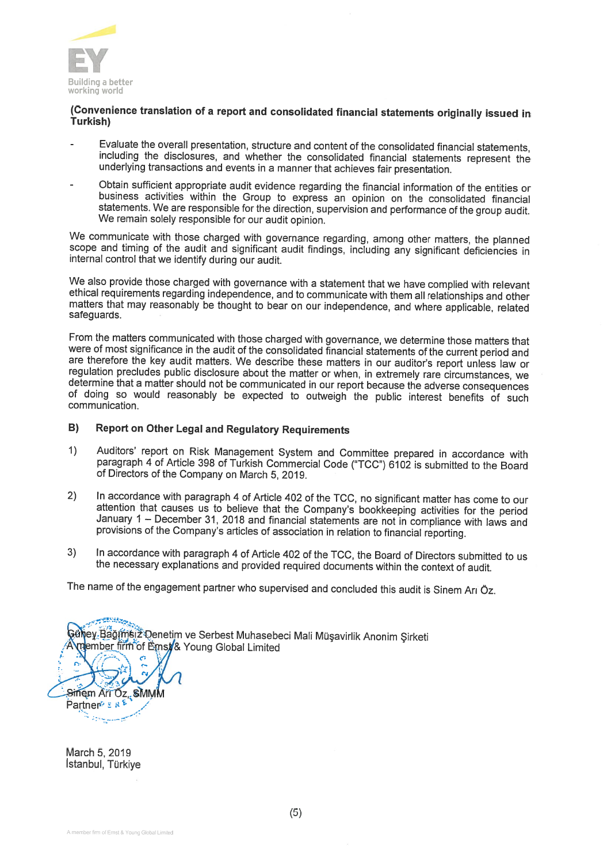

# (Convenience translation of a report and consolidated financial statements originally issued in<br>Turkish)

- Evaluate the overall presentation, structure and content of the consolidated financial statements, including the disclosures, and whether the consolidated financial statements represent the underlying transactions and even
- Obtain sufficient appropriate audit evidence regarding the financial information of the entities or business activities within the Group to express an opinion on the consolidated financial statements. We are responsible for the direction, supervision and performance of the group audit. We remain soieiy responsibie for our audit opinion.

We communicate with those charged with governance regarding, among other matters, the planned scope and timing of the audit and significant audit findings, including any significant deficiencies in internal control that we identify during our audit.

We also provide those charged with governance with a statement that we have complied with relevant ethical requirements regarding independence, and to communicate with them all relationships and other matters that may reas

From the matters communicated with those charged with governance, we determine those matters that were of most significance in the audit of the consolidated financial statements of the current period and are therefore the key audit matters. We describe these matters in our auditor's report unless law or regulation precludes public disclosure about the matter or when, in extremely rare circumstances, we determine that a matter should not be communicated in our report because the adverse consequences of doing so would reasonably be expected to outweigh the public interest benefits of such communication.

## B) Report on Other Legal and Regulatory Requirements

- 1) Auditors' report on Risk Management System and Committee prepared in accordance with paragraph 4 of Article 398 of Turkish Commercial Code ("TCC") 6102 is submitted to the Board of Directors of the Company on March 5. 2
- 2) In accordance with paragraph 4 of Article 402 of the TCC, no significant matter has come to our attention that causes us to believe that the Company's bookkeeping activities for the period January 1 December 31, 2018
- 3) In accordance with paragraph 4 of Article 402 of the TCC, the Board of Directors submitted to us the necessary explanations and provided required documents within the context of audit.

The name of the engagement partner who supervised and concluded this audit is Sinem Ari Öz.

Güljey Bağımsız Denetim ve Serbest Muhasebeci Mali Müşavirlik Anonim Şirketi member firm of Ernst/& Young Global Limited Sinem Art Oz, SMMM Partner® E RE

March 5, 2019 Istanbul, Türkiye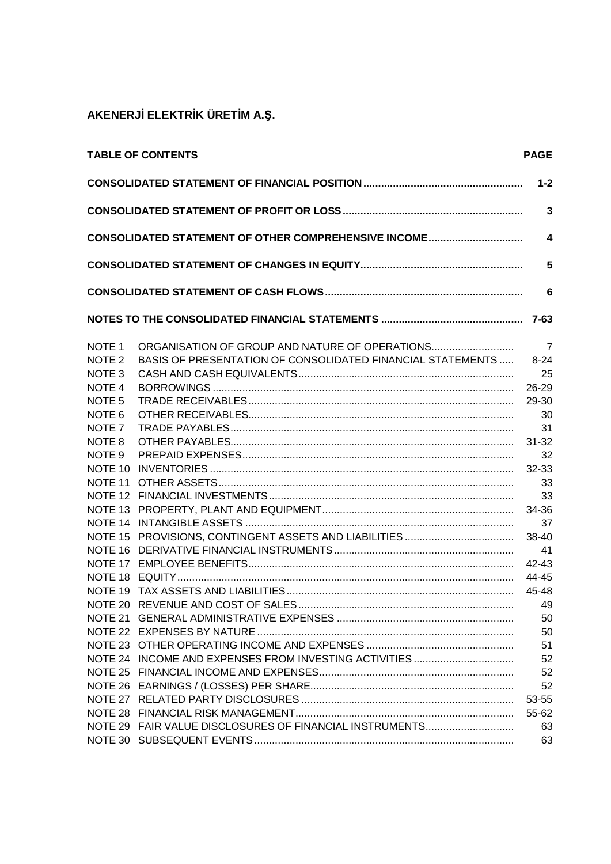|                    | <b>TABLE OF CONTENTS</b>                                          | <b>PAGE</b>             |
|--------------------|-------------------------------------------------------------------|-------------------------|
|                    |                                                                   | $1 - 2$                 |
|                    |                                                                   | $\mathbf{3}$            |
|                    | CONSOLIDATED STATEMENT OF OTHER COMPREHENSIVE INCOME              | $\overline{\mathbf{4}}$ |
|                    |                                                                   | 5                       |
|                    |                                                                   | $6\phantom{1}$          |
|                    |                                                                   |                         |
| NOTE <sub>1</sub>  | ORGANISATION OF GROUP AND NATURE OF OPERATIONS                    | $\overline{7}$          |
| NOTE <sub>2</sub>  | <b>BASIS OF PRESENTATION OF CONSOLIDATED FINANCIAL STATEMENTS</b> | $8 - 24$                |
| NOTE <sub>3</sub>  |                                                                   | 25                      |
| NOTE <sub>4</sub>  |                                                                   | 26-29                   |
| NOTE <sub>5</sub>  |                                                                   | 29-30                   |
| NOTE <sub>6</sub>  |                                                                   | 30                      |
| NOTE <sub>7</sub>  |                                                                   | 31                      |
| NOTE 8             |                                                                   | 31-32                   |
| NOTE <sub>9</sub>  |                                                                   | 32                      |
| NOTE <sub>10</sub> |                                                                   | 32-33                   |
| NOTE 11            |                                                                   | 33                      |
|                    |                                                                   | 33                      |
|                    |                                                                   | 34-36                   |
|                    |                                                                   | 37                      |
|                    |                                                                   | 38-40                   |
|                    |                                                                   | - 41                    |
|                    |                                                                   | 42-43                   |
|                    |                                                                   | 44-45                   |
|                    |                                                                   | 45-48                   |
|                    |                                                                   |                         |
|                    |                                                                   | 50                      |
|                    |                                                                   | 50                      |
|                    |                                                                   | 51                      |
|                    |                                                                   | 52                      |
|                    |                                                                   | 52                      |
|                    |                                                                   | 52                      |
|                    |                                                                   | 53-55                   |
|                    |                                                                   | 55-62                   |
|                    | NOTE 29 FAIR VALUE DISCLOSURES OF FINANCIAL INSTRUMENTS           | 63                      |
|                    |                                                                   | 63                      |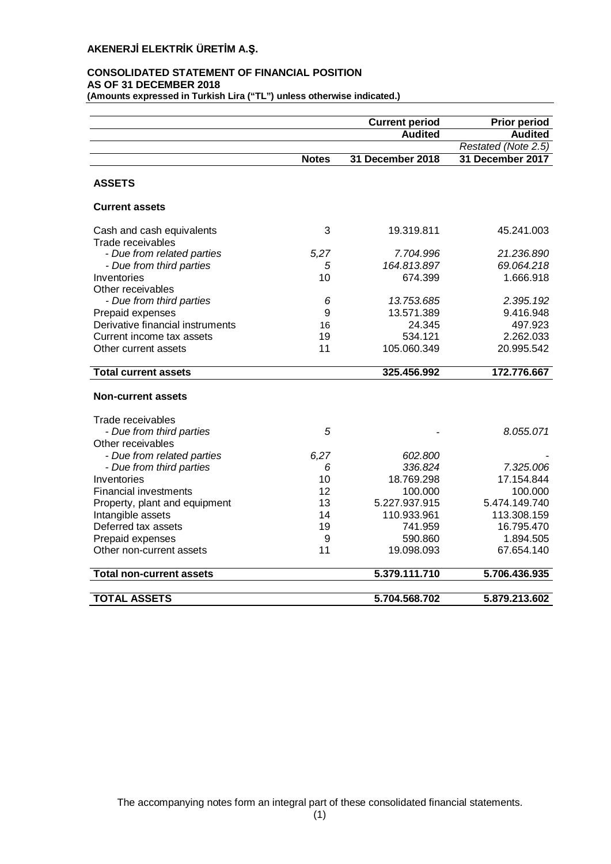## **CONSOLIDATED STATEMENT OF FINANCIAL POSITION AS OF 31 DECEMBER 2018**

**(Amounts expressed in Turkish Lira ("TL") unless otherwise indicated.)**

|                                  |              | <b>Current period</b> | <b>Prior period</b> |
|----------------------------------|--------------|-----------------------|---------------------|
|                                  |              | <b>Audited</b>        | <b>Audited</b>      |
|                                  |              |                       | Restated (Note 2.5) |
|                                  | <b>Notes</b> | 31 December 2018      | 31 December 2017    |
| <b>ASSETS</b>                    |              |                       |                     |
| <b>Current assets</b>            |              |                       |                     |
| Cash and cash equivalents        | 3            | 19.319.811            | 45.241.003          |
| Trade receivables                |              |                       |                     |
| - Due from related parties       | 5,27         | 7.704.996             | 21.236.890          |
| - Due from third parties         | 5            | 164.813.897           | 69.064.218          |
| Inventories                      | 10           | 674.399               | 1.666.918           |
| Other receivables                |              |                       |                     |
| - Due from third parties         | 6            | 13.753.685            | 2.395.192           |
| Prepaid expenses                 | 9            | 13.571.389            | 9.416.948           |
| Derivative financial instruments | 16           | 24.345                | 497.923             |
| Current income tax assets        | 19           | 534.121               | 2.262.033           |
| Other current assets             | 11           | 105.060.349           | 20.995.542          |
| <b>Total current assets</b>      |              | 325.456.992           | 172.776.667         |
| <b>Non-current assets</b>        |              |                       |                     |
| Trade receivables                |              |                       |                     |
| - Due from third parties         | 5            |                       | 8.055.071           |
| Other receivables                |              |                       |                     |
| - Due from related parties       | 6,27         | 602.800               |                     |
| - Due from third parties         | 6            | 336.824               | 7.325.006           |
| Inventories                      | 10           | 18.769.298            | 17.154.844          |
| <b>Financial investments</b>     | 12           | 100.000               | 100.000             |
| Property, plant and equipment    | 13           | 5.227.937.915         | 5.474.149.740       |
| Intangible assets                | 14           | 110.933.961           | 113.308.159         |
| Deferred tax assets              | 19           | 741.959               | 16.795.470          |
| Prepaid expenses                 | 9            | 590.860               | 1.894.505           |
| Other non-current assets         | 11           | 19.098.093            | 67.654.140          |
| <b>Total non-current assets</b>  |              | 5.379.111.710         | 5.706.436.935       |
|                                  |              |                       |                     |
| <b>TOTAL ASSETS</b>              |              | 5.704.568.702         | 5.879.213.602       |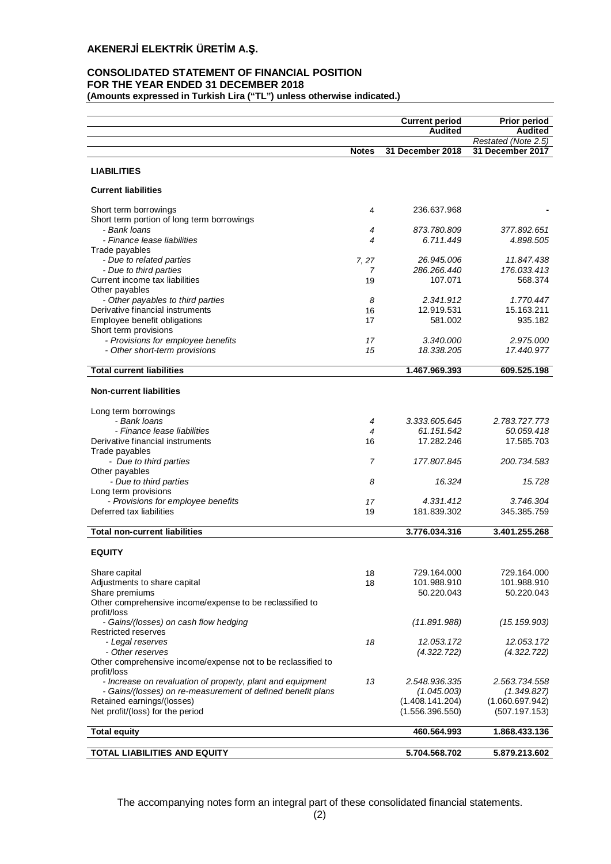## **CONSOLIDATED STATEMENT OF FINANCIAL POSITION FOR THE YEAR ENDED 31 DECEMBER 2018**

**(Amounts expressed in Turkish Lira ("TL") unless otherwise indicated.)**

|                                                                     |              | <b>Current period</b>              | <b>Prior period</b>              |
|---------------------------------------------------------------------|--------------|------------------------------------|----------------------------------|
|                                                                     |              | <b>Audited</b>                     | <b>Audited</b>                   |
|                                                                     |              |                                    | Restated (Note 2.5)              |
|                                                                     | <b>Notes</b> | 31 December 2018                   | 31 December 2017                 |
| <b>LIABILITIES</b>                                                  |              |                                    |                                  |
| <b>Current liabilities</b>                                          |              |                                    |                                  |
| Short term borrowings                                               | 4            | 236.637.968                        |                                  |
| Short term portion of long term borrowings                          |              |                                    |                                  |
| - Bank Ioans                                                        | 4            | 873.780.809                        | 377.892.651                      |
| - Finance lease liabilities                                         | 4            | 6.711.449                          | 4.898.505                        |
| Trade payables                                                      | 7, 27        | 26.945.006                         | 11.847.438                       |
| - Due to related parties<br>- Due to third parties                  | 7            | 286.266.440                        | 176.033.413                      |
| Current income tax liabilities                                      | 19           | 107.071                            | 568.374                          |
| Other payables                                                      |              |                                    |                                  |
| - Other payables to third parties                                   | 8            | 2.341.912                          | 1.770.447                        |
| Derivative financial instruments                                    | 16           | 12.919.531                         | 15.163.211                       |
| Employee benefit obligations                                        | 17           | 581.002                            | 935.182                          |
| Short term provisions                                               |              |                                    |                                  |
| - Provisions for employee benefits<br>- Other short-term provisions | 17<br>15     | 3.340.000<br>18.338.205            | 2.975.000<br>17.440.977          |
|                                                                     |              |                                    |                                  |
| <b>Total current liabilities</b>                                    |              | 1.467.969.393                      | 609.525.198                      |
| <b>Non-current liabilities</b>                                      |              |                                    |                                  |
| Long term borrowings                                                |              |                                    |                                  |
| - Bank loans                                                        | 4            | 3.333.605.645                      | 2.783.727.773                    |
| - Finance lease liabilities                                         | 4            | 61.151.542                         | 50.059.418                       |
| Derivative financial instruments                                    | 16           | 17.282.246                         | 17.585.703                       |
| Trade payables                                                      |              |                                    |                                  |
| - Due to third parties                                              | 7            | 177.807.845                        | 200.734.583                      |
| Other payables<br>- Due to third parties                            | 8            | 16.324                             | 15.728                           |
| Long term provisions                                                |              |                                    |                                  |
| - Provisions for employee benefits                                  | 17           | 4.331.412                          | 3.746.304                        |
| Deferred tax liabilities                                            | 19           | 181.839.302                        | 345.385.759                      |
|                                                                     |              |                                    |                                  |
| <b>Total non-current liabilities</b>                                |              | 3.776.034.316                      | 3.401.255.268                    |
| <b>EQUITY</b>                                                       |              |                                    |                                  |
| Share capital                                                       | 18           | 729.164.000                        | 729.164.000                      |
| Adjustments to share capital                                        | 18           | 101.988.910                        | 101.988.910                      |
| Share premiums                                                      |              | 50.220.043                         | 50.220.043                       |
| Other comprehensive income/expense to be reclassified to            |              |                                    |                                  |
| profit/loss                                                         |              |                                    |                                  |
| - Gains/(losses) on cash flow hedging                               |              | (11.891.988)                       | (15.159.903)                     |
| Restricted reserves<br>- Legal reserves                             | 18           | 12.053.172                         | 12.053.172                       |
| - Other reserves                                                    |              | (4.322.722)                        | (4.322.722)                      |
| Other comprehensive income/expense not to be reclassified to        |              |                                    |                                  |
| profit/loss                                                         |              |                                    |                                  |
| - Increase on revaluation of property, plant and equipment          | 13           | 2.548.936.335                      | 2.563.734.558                    |
| - Gains/(losses) on re-measurement of defined benefit plans         |              | (1.045.003)                        | (1.349.827)                      |
| Retained earnings/(losses)<br>Net profit/(loss) for the period      |              | (1.408.141.204)<br>(1.556.396.550) | (1.060.697.942)<br>(507.197.153) |
|                                                                     |              |                                    |                                  |
| <b>Total equity</b>                                                 |              | 460.564.993                        | 1.868.433.136                    |
| <b>TOTAL LIABILITIES AND EQUITY</b>                                 |              | 5.704.568.702                      | 5.879.213.602                    |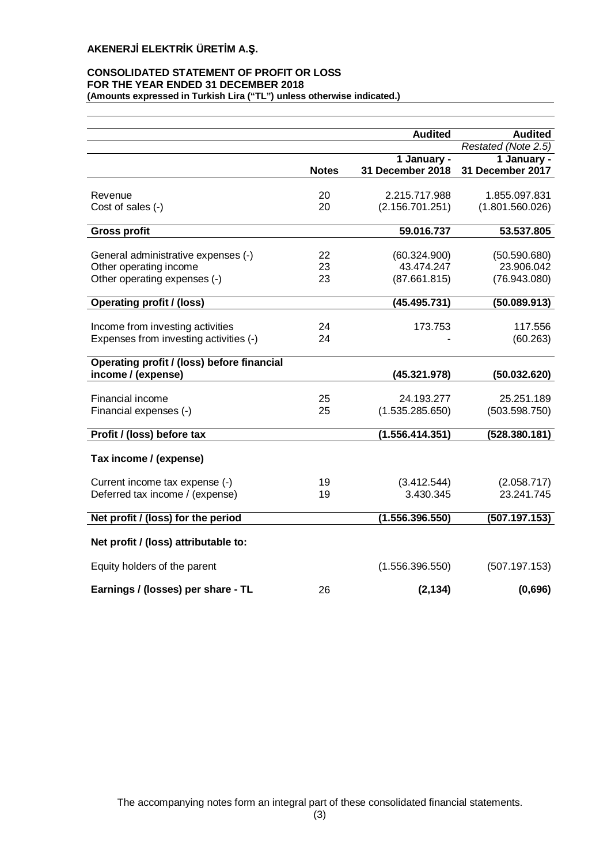## **CONSOLIDATED STATEMENT OF PROFIT OR LOSS FOR THE YEAR ENDED 31 DECEMBER 2018 (Amounts expressed in Turkish Lira ("TL") unless otherwise indicated.)**

|                                            |              | <b>Audited</b>   | <b>Audited</b>      |
|--------------------------------------------|--------------|------------------|---------------------|
|                                            |              |                  | Restated (Note 2.5) |
|                                            |              | 1 January -      | 1 January -         |
|                                            | <b>Notes</b> | 31 December 2018 | 31 December 2017    |
| Revenue                                    | 20           | 2.215.717.988    | 1.855.097.831       |
| Cost of sales (-)                          | 20           | (2.156.701.251)  | (1.801.560.026)     |
|                                            |              |                  |                     |
| <b>Gross profit</b>                        |              | 59.016.737       | 53.537.805          |
|                                            |              |                  |                     |
| General administrative expenses (-)        | 22           | (60.324.900)     | (50.590.680)        |
| Other operating income                     | 23           | 43.474.247       | 23.906.042          |
| Other operating expenses (-)               | 23           | (87.661.815)     | (76.943.080)        |
| <b>Operating profit / (loss)</b>           |              | (45.495.731)     | (50.089.913)        |
|                                            |              |                  |                     |
| Income from investing activities           | 24           | 173.753          | 117.556             |
| Expenses from investing activities (-)     | 24           |                  | (60.263)            |
| Operating profit / (loss) before financial |              |                  |                     |
| income / (expense)                         |              | (45.321.978)     | (50.032.620)        |
| Financial income                           | 25           | 24.193.277       | 25.251.189          |
| Financial expenses (-)                     | 25           | (1.535.285.650)  | (503.598.750)       |
|                                            |              |                  |                     |
| Profit / (loss) before tax                 |              | (1.556.414.351)  | (528.380.181)       |
| Tax income / (expense)                     |              |                  |                     |
| Current income tax expense (-)             | 19           | (3.412.544)      | (2.058.717)         |
| Deferred tax income / (expense)            | 19           | 3.430.345        | 23.241.745          |
|                                            |              |                  |                     |
| Net profit / (loss) for the period         |              | (1.556.396.550)  | (507.197.153)       |
| Net profit / (loss) attributable to:       |              |                  |                     |
| Equity holders of the parent               |              | (1.556.396.550)  | (507.197.153)       |
|                                            | 26           | (2, 134)         | (0,696)             |
| Earnings / (losses) per share - TL         |              |                  |                     |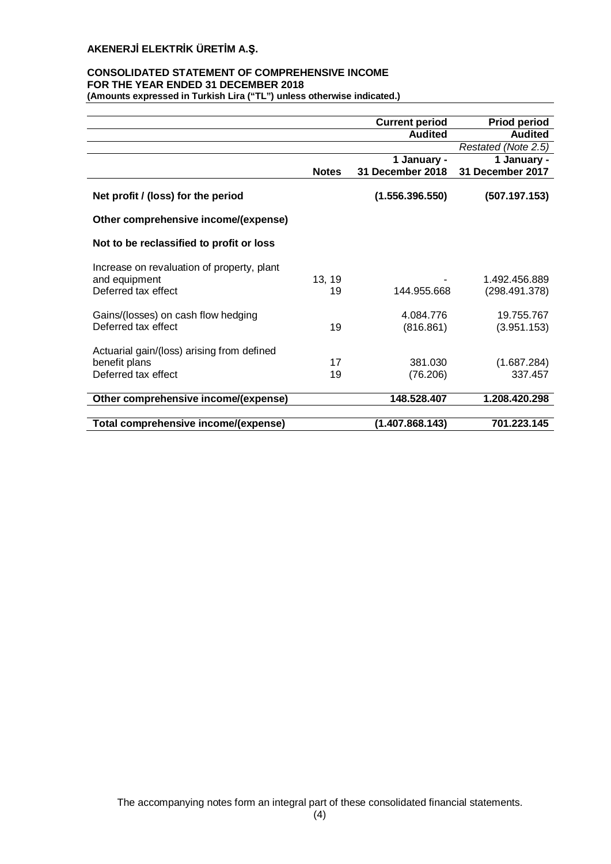# **CONSOLIDATED STATEMENT OF COMPREHENSIVE INCOME FOR THE YEAR ENDED 31 DECEMBER 2018**

**(Amounts expressed in Turkish Lira ("TL") unless otherwise indicated.)**

|                                                                                    |              | <b>Current period</b>  | <b>Priod period</b>            |
|------------------------------------------------------------------------------------|--------------|------------------------|--------------------------------|
|                                                                                    |              | <b>Audited</b>         | <b>Audited</b>                 |
|                                                                                    |              |                        | Restated (Note 2.5)            |
|                                                                                    |              | 1 January -            | 1 January -                    |
|                                                                                    | <b>Notes</b> | 31 December 2018       | 31 December 2017               |
| Net profit / (loss) for the period                                                 |              | (1.556.396.550)        | (507.197.153)                  |
| Other comprehensive income/(expense)                                               |              |                        |                                |
| Not to be reclassified to profit or loss                                           |              |                        |                                |
| Increase on revaluation of property, plant<br>and equipment<br>Deferred tax effect | 13, 19<br>19 | 144.955.668            | 1.492.456.889<br>(298.491.378) |
| Gains/(losses) on cash flow hedging<br>Deferred tax effect                         | 19           | 4.084.776<br>(816.861) | 19.755.767<br>(3.951.153)      |
| Actuarial gain/(loss) arising from defined<br>benefit plans<br>Deferred tax effect | 17<br>19     | 381.030<br>(76.206)    | (1.687.284)<br>337.457         |
| Other comprehensive income/(expense)                                               |              | 148.528.407            | 1.208.420.298                  |
|                                                                                    |              |                        |                                |
| Total comprehensive income/(expense)                                               |              | (1.407.868.143)        | 701.223.145                    |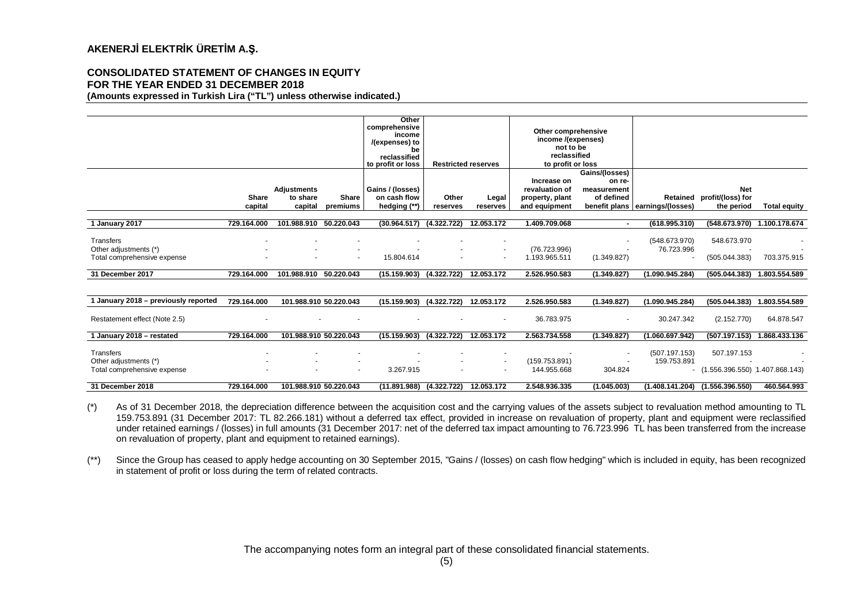#### **CONSOLIDATED STATEMENT OF CHANGES IN EQUITY FOR THE YEAR ENDED 31 DECEMBER 2018 (Amounts expressed in Turkish Lira ("TL") unless otherwise indicated.)**

|                                                                   |                         |                                           |                          | Other<br>comprehensive<br>income<br>/(expenses) to<br>be<br>reclassified<br>to profit or loss |                   | <b>Restricted reserves</b>                           | Other comprehensive<br>income /(expenses)<br>not to be<br>reclassified<br>to profit or loss |                                                       |                                 |                                                        |                             |
|-------------------------------------------------------------------|-------------------------|-------------------------------------------|--------------------------|-----------------------------------------------------------------------------------------------|-------------------|------------------------------------------------------|---------------------------------------------------------------------------------------------|-------------------------------------------------------|---------------------------------|--------------------------------------------------------|-----------------------------|
|                                                                   | <b>Share</b><br>capital | <b>Adjustments</b><br>to share<br>capital | <b>Share</b><br>premiums | Gains / (losses)<br>on cash flow<br>hedging (**)                                              | Other<br>reserves | Legal<br>reserves                                    | Increase on<br>revaluation of<br>property, plant<br>and equipment                           | Gains/(losses)<br>on re-<br>measurement<br>of defined | benefit plans earnings/(losses) | <b>Net</b><br>Retained profit/(loss) for<br>the period | <b>Total equity</b>         |
| 1 January 2017                                                    | 729.164.000             | 101.988.910                               | 50.220.043               | (30.964.517)                                                                                  | (4.322.722)       | 12.053.172                                           | 1.409.709.068                                                                               | $\sim$                                                | (618.995.310)                   | (548.673.970)                                          | 1.100.178.674               |
| Transfers<br>Other adjustments (*)<br>Total comprehensive expense |                         |                                           |                          | 15.804.614                                                                                    |                   | $\overline{\phantom{a}}$                             | (76.723.996)<br>1.193.965.511                                                               | (1.349.827)                                           | (548.673.970)<br>76.723.996     | 548.673.970<br>(505.044.383)                           | 703.375.915                 |
| 31 December 2017                                                  | 729.164.000             | 101.988.910                               | 50.220.043               | (15.159.903)                                                                                  | (4.322.722)       | 12.053.172                                           | 2.526.950.583                                                                               | (1.349.827)                                           | (1.090.945.284)                 | (505.044.383)                                          | 1.803.554.589               |
|                                                                   |                         |                                           |                          |                                                                                               |                   |                                                      |                                                                                             |                                                       |                                 |                                                        |                             |
| 1 January 2018 - previously reported                              | 729.164.000             | 101.988.910 50.220.043                    |                          | (15.159.903) (4.322.722) 12.053.172                                                           |                   |                                                      | 2.526.950.583                                                                               | (1.349.827)                                           | (1.090.945.284)                 |                                                        | (505.044.383) 1.803.554.589 |
| Restatement effect (Note 2.5)                                     |                         |                                           |                          |                                                                                               |                   |                                                      | 36.783.975                                                                                  |                                                       | 30.247.342                      | (2.152.770)                                            | 64.878.547                  |
| 1 January 2018 - restated                                         | 729.164.000             | 101.988.910 50.220.043                    |                          | (15.159.903)                                                                                  | (4.322.722)       | 12.053.172                                           | 2.563.734.558                                                                               | (1.349.827)                                           | (1.060.697.942)                 | (507.197.153)                                          | 1.868.433.136               |
| Transfers<br>Other adjustments (*)<br>Total comprehensive expense |                         |                                           | $\overline{\phantom{a}}$ | 3.267.915                                                                                     |                   | $\overline{\phantom{a}}$<br>$\overline{\phantom{a}}$ | (159.753.891)<br>144.955.668                                                                | 304.824                                               | (507.197.153)<br>159.753.891    | 507.197.153<br>$(1.556.396.550)$ 1.407.868.143)        |                             |
| 31 December 2018                                                  | 729.164.000             | 101.988.910 50.220.043                    |                          | $(11.891.988)$ $(4.322.722)$                                                                  |                   | 12.053.172                                           | 2.548.936.335                                                                               | (1.045.003)                                           |                                 | $(1.408.141.204)$ $(1.556.396.550)$                    | 460.564.993                 |

(\*) As of 31 December 2018, the depreciation difference between the acquisition cost and the carrying values of the assets subject to revaluation method amounting to TL 159.753.891 (31 December 2017: TL 82.266.181) without a deferred tax effect, provided in increase on revaluation of property, plant and equipment were reclassified under retained earnings / (losses) in full amounts (31 December 2017: net of the deferred tax impact amounting to 76.723.996 TL has been transferred from the increase on revaluation of property, plant and equipment to retained earnings).

(\*\*) Since the Group has ceased to apply hedge accounting on 30 September 2015, "Gains / (losses) on cash flow hedging" which is included in equity, has been recognized in statement of profit or loss during the term of related contracts.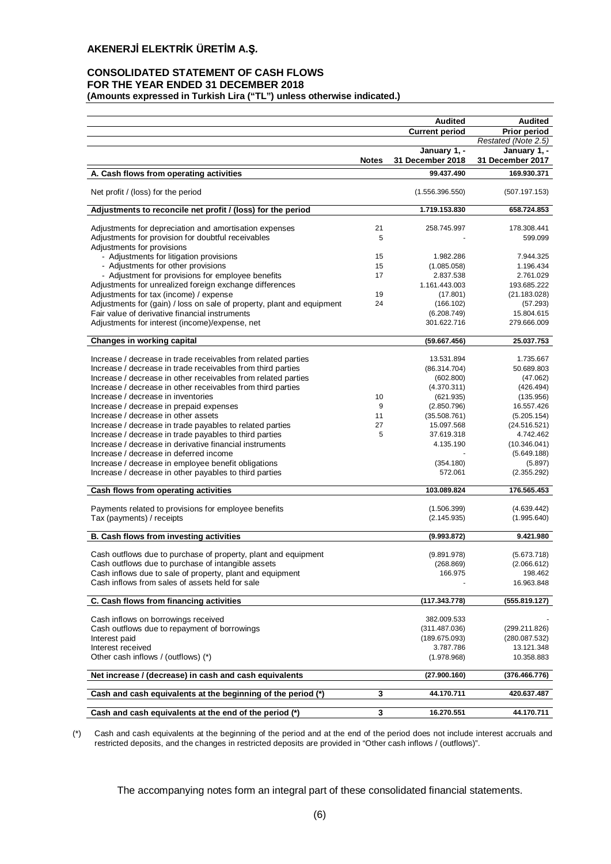## **CONSOLIDATED STATEMENT OF CASH FLOWS FOR THE YEAR ENDED 31 DECEMBER 2018 (Amounts expressed in Turkish Lira ("TL") unless otherwise indicated.)**

|                                                                                                              |              | <b>Audited</b>                   | <b>Audited</b>                   |
|--------------------------------------------------------------------------------------------------------------|--------------|----------------------------------|----------------------------------|
|                                                                                                              |              | <b>Current period</b>            | <b>Prior period</b>              |
|                                                                                                              |              |                                  | Restated (Note 2.5)              |
|                                                                                                              | <b>Notes</b> | January 1, -<br>31 December 2018 | January 1, -<br>31 December 2017 |
| A. Cash flows from operating activities                                                                      |              | 99.437.490                       | 169.930.371                      |
| Net profit / (loss) for the period                                                                           |              | (1.556.396.550)                  | (507.197.153)                    |
| Adjustments to reconcile net profit / (loss) for the period                                                  |              | 1.719.153.830                    | 658.724.853                      |
| Adjustments for depreciation and amortisation expenses                                                       | 21           |                                  | 178.308.441                      |
| Adjustments for provision for doubtful receivables<br>Adjustments for provisions                             | 5            | 258.745.997                      | 599.099                          |
| - Adjustments for litigation provisions                                                                      | 15           | 1.982.286                        | 7.944.325                        |
| - Adjustments for other provisions                                                                           | 15           | (1.085.058)                      | 1.196.434                        |
| - Adjustment for provisions for employee benefits                                                            | 17           | 2.837.538                        | 2.761.029                        |
| Adjustments for unrealized foreign exchange differences                                                      |              | 1.161.443.003                    | 193.685.222                      |
| Adjustments for tax (income) / expense                                                                       | 19           | (17.801)                         | (21.183.028)                     |
| Adjustments for (gain) / loss on sale of property, plant and equipment                                       | 24           | (166.102)                        | (57.293)                         |
| Fair value of derivative financial instruments                                                               |              | (6.208.749)                      | 15.804.615                       |
| Adjustments for interest (income)/expense, net                                                               |              | 301.622.716                      | 279.666.009                      |
| <b>Changes in working capital</b>                                                                            |              | (59.667.456)                     | 25.037.753                       |
| Increase / decrease in trade receivables from related parties                                                |              | 13.531.894                       | 1.735.667                        |
| Increase / decrease in trade receivables from third parties                                                  |              | (86.314.704)                     | 50.689.803                       |
| Increase / decrease in other receivables from related parties                                                |              | (602.800)                        | (47.062)                         |
| Increase / decrease in other receivables from third parties                                                  |              | (4.370.311)                      | (426.494)                        |
| Increase / decrease in inventories                                                                           | 10           | (621.935)                        | (135.956)                        |
| Increase / decrease in prepaid expenses                                                                      | 9            | (2.850.796)                      | 16.557.426                       |
| Increase / decrease in other assets                                                                          | 11           | (35.508.761)                     | (5.205.154)                      |
| Increase / decrease in trade payables to related parties                                                     | 27           | 15.097.568                       | (24.516.521)                     |
| Increase / decrease in trade payables to third parties                                                       | 5            | 37.619.318                       | 4.742.462                        |
| Increase / decrease in derivative financial instruments                                                      |              | 4.135.190                        | (10.346.041)                     |
| Increase / decrease in deferred income<br>Increase / decrease in employee benefit obligations                |              | (354.180)                        | (5.649.188)<br>(5.897)           |
| Increase / decrease in other payables to third parties                                                       |              | 572.061                          | (2.355.292)                      |
|                                                                                                              |              |                                  |                                  |
| Cash flows from operating activities                                                                         |              | 103.089.824                      | 176.565.453                      |
| Payments related to provisions for employee benefits                                                         |              | (1.506.399)                      | (4.639.442)                      |
| Tax (payments) / receipts                                                                                    |              | (2.145.935)                      | (1.995.640)                      |
| B. Cash flows from investing activities                                                                      |              | (9.993.872)                      | 9.421.980                        |
|                                                                                                              |              |                                  |                                  |
| Cash outflows due to purchase of property, plant and equipment                                               |              | (9.891.978)                      | (5.673.718)                      |
| Cash outflows due to purchase of intangible assets                                                           |              | (268.869)                        | (2.066.612)                      |
| Cash inflows due to sale of property, plant and equipment<br>Cash inflows from sales of assets held for sale |              | 166.975                          | 198.462<br>16.963.848            |
|                                                                                                              |              |                                  |                                  |
| C. Cash flows from financing activities                                                                      |              | (117.343.778)                    | (555.819.127)                    |
| Cash inflows on borrowings received                                                                          |              | 382.009.533                      |                                  |
| Cash outflows due to repayment of borrowings                                                                 |              | (311.487.036)                    | (299.211.826)                    |
| Interest paid                                                                                                |              | (189.675.093)                    | (280.087.532)                    |
| Interest received                                                                                            |              | 3.787.786                        | 13.121.348                       |
| Other cash inflows / (outflows) (*)                                                                          |              | (1.978.968)                      | 10.358.883                       |
| Net increase / (decrease) in cash and cash equivalents                                                       |              | (27.900.160)                     | (376.466.776)                    |
| Cash and cash equivalents at the beginning of the period (*)                                                 | 3            | 44.170.711                       | 420.637.487                      |
|                                                                                                              |              |                                  |                                  |
| Cash and cash equivalents at the end of the period (*)                                                       | 3            | 16.270.551                       | 44.170.711                       |

(\*) Cash and cash equivalents at the beginning of the period and at the end of the period does not include interest accruals and restricted deposits, and the changes in restricted deposits are provided in "Other cash inflows / (outflows)".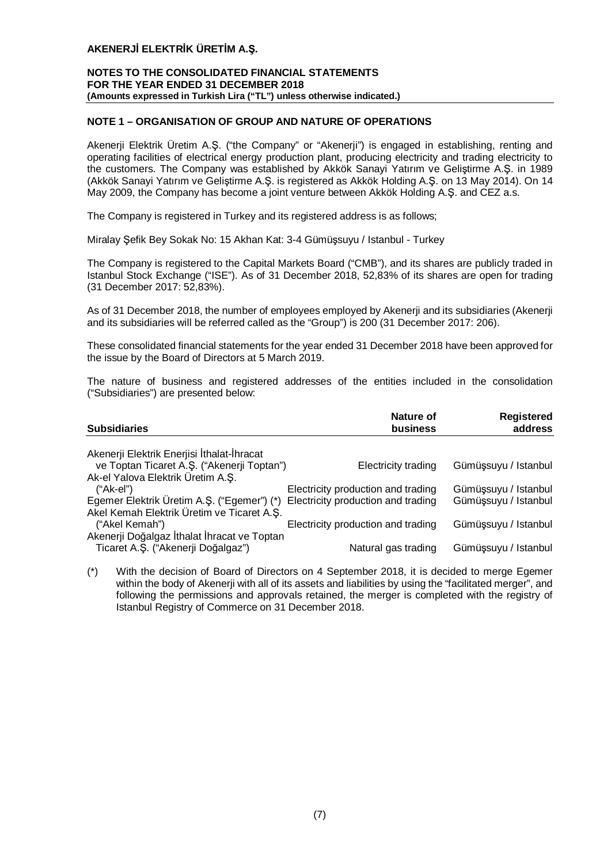## **NOTES TO THE CONSOLIDATED FINANCIAL STATEMENTS FOR THE YEAR ENDED 31 DECEMBER 2018 (Amounts expressed in Turkish Lira ("TL") unless otherwise indicated.)**

## **NOTE 1 – ORGANISATION OF GROUP AND NATURE OF OPERATIONS**

Akenerji Elektrik Üretim A.Ş. ("the Company" or "Akenerji") is engaged in establishing, renting and operating facilities of electrical energy production plant, producing electricity and trading electricity to the customers. The Company was established by Akkök Sanayi Yatırım ve Geliştirme A.Ş. in 1989 (Akkök Sanayi Yatırım ve Geliştirme A.Ş. is registered as Akkök Holding A.Ş. on 13 May 2014). On 14 May 2009, the Company has become a joint venture between Akkök Holding A.Ş. and CEZ a.s.

The Company is registered in Turkey and its registered address is as follows;

Miralay Şefik Bey Sokak No: 15 Akhan Kat: 3-4 Gümüşsuyu / Istanbul - Turkey

The Company is registered to the Capital Markets Board ("CMB"), and its shares are publicly traded in Istanbul Stock Exchange ("ISE"). As of 31 December 2018, 52,83% of its shares are open for trading (31 December 2017: 52,83%).

As of 31 December 2018, the number of employees employed by Akenerji and its subsidiaries (Akenerji and its subsidiaries will be referred called as the "Group") is 200 (31 December 2017: 206).

These consolidated financial statements for the year ended 31 December 2018 have been approved for the issue by the Board of Directors at 5 March 2019.

The nature of business and registered addresses of the entities included in the consolidation ("Subsidiaries") are presented below:

| <b>Subsidiaries</b>                                                                      | Nature of<br>business              | Registered<br>address |
|------------------------------------------------------------------------------------------|------------------------------------|-----------------------|
| Akenerji Elektrik Enerjisi İthalat-İhracat                                               |                                    |                       |
| ve Toptan Ticaret A.Ş. ("Akenerji Toptan")<br>Ak-el Yalova Elektrik Üretim A.Ş.          | Electricity trading                | Gümüşsuyu / Istanbul  |
| $("Ak-el")$                                                                              | Electricity production and trading | Gümüşsuyu / Istanbul  |
| Egemer Elektrik Üretim A.Ş. ("Egemer") (*)<br>Akel Kemah Elektrik Üretim ve Ticaret A.S. | Electricity production and trading | Gümüşsuyu / Istanbul  |
| ("Akel Kemah")<br>Akenerji Doğalgaz İthalat İhracat ve Toptan                            | Electricity production and trading | Gümüşsuyu / Istanbul  |
| Ticaret A.Ş. ("Akenerji Doğalgaz")                                                       | Natural gas trading                | Gümüşsuyu / Istanbul  |

(\*) With the decision of Board of Directors on 4 September 2018, it is decided to merge Egemer within the body of Akenerji with all of its assets and liabilities by using the "facilitated merger", and following the permissions and approvals retained, the merger is completed with the registry of Istanbul Registry of Commerce on 31 December 2018.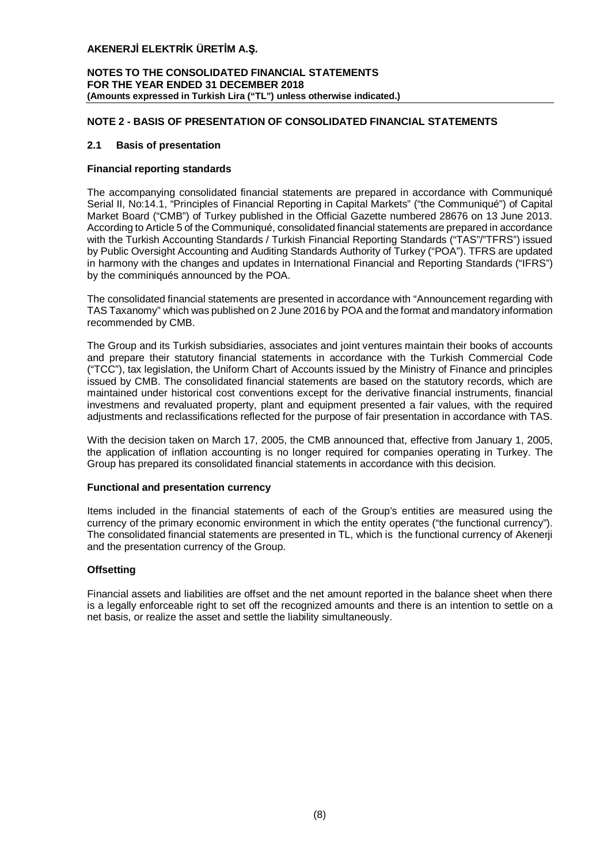## **NOTES TO THE CONSOLIDATED FINANCIAL STATEMENTS FOR THE YEAR ENDED 31 DECEMBER 2018 (Amounts expressed in Turkish Lira ("TL") unless otherwise indicated.)**

## **NOTE 2 - BASIS OF PRESENTATION OF CONSOLIDATED FINANCIAL STATEMENTS**

## **2.1 Basis of presentation**

## **Financial reporting standards**

The accompanying consolidated financial statements are prepared in accordance with Communiqué Serial II, No:14.1, "Principles of Financial Reporting in Capital Markets" ("the Communiqué") of Capital Market Board ("CMB") of Turkey published in the Official Gazette numbered 28676 on 13 June 2013. According to Article 5 of the Communiqué, consolidated financial statements are prepared in accordance with the Turkish Accounting Standards / Turkish Financial Reporting Standards ("TAS"/"TFRS") issued by Public Oversight Accounting and Auditing Standards Authority of Turkey ("POA"). TFRS are updated in harmony with the changes and updates in International Financial and Reporting Standards ("IFRS") by the comminiqués announced by the POA.

The consolidated financial statements are presented in accordance with "Announcement regarding with TAS Taxanomy" which was published on 2 June 2016 by POA and the format and mandatory information recommended by CMB.

The Group and its Turkish subsidiaries, associates and joint ventures maintain their books of accounts and prepare their statutory financial statements in accordance with the Turkish Commercial Code ("TCC"), tax legislation, the Uniform Chart of Accounts issued by the Ministry of Finance and principles issued by CMB. The consolidated financial statements are based on the statutory records, which are maintained under historical cost conventions except for the derivative financial instruments, financial investmens and revaluated property, plant and equipment presented a fair values, with the required adjustments and reclassifications reflected for the purpose of fair presentation in accordance with TAS.

With the decision taken on March 17, 2005, the CMB announced that, effective from January 1, 2005, the application of inflation accounting is no longer required for companies operating in Turkey. The Group has prepared its consolidated financial statements in accordance with this decision.

## **Functional and presentation currency**

Items included in the financial statements of each of the Group's entities are measured using the currency of the primary economic environment in which the entity operates ("the functional currency"). The consolidated financial statements are presented in TL, which is the functional currency of Akenerji and the presentation currency of the Group.

## **Offsetting**

Financial assets and liabilities are offset and the net amount reported in the balance sheet when there is a legally enforceable right to set off the recognized amounts and there is an intention to settle on a net basis, or realize the asset and settle the liability simultaneously.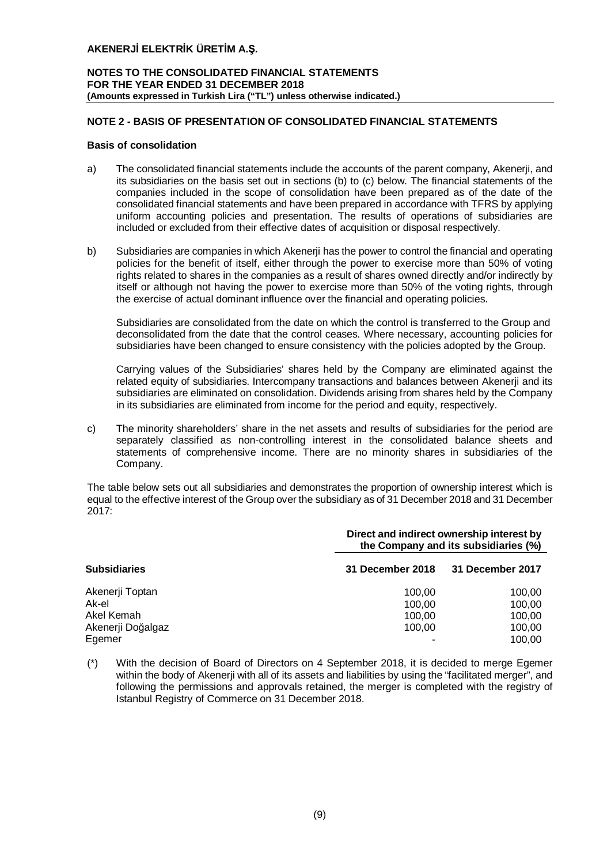## **NOTES TO THE CONSOLIDATED FINANCIAL STATEMENTS FOR THE YEAR ENDED 31 DECEMBER 2018 (Amounts expressed in Turkish Lira ("TL") unless otherwise indicated.)**

## **NOTE 2 - BASIS OF PRESENTATION OF CONSOLIDATED FINANCIAL STATEMENTS**

## **Basis of consolidation**

- a) The consolidated financial statements include the accounts of the parent company, Akenerji, and its subsidiaries on the basis set out in sections (b) to (c) below. The financial statements of the companies included in the scope of consolidation have been prepared as of the date of the consolidated financial statements and have been prepared in accordance with TFRS by applying uniform accounting policies and presentation. The results of operations of subsidiaries are included or excluded from their effective dates of acquisition or disposal respectively.
- b) Subsidiaries are companies in which Akenerji has the power to control the financial and operating policies for the benefit of itself, either through the power to exercise more than 50% of voting rights related to shares in the companies as a result of shares owned directly and/or indirectly by itself or although not having the power to exercise more than 50% of the voting rights, through the exercise of actual dominant influence over the financial and operating policies.

Subsidiaries are consolidated from the date on which the control is transferred to the Group and deconsolidated from the date that the control ceases. Where necessary, accounting policies for subsidiaries have been changed to ensure consistency with the policies adopted by the Group.

Carrying values of the Subsidiaries' shares held by the Company are eliminated against the related equity of subsidiaries. Intercompany transactions and balances between Akenerji and its subsidiaries are eliminated on consolidation. Dividends arising from shares held by the Company in its subsidiaries are eliminated from income for the period and equity, respectively.

c) The minority shareholders' share in the net assets and results of subsidiaries for the period are separately classified as non-controlling interest in the consolidated balance sheets and statements of comprehensive income. There are no minority shares in subsidiaries of the Company.

The table below sets out all subsidiaries and demonstrates the proportion of ownership interest which is equal to the effective interest of the Group over the subsidiary as of 31 December 2018 and 31 December 2017:

|                     |                  | Direct and indirect ownership interest by<br>the Company and its subsidiaries (%) |
|---------------------|------------------|-----------------------------------------------------------------------------------|
| <b>Subsidiaries</b> | 31 December 2018 | 31 December 2017                                                                  |
| Akenerji Toptan     | 100.00           | 100,00                                                                            |
| Ak-el               | 100.00           | 100,00                                                                            |
| Akel Kemah          | 100.00           | 100,00                                                                            |
| Akenerji Doğalgaz   | 100.00           | 100,00                                                                            |
| Egemer              |                  | 100,00                                                                            |

(\*) With the decision of Board of Directors on 4 September 2018, it is decided to merge Egemer within the body of Akenerji with all of its assets and liabilities by using the "facilitated merger", and following the permissions and approvals retained, the merger is completed with the registry of Istanbul Registry of Commerce on 31 December 2018.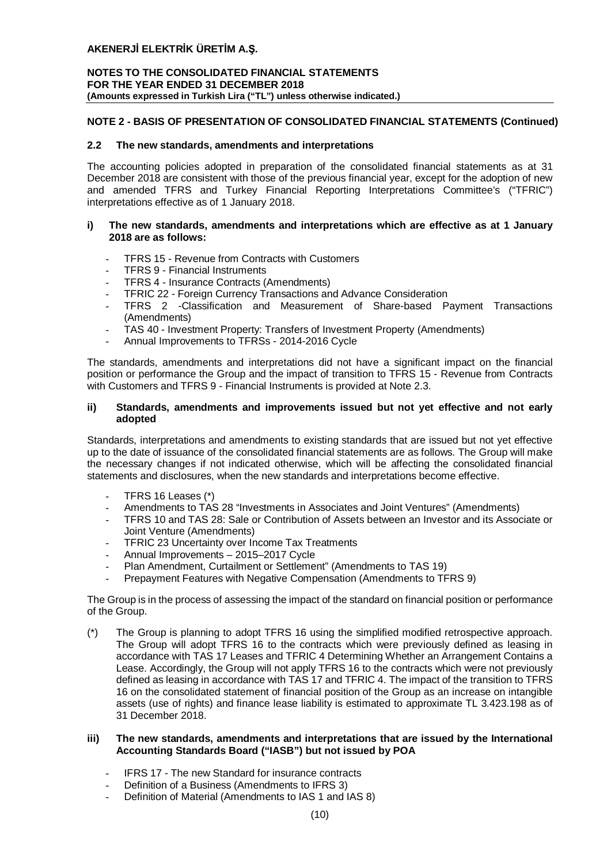## **NOTES TO THE CONSOLIDATED FINANCIAL STATEMENTS FOR THE YEAR ENDED 31 DECEMBER 2018 (Amounts expressed in Turkish Lira ("TL") unless otherwise indicated.)**

## **NOTE 2 - BASIS OF PRESENTATION OF CONSOLIDATED FINANCIAL STATEMENTS (Continued)**

## **2.2 The new standards, amendments and interpretations**

The accounting policies adopted in preparation of the consolidated financial statements as at 31 December 2018 are consistent with those of the previous financial year, except for the adoption of new and amended TFRS and Turkey Financial Reporting Interpretations Committee's ("TFRIC") interpretations effective as of 1 January 2018.

## **i) The new standards, amendments and interpretations which are effective as at 1 January 2018 are as follows:**

- TFRS 15 Revenue from Contracts with Customers
- TFRS 9 Financial Instruments
- TFRS 4 Insurance Contracts (Amendments)
- TFRIC 22 Foreign Currency Transactions and Advance Consideration
- TFRS 2 -Classification and Measurement of Share-based Payment Transactions (Amendments)
- TAS 40 Investment Property: Transfers of Investment Property (Amendments)
- Annual Improvements to TFRSs 2014-2016 Cycle

The standards, amendments and interpretations did not have a significant impact on the financial position or performance the Group and the impact of transition to TFRS 15 - Revenue from Contracts with Customers and TFRS 9 - Financial Instruments is provided at Note 2.3.

## **ii) Standards, amendments and improvements issued but not yet effective and not early adopted**

Standards, interpretations and amendments to existing standards that are issued but not yet effective up to the date of issuance of the consolidated financial statements are as follows. The Group will make the necessary changes if not indicated otherwise, which will be affecting the consolidated financial statements and disclosures, when the new standards and interpretations become effective.

- TFRS 16 Leases (\*)
- Amendments to TAS 28 "Investments in Associates and Joint Ventures" (Amendments)
- TFRS 10 and TAS 28: Sale or Contribution of Assets between an Investor and its Associate or Joint Venture (Amendments)
- **TFRIC 23 Uncertainty over Income Tax Treatments**
- Annual Improvements 2015–2017 Cycle
- Plan Amendment, Curtailment or Settlement" (Amendments to TAS 19)
- Prepayment Features with Negative Compensation (Amendments to TFRS 9)

The Group is in the process of assessing the impact of the standard on financial position or performance of the Group.

(\*) The Group is planning to adopt TFRS 16 using the simplified modified retrospective approach. The Group will adopt TFRS 16 to the contracts which were previously defined as leasing in accordance with TAS 17 Leases and TFRIC 4 Determining Whether an Arrangement Contains a Lease. Accordingly, the Group will not apply TFRS 16 to the contracts which were not previously defined as leasing in accordance with TAS 17 and TFRIC 4. The impact of the transition to TFRS 16 on the consolidated statement of financial position of the Group as an increase on intangible assets (use of rights) and finance lease liability is estimated to approximate TL 3.423.198 as of 31 December 2018.

## **iii) The new standards, amendments and interpretations that are issued by the International Accounting Standards Board ("IASB") but not issued by POA**

- IFRS 17 The new Standard for insurance contracts
- Definition of a Business (Amendments to IFRS 3)
- Definition of Material (Amendments to IAS 1 and IAS 8)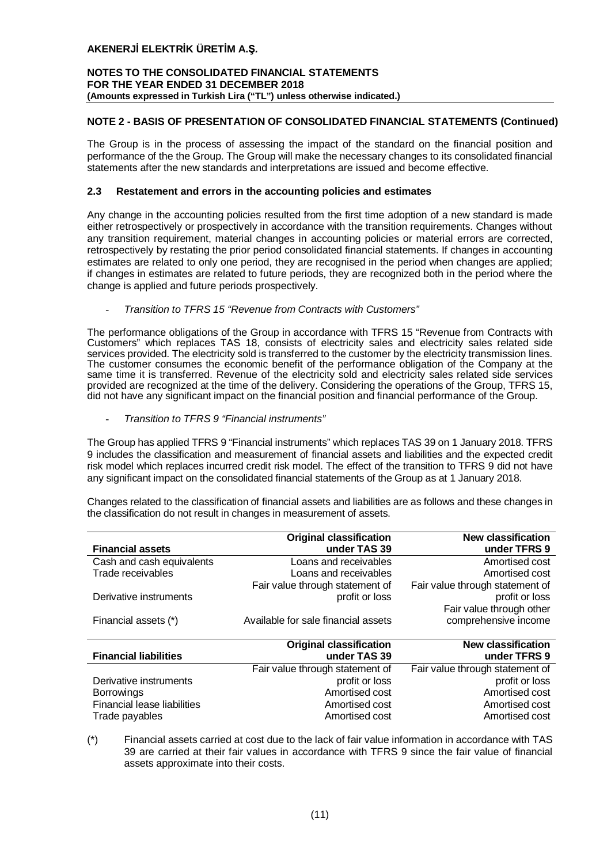## **NOTES TO THE CONSOLIDATED FINANCIAL STATEMENTS FOR THE YEAR ENDED 31 DECEMBER 2018 (Amounts expressed in Turkish Lira ("TL") unless otherwise indicated.)**

## **NOTE 2 - BASIS OF PRESENTATION OF CONSOLIDATED FINANCIAL STATEMENTS (Continued)**

The Group is in the process of assessing the impact of the standard on the financial position and performance of the the Group. The Group will make the necessary changes to its consolidated financial statements after the new standards and interpretations are issued and become effective.

## **2.3 Restatement and errors in the accounting policies and estimates**

Any change in the accounting policies resulted from the first time adoption of a new standard is made either retrospectively or prospectively in accordance with the transition requirements. Changes without any transition requirement, material changes in accounting policies or material errors are corrected, retrospectively by restating the prior period consolidated financial statements. If changes in accounting estimates are related to only one period, they are recognised in the period when changes are applied; if changes in estimates are related to future periods, they are recognized both in the period where the change is applied and future periods prospectively.

## - *Transition to TFRS 15 "Revenue from Contracts with Customers"*

The performance obligations of the Group in accordance with TFRS 15 "Revenue from Contracts with Customers" which replaces TAS 18, consists of electricity sales and electricity sales related side services provided. The electricity sold is transferred to the customer by the electricity transmission lines. The customer consumes the economic benefit of the performance obligation of the Company at the same time it is transferred. Revenue of the electricity sold and electricity sales related side services provided are recognized at the time of the delivery. Considering the operations of the Group, TFRS 15, did not have any significant impact on the financial position and financial performance of the Group.

- *Transition to TFRS 9 "Financial instruments"*

The Group has applied TFRS 9 "Financial instruments" which replaces TAS 39 on 1 January 2018. TFRS 9 includes the classification and measurement of financial assets and liabilities and the expected credit risk model which replaces incurred credit risk model. The effect of the transition to TFRS 9 did not have any significant impact on the consolidated financial statements of the Group as at 1 January 2018.

Changes related to the classification of financial assets and liabilities are as follows and these changes in the classification do not result in changes in measurement of assets.

|                                    | <b>Original classification</b>      | <b>New classification</b>       |
|------------------------------------|-------------------------------------|---------------------------------|
| <b>Financial assets</b>            | under TAS 39                        | under TFRS 9                    |
| Cash and cash equivalents          | Loans and receivables               | Amortised cost                  |
| Trade receivables                  | Loans and receivables               | Amortised cost                  |
|                                    | Fair value through statement of     | Fair value through statement of |
| Derivative instruments             | profit or loss                      | profit or loss                  |
|                                    |                                     | Fair value through other        |
| Financial assets (*)               | Available for sale financial assets | comprehensive income            |
|                                    |                                     |                                 |
|                                    |                                     |                                 |
|                                    | <b>Original classification</b>      | <b>New classification</b>       |
| <b>Financial liabilities</b>       | under TAS 39                        | under TFRS 9                    |
|                                    | Fair value through statement of     | Fair value through statement of |
| Derivative instruments             | profit or loss                      | profit or loss                  |
| <b>Borrowings</b>                  | Amortised cost                      | Amortised cost                  |
| <b>Financial lease liabilities</b> | Amortised cost                      | Amortised cost                  |

(\*) Financial assets carried at cost due to the lack of fair value information in accordance with TAS 39 are carried at their fair values in accordance with TFRS 9 since the fair value of financial assets approximate into their costs.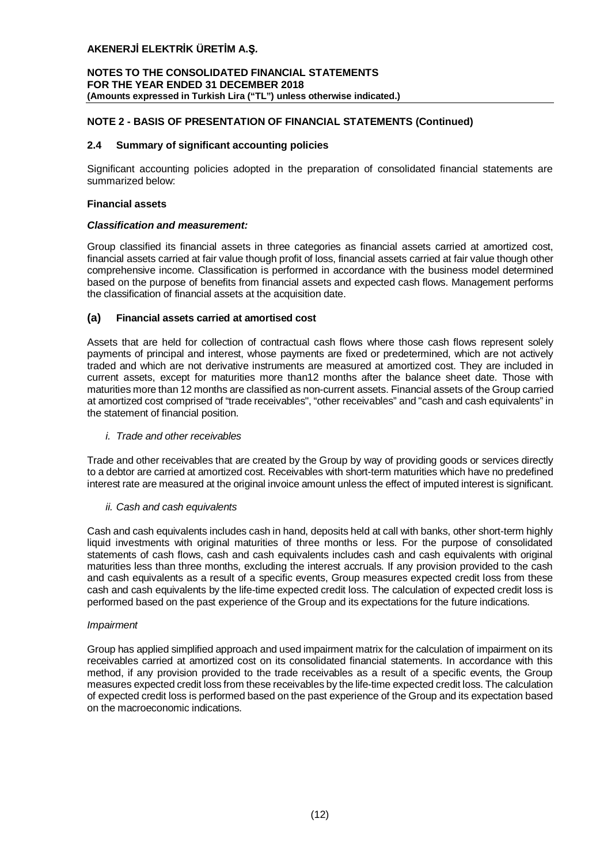## **NOTES TO THE CONSOLIDATED FINANCIAL STATEMENTS FOR THE YEAR ENDED 31 DECEMBER 2018 (Amounts expressed in Turkish Lira ("TL") unless otherwise indicated.)**

## **NOTE 2 - BASIS OF PRESENTATION OF FINANCIAL STATEMENTS (Continued)**

## **2.4 Summary of significant accounting policies**

Significant accounting policies adopted in the preparation of consolidated financial statements are summarized below:

#### **Financial assets**

#### *Classification and measurement:*

Group classified its financial assets in three categories as financial assets carried at amortized cost, financial assets carried at fair value though profit of loss, financial assets carried at fair value though other comprehensive income. Classification is performed in accordance with the business model determined based on the purpose of benefits from financial assets and expected cash flows. Management performs the classification of financial assets at the acquisition date.

## **(a) Financial assets carried at amortised cost**

Assets that are held for collection of contractual cash flows where those cash flows represent solely payments of principal and interest, whose payments are fixed or predetermined, which are not actively traded and which are not derivative instruments are measured at amortized cost. They are included in current assets, except for maturities more than12 months after the balance sheet date. Those with maturities more than 12 months are classified as non-current assets. Financial assets of the Group carried at amortized cost comprised of "trade receivables", "other receivables" and "cash and cash equivalents" in the statement of financial position.

## *i. Trade and other receivables*

Trade and other receivables that are created by the Group by way of providing goods or services directly to a debtor are carried at amortized cost. Receivables with short-term maturities which have no predefined interest rate are measured at the original invoice amount unless the effect of imputed interest is significant.

## *ii. Cash and cash equivalents*

Cash and cash equivalents includes cash in hand, deposits held at call with banks, other short-term highly liquid investments with original maturities of three months or less. For the purpose of consolidated statements of cash flows, cash and cash equivalents includes cash and cash equivalents with original maturities less than three months, excluding the interest accruals. If any provision provided to the cash and cash equivalents as a result of a specific events, Group measures expected credit loss from these cash and cash equivalents by the life-time expected credit loss. The calculation of expected credit loss is performed based on the past experience of the Group and its expectations for the future indications.

## *Impairment*

Group has applied simplified approach and used impairment matrix for the calculation of impairment on its receivables carried at amortized cost on its consolidated financial statements. In accordance with this method, if any provision provided to the trade receivables as a result of a specific events, the Group measures expected credit loss from these receivables by the life-time expected credit loss. The calculation of expected credit loss is performed based on the past experience of the Group and its expectation based on the macroeconomic indications.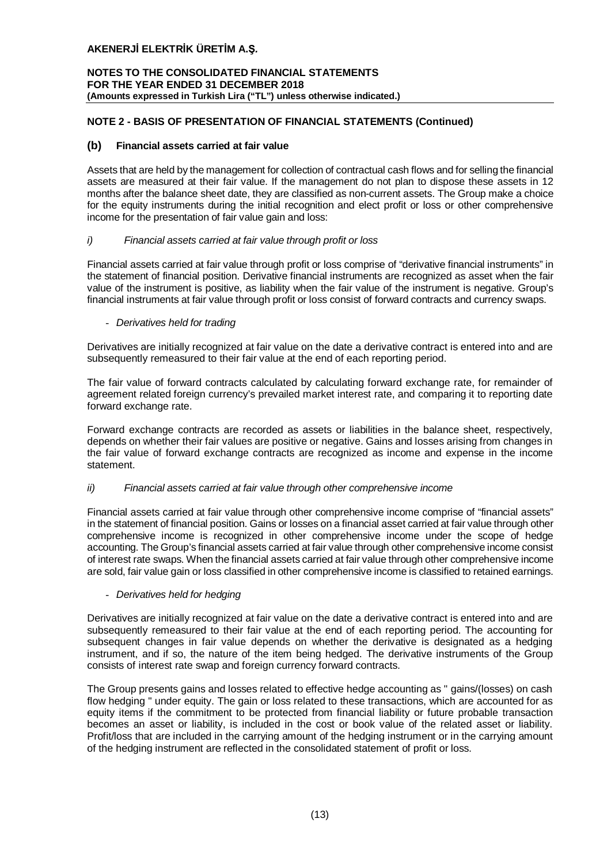## **NOTES TO THE CONSOLIDATED FINANCIAL STATEMENTS FOR THE YEAR ENDED 31 DECEMBER 2018 (Amounts expressed in Turkish Lira ("TL") unless otherwise indicated.)**

## **NOTE 2 - BASIS OF PRESENTATION OF FINANCIAL STATEMENTS (Continued)**

## **(b) Financial assets carried at fair value**

Assets that are held by the management for collection of contractual cash flows and for selling the financial assets are measured at their fair value. If the management do not plan to dispose these assets in 12 months after the balance sheet date, they are classified as non-current assets. The Group make a choice for the equity instruments during the initial recognition and elect profit or loss or other comprehensive income for the presentation of fair value gain and loss:

## *i) Financial assets carried at fair value through profit or loss*

Financial assets carried at fair value through profit or loss comprise of "derivative financial instruments" in the statement of financial position. Derivative financial instruments are recognized as asset when the fair value of the instrument is positive, as liability when the fair value of the instrument is negative. Group's financial instruments at fair value through profit or loss consist of forward contracts and currency swaps.

## - *Derivatives held for trading*

Derivatives are initially recognized at fair value on the date a derivative contract is entered into and are subsequently remeasured to their fair value at the end of each reporting period.

The fair value of forward contracts calculated by calculating forward exchange rate, for remainder of agreement related foreign currency's prevailed market interest rate, and comparing it to reporting date forward exchange rate.

Forward exchange contracts are recorded as assets or liabilities in the balance sheet, respectively, depends on whether their fair values are positive or negative. Gains and losses arising from changes in the fair value of forward exchange contracts are recognized as income and expense in the income statement.

## *ii) Financial assets carried at fair value through other comprehensive income*

Financial assets carried at fair value through other comprehensive income comprise of "financial assets" in the statement of financial position. Gains or losses on a financial asset carried at fair value through other comprehensive income is recognized in other comprehensive income under the scope of hedge accounting. The Group's financial assets carried at fair value through other comprehensive income consist of interest rate swaps. When the financial assets carried at fair value through other comprehensive income are sold, fair value gain or loss classified in other comprehensive income is classified to retained earnings.

## - *Derivatives held for hedging*

Derivatives are initially recognized at fair value on the date a derivative contract is entered into and are subsequently remeasured to their fair value at the end of each reporting period. The accounting for subsequent changes in fair value depends on whether the derivative is designated as a hedging instrument, and if so, the nature of the item being hedged. The derivative instruments of the Group consists of interest rate swap and foreign currency forward contracts.

The Group presents gains and losses related to effective hedge accounting as " gains/(losses) on cash flow hedging " under equity. The gain or loss related to these transactions, which are accounted for as equity items if the commitment to be protected from financial liability or future probable transaction becomes an asset or liability, is included in the cost or book value of the related asset or liability. Profit/loss that are included in the carrying amount of the hedging instrument or in the carrying amount of the hedging instrument are reflected in the consolidated statement of profit or loss.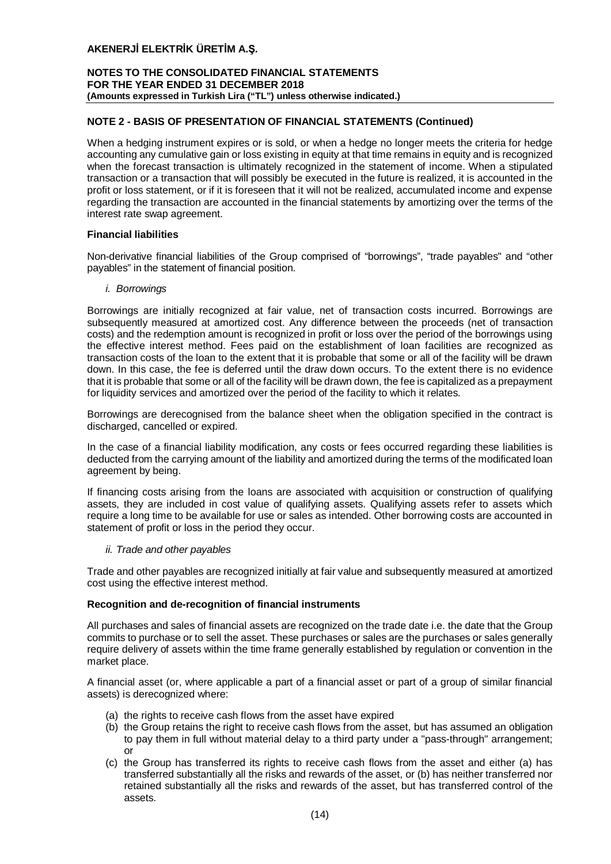## **NOTES TO THE CONSOLIDATED FINANCIAL STATEMENTS FOR THE YEAR ENDED 31 DECEMBER 2018 (Amounts expressed in Turkish Lira ("TL") unless otherwise indicated.)**

## **NOTE 2 - BASIS OF PRESENTATION OF FINANCIAL STATEMENTS (Continued)**

When a hedging instrument expires or is sold, or when a hedge no longer meets the criteria for hedge accounting any cumulative gain or loss existing in equity at that time remains in equity and is recognized when the forecast transaction is ultimately recognized in the statement of income. When a stipulated transaction or a transaction that will possibly be executed in the future is realized, it is accounted in the profit or loss statement, or if it is foreseen that it will not be realized, accumulated income and expense regarding the transaction are accounted in the financial statements by amortizing over the terms of the interest rate swap agreement.

## **Financial liabilities**

Non-derivative financial liabilities of the Group comprised of "borrowings", "trade payables" and "other payables" in the statement of financial position.

## *i. Borrowings*

Borrowings are initially recognized at fair value, net of transaction costs incurred. Borrowings are subsequently measured at amortized cost. Any difference between the proceeds (net of transaction costs) and the redemption amount is recognized in profit or loss over the period of the borrowings using the effective interest method. Fees paid on the establishment of loan facilities are recognized as transaction costs of the loan to the extent that it is probable that some or all of the facility will be drawn down. In this case, the fee is deferred until the draw down occurs. To the extent there is no evidence that it is probable that some or all of the facility will be drawn down, the fee is capitalized as a prepayment for liquidity services and amortized over the period of the facility to which it relates.

Borrowings are derecognised from the balance sheet when the obligation specified in the contract is discharged, cancelled or expired.

In the case of a financial liability modification, any costs or fees occurred regarding these liabilities is deducted from the carrying amount of the liability and amortized during the terms of the modificated loan agreement by being.

If financing costs arising from the loans are associated with acquisition or construction of qualifying assets, they are included in cost value of qualifying assets. Qualifying assets refer to assets which require a long time to be available for use or sales as intended. Other borrowing costs are accounted in statement of profit or loss in the period they occur.

## *ii. Trade and other payables*

Trade and other payables are recognized initially at fair value and subsequently measured at amortized cost using the effective interest method.

## **Recognition and de-recognition of financial instruments**

All purchases and sales of financial assets are recognized on the trade date i.e. the date that the Group commits to purchase or to sell the asset. These purchases or sales are the purchases or sales generally require delivery of assets within the time frame generally established by regulation or convention in the market place.

A financial asset (or, where applicable a part of a financial asset or part of a group of similar financial assets) is derecognized where:

- (a) the rights to receive cash flows from the asset have expired
- (b) the Group retains the right to receive cash flows from the asset, but has assumed an obligation to pay them in full without material delay to a third party under a "pass-through" arrangement; or
- (c) the Group has transferred its rights to receive cash flows from the asset and either (a) has transferred substantially all the risks and rewards of the asset, or (b) has neither transferred nor retained substantially all the risks and rewards of the asset, but has transferred control of the assets.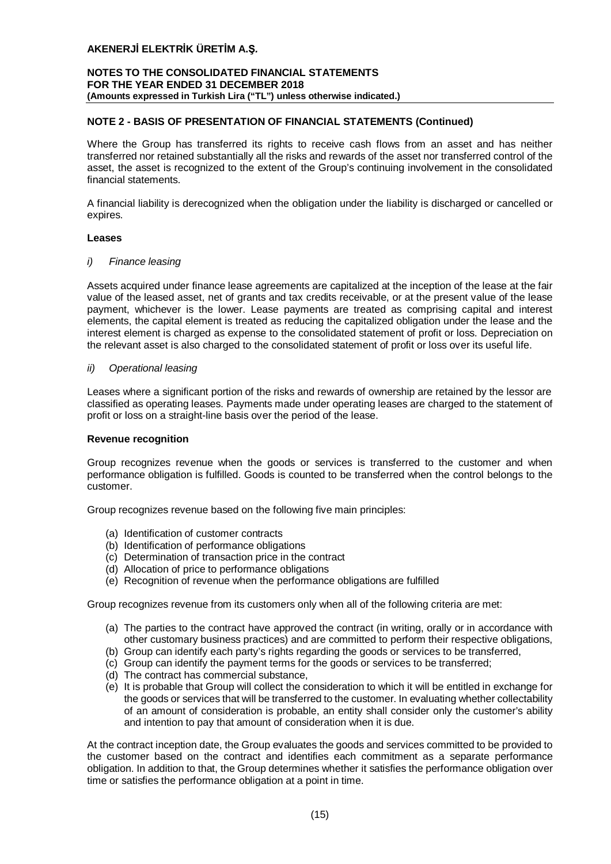## **NOTES TO THE CONSOLIDATED FINANCIAL STATEMENTS FOR THE YEAR ENDED 31 DECEMBER 2018 (Amounts expressed in Turkish Lira ("TL") unless otherwise indicated.)**

## **NOTE 2 - BASIS OF PRESENTATION OF FINANCIAL STATEMENTS (Continued)**

Where the Group has transferred its rights to receive cash flows from an asset and has neither transferred nor retained substantially all the risks and rewards of the asset nor transferred control of the asset, the asset is recognized to the extent of the Group's continuing involvement in the consolidated financial statements.

A financial liability is derecognized when the obligation under the liability is discharged or cancelled or expires.

#### **Leases**

#### *i) Finance leasing*

Assets acquired under finance lease agreements are capitalized at the inception of the lease at the fair value of the leased asset, net of grants and tax credits receivable, or at the present value of the lease payment, whichever is the lower. Lease payments are treated as comprising capital and interest elements, the capital element is treated as reducing the capitalized obligation under the lease and the interest element is charged as expense to the consolidated statement of profit or loss. Depreciation on the relevant asset is also charged to the consolidated statement of profit or loss over its useful life.

#### *ii) Operational leasing*

Leases where a significant portion of the risks and rewards of ownership are retained by the lessor are classified as operating leases. Payments made under operating leases are charged to the statement of profit or loss on a straight-line basis over the period of the lease.

## **Revenue recognition**

Group recognizes revenue when the goods or services is transferred to the customer and when performance obligation is fulfilled. Goods is counted to be transferred when the control belongs to the customer.

Group recognizes revenue based on the following five main principles:

- (a) Identification of customer contracts
- (b) Identification of performance obligations
- (c) Determination of transaction price in the contract
- (d) Allocation of price to performance obligations
- (e) Recognition of revenue when the performance obligations are fulfilled

Group recognizes revenue from its customers only when all of the following criteria are met:

- (a) The parties to the contract have approved the contract (in writing, orally or in accordance with other customary business practices) and are committed to perform their respective obligations,
- (b) Group can identify each party's rights regarding the goods or services to be transferred,
- (c) Group can identify the payment terms for the goods or services to be transferred;
- (d) The contract has commercial substance,
- (e) It is probable that Group will collect the consideration to which it will be entitled in exchange for the goods or services that will be transferred to the customer. In evaluating whether collectability of an amount of consideration is probable, an entity shall consider only the customer's ability and intention to pay that amount of consideration when it is due.

At the contract inception date, the Group evaluates the goods and services committed to be provided to the customer based on the contract and identifies each commitment as a separate performance obligation. In addition to that, the Group determines whether it satisfies the performance obligation over time or satisfies the performance obligation at a point in time.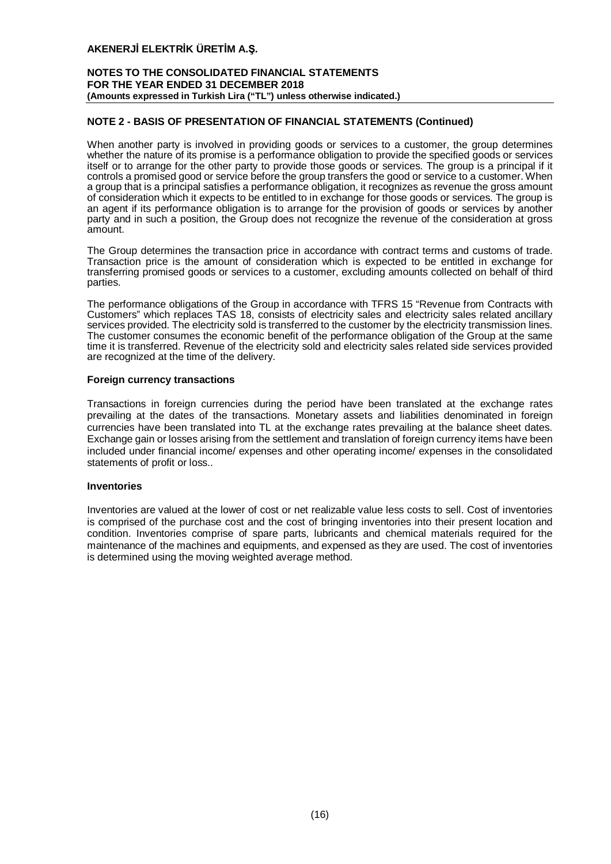## **NOTES TO THE CONSOLIDATED FINANCIAL STATEMENTS FOR THE YEAR ENDED 31 DECEMBER 2018 (Amounts expressed in Turkish Lira ("TL") unless otherwise indicated.)**

## **NOTE 2 - BASIS OF PRESENTATION OF FINANCIAL STATEMENTS (Continued)**

When another party is involved in providing goods or services to a customer, the group determines whether the nature of its promise is a performance obligation to provide the specified goods or services itself or to arrange for the other party to provide those goods or services. The group is a principal if it controls a promised good or service before the group transfers the good or service to a customer. When a group that is a principal satisfies a performance obligation, it recognizes as revenue the gross amount of consideration which it expects to be entitled to in exchange for those goods or services. The group is an agent if its performance obligation is to arrange for the provision of goods or services by another party and in such a position, the Group does not recognize the revenue of the consideration at gross amount.

The Group determines the transaction price in accordance with contract terms and customs of trade. Transaction price is the amount of consideration which is expected to be entitled in exchange for transferring promised goods or services to a customer, excluding amounts collected on behalf of third parties.

The performance obligations of the Group in accordance with TFRS 15 "Revenue from Contracts with Customers" which replaces TAS 18, consists of electricity sales and electricity sales related ancillary services provided. The electricity sold is transferred to the customer by the electricity transmission lines. The customer consumes the economic benefit of the performance obligation of the Group at the same time it is transferred. Revenue of the electricity sold and electricity sales related side services provided are recognized at the time of the delivery.

#### **Foreign currency transactions**

Transactions in foreign currencies during the period have been translated at the exchange rates prevailing at the dates of the transactions. Monetary assets and liabilities denominated in foreign currencies have been translated into TL at the exchange rates prevailing at the balance sheet dates. Exchange gain or losses arising from the settlement and translation of foreign currency items have been included under financial income/ expenses and other operating income/ expenses in the consolidated statements of profit or loss..

## **Inventories**

Inventories are valued at the lower of cost or net realizable value less costs to sell. Cost of inventories is comprised of the purchase cost and the cost of bringing inventories into their present location and condition. Inventories comprise of spare parts, lubricants and chemical materials required for the maintenance of the machines and equipments, and expensed as they are used. The cost of inventories is determined using the moving weighted average method.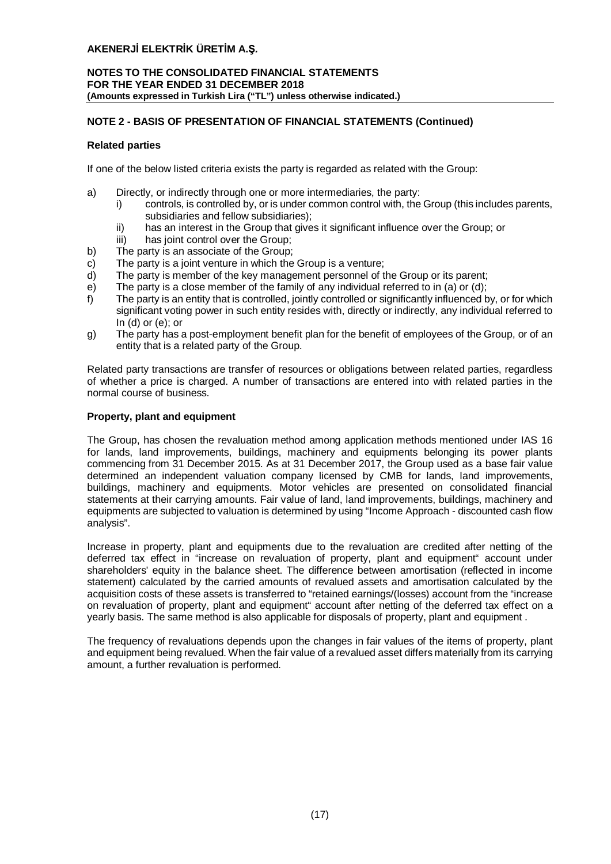## **NOTES TO THE CONSOLIDATED FINANCIAL STATEMENTS FOR THE YEAR ENDED 31 DECEMBER 2018 (Amounts expressed in Turkish Lira ("TL") unless otherwise indicated.)**

## **NOTE 2 - BASIS OF PRESENTATION OF FINANCIAL STATEMENTS (Continued)**

## **Related parties**

If one of the below listed criteria exists the party is regarded as related with the Group:

- a) Directly, or indirectly through one or more intermediaries, the party:
	- i) controls, is controlled by, or is under common control with, the Group (this includes parents, subsidiaries and fellow subsidiaries);
	- ii) has an interest in the Group that gives it significant influence over the Group; or
	- iii) has joint control over the Group:
- b) The party is an associate of the Group;
- c) The party is a joint venture in which the Group is a venture;
- d) The party is member of the key management personnel of the Group or its parent;
- e) The party is a close member of the family of any individual referred to in (a) or (d);
- f) The party is an entity that is controlled, jointly controlled or significantly influenced by, or for which significant voting power in such entity resides with, directly or indirectly, any individual referred to In  $(d)$  or  $(e)$ ; or
- g) The party has a post-employment benefit plan for the benefit of employees of the Group, or of an entity that is a related party of the Group.

Related party transactions are transfer of resources or obligations between related parties, regardless of whether a price is charged. A number of transactions are entered into with related parties in the normal course of business.

## **Property, plant and equipment**

The Group, has chosen the revaluation method among application methods mentioned under IAS 16 for lands, land improvements, buildings, machinery and equipments belonging its power plants commencing from 31 December 2015. As at 31 December 2017, the Group used as a base fair value determined an independent valuation company licensed by CMB for lands, land improvements, buildings, machinery and equipments. Motor vehicles are presented on consolidated financial statements at their carrying amounts. Fair value of land, land improvements, buildings, machinery and equipments are subjected to valuation is determined by using "Income Approach - discounted cash flow analysis".

Increase in property, plant and equipments due to the revaluation are credited after netting of the deferred tax effect in "increase on revaluation of property, plant and equipment" account under shareholders' equity in the balance sheet. The difference between amortisation (reflected in income statement) calculated by the carried amounts of revalued assets and amortisation calculated by the acquisition costs of these assets is transferred to "retained earnings/(losses) account from the "increase on revaluation of property, plant and equipment" account after netting of the deferred tax effect on a yearly basis. The same method is also applicable for disposals of property, plant and equipment .

The frequency of revaluations depends upon the changes in fair values of the items of property, plant and equipment being revalued. When the fair value of a revalued asset differs materially from its carrying amount, a further revaluation is performed.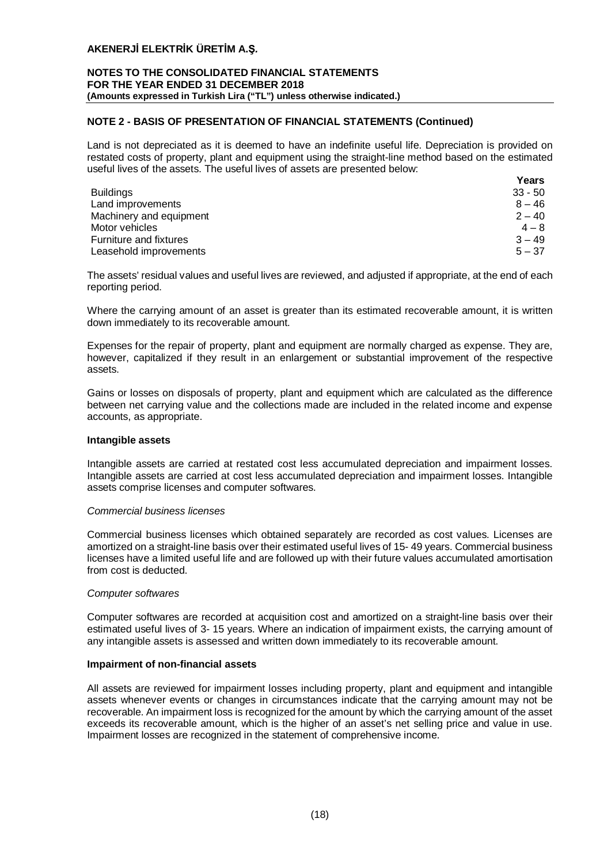#### **NOTES TO THE CONSOLIDATED FINANCIAL STATEMENTS FOR THE YEAR ENDED 31 DECEMBER 2018 (Amounts expressed in Turkish Lira ("TL") unless otherwise indicated.)**

## **NOTE 2 - BASIS OF PRESENTATION OF FINANCIAL STATEMENTS (Continued)**

Land is not depreciated as it is deemed to have an indefinite useful life. Depreciation is provided on restated costs of property, plant and equipment using the straight-line method based on the estimated useful lives of the assets. The useful lives of assets are presented below:

|                         | Years     |
|-------------------------|-----------|
| <b>Buildings</b>        | $33 - 50$ |
| Land improvements       | $8 - 46$  |
| Machinery and equipment | $2 - 40$  |
| Motor vehicles          | $4 - 8$   |
| Furniture and fixtures  | $3 - 49$  |
| Leasehold improvements  | $5 - 37$  |

The assets' residual values and useful lives are reviewed, and adjusted if appropriate, at the end of each reporting period.

Where the carrying amount of an asset is greater than its estimated recoverable amount, it is written down immediately to its recoverable amount.

Expenses for the repair of property, plant and equipment are normally charged as expense. They are, however, capitalized if they result in an enlargement or substantial improvement of the respective assets.

Gains or losses on disposals of property, plant and equipment which are calculated as the difference between net carrying value and the collections made are included in the related income and expense accounts, as appropriate.

## **Intangible assets**

Intangible assets are carried at restated cost less accumulated depreciation and impairment losses. Intangible assets are carried at cost less accumulated depreciation and impairment losses. Intangible assets comprise licenses and computer softwares.

## *Commercial business licenses*

Commercial business licenses which obtained separately are recorded as cost values. Licenses are amortized on a straight-line basis over their estimated useful lives of 15- 49 years. Commercial business licenses have a limited useful life and are followed up with their future values accumulated amortisation from cost is deducted.

## *Computer softwares*

Computer softwares are recorded at acquisition cost and amortized on a straight-line basis over their estimated useful lives of 3- 15 years. Where an indication of impairment exists, the carrying amount of any intangible assets is assessed and written down immediately to its recoverable amount.

## **Impairment of non-financial assets**

All assets are reviewed for impairment losses including property, plant and equipment and intangible assets whenever events or changes in circumstances indicate that the carrying amount may not be recoverable. An impairment loss is recognized for the amount by which the carrying amount of the asset exceeds its recoverable amount, which is the higher of an asset's net selling price and value in use. Impairment losses are recognized in the statement of comprehensive income.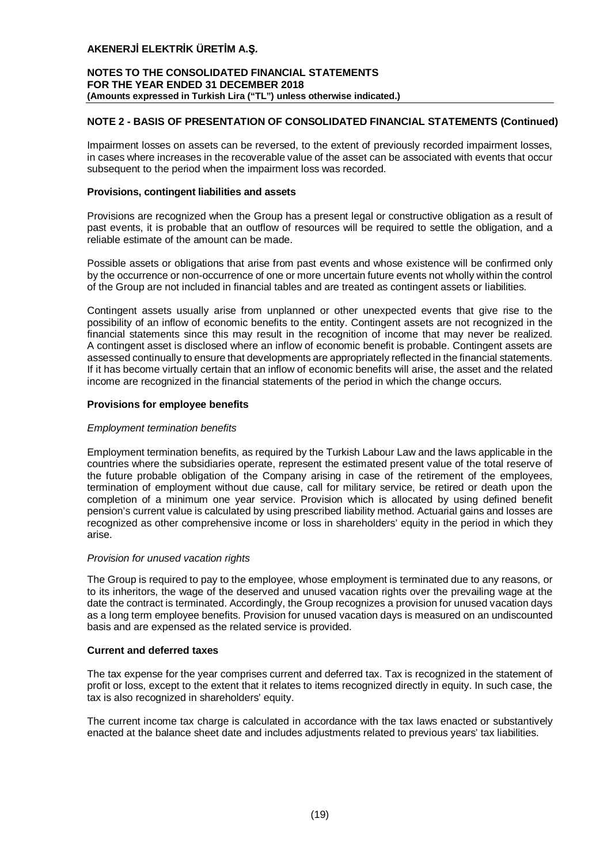## **NOTES TO THE CONSOLIDATED FINANCIAL STATEMENTS FOR THE YEAR ENDED 31 DECEMBER 2018 (Amounts expressed in Turkish Lira ("TL") unless otherwise indicated.)**

## **NOTE 2 - BASIS OF PRESENTATION OF CONSOLIDATED FINANCIAL STATEMENTS (Continued)**

Impairment losses on assets can be reversed, to the extent of previously recorded impairment losses, in cases where increases in the recoverable value of the asset can be associated with events that occur subsequent to the period when the impairment loss was recorded.

## **Provisions, contingent liabilities and assets**

Provisions are recognized when the Group has a present legal or constructive obligation as a result of past events, it is probable that an outflow of resources will be required to settle the obligation, and a reliable estimate of the amount can be made.

Possible assets or obligations that arise from past events and whose existence will be confirmed only by the occurrence or non-occurrence of one or more uncertain future events not wholly within the control of the Group are not included in financial tables and are treated as contingent assets or liabilities.

Contingent assets usually arise from unplanned or other unexpected events that give rise to the possibility of an inflow of economic benefits to the entity. Contingent assets are not recognized in the financial statements since this may result in the recognition of income that may never be realized. A contingent asset is disclosed where an inflow of economic benefit is probable. Contingent assets are assessed continually to ensure that developments are appropriately reflected in the financial statements. If it has become virtually certain that an inflow of economic benefits will arise, the asset and the related income are recognized in the financial statements of the period in which the change occurs.

## **Provisions for employee benefits**

## *Employment termination benefits*

Employment termination benefits, as required by the Turkish Labour Law and the laws applicable in the countries where the subsidiaries operate, represent the estimated present value of the total reserve of the future probable obligation of the Company arising in case of the retirement of the employees, termination of employment without due cause, call for military service, be retired or death upon the completion of a minimum one year service. Provision which is allocated by using defined benefit pension's current value is calculated by using prescribed liability method. Actuarial gains and losses are recognized as other comprehensive income or loss in shareholders' equity in the period in which they arise.

## *Provision for unused vacation rights*

The Group is required to pay to the employee, whose employment is terminated due to any reasons, or to its inheritors, the wage of the deserved and unused vacation rights over the prevailing wage at the date the contract is terminated. Accordingly, the Group recognizes a provision for unused vacation days as a long term employee benefits. Provision for unused vacation days is measured on an undiscounted basis and are expensed as the related service is provided.

#### **Current and deferred taxes**

The tax expense for the year comprises current and deferred tax. Tax is recognized in the statement of profit or loss, except to the extent that it relates to items recognized directly in equity. In such case, the tax is also recognized in shareholders' equity.

The current income tax charge is calculated in accordance with the tax laws enacted or substantively enacted at the balance sheet date and includes adjustments related to previous years' tax liabilities.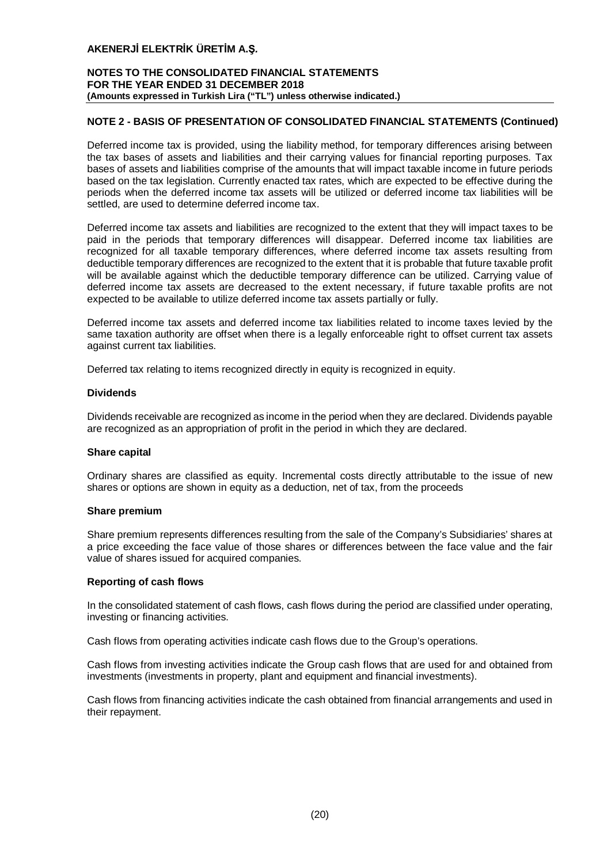## **NOTES TO THE CONSOLIDATED FINANCIAL STATEMENTS FOR THE YEAR ENDED 31 DECEMBER 2018 (Amounts expressed in Turkish Lira ("TL") unless otherwise indicated.)**

## **NOTE 2 - BASIS OF PRESENTATION OF CONSOLIDATED FINANCIAL STATEMENTS (Continued)**

Deferred income tax is provided, using the liability method, for temporary differences arising between the tax bases of assets and liabilities and their carrying values for financial reporting purposes. Tax bases of assets and liabilities comprise of the amounts that will impact taxable income in future periods based on the tax legislation. Currently enacted tax rates, which are expected to be effective during the periods when the deferred income tax assets will be utilized or deferred income tax liabilities will be settled, are used to determine deferred income tax.

Deferred income tax assets and liabilities are recognized to the extent that they will impact taxes to be paid in the periods that temporary differences will disappear. Deferred income tax liabilities are recognized for all taxable temporary differences, where deferred income tax assets resulting from deductible temporary differences are recognized to the extent that it is probable that future taxable profit will be available against which the deductible temporary difference can be utilized. Carrying value of deferred income tax assets are decreased to the extent necessary, if future taxable profits are not expected to be available to utilize deferred income tax assets partially or fully.

Deferred income tax assets and deferred income tax liabilities related to income taxes levied by the same taxation authority are offset when there is a legally enforceable right to offset current tax assets against current tax liabilities.

Deferred tax relating to items recognized directly in equity is recognized in equity.

#### **Dividends**

Dividends receivable are recognized as income in the period when they are declared. Dividends payable are recognized as an appropriation of profit in the period in which they are declared.

#### **Share capital**

Ordinary shares are classified as equity. Incremental costs directly attributable to the issue of new shares or options are shown in equity as a deduction, net of tax, from the proceeds

#### **Share premium**

Share premium represents differences resulting from the sale of the Company's Subsidiaries' shares at a price exceeding the face value of those shares or differences between the face value and the fair value of shares issued for acquired companies.

## **Reporting of cash flows**

In the consolidated statement of cash flows, cash flows during the period are classified under operating, investing or financing activities.

Cash flows from operating activities indicate cash flows due to the Group's operations.

Cash flows from investing activities indicate the Group cash flows that are used for and obtained from investments (investments in property, plant and equipment and financial investments).

Cash flows from financing activities indicate the cash obtained from financial arrangements and used in their repayment.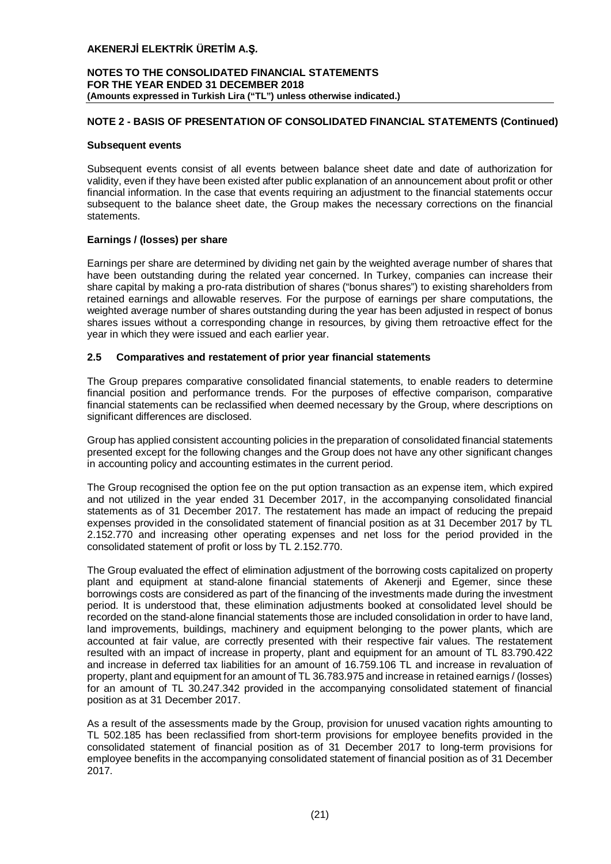#### **NOTES TO THE CONSOLIDATED FINANCIAL STATEMENTS FOR THE YEAR ENDED 31 DECEMBER 2018 (Amounts expressed in Turkish Lira ("TL") unless otherwise indicated.)**

## **NOTE 2 - BASIS OF PRESENTATION OF CONSOLIDATED FINANCIAL STATEMENTS (Continued)**

#### **Subsequent events**

Subsequent events consist of all events between balance sheet date and date of authorization for validity, even if they have been existed after public explanation of an announcement about profit or other financial information. In the case that events requiring an adjustment to the financial statements occur subsequent to the balance sheet date, the Group makes the necessary corrections on the financial statements.

## **Earnings / (losses) per share**

Earnings per share are determined by dividing net gain by the weighted average number of shares that have been outstanding during the related year concerned. In Turkey, companies can increase their share capital by making a pro-rata distribution of shares ("bonus shares") to existing shareholders from retained earnings and allowable reserves. For the purpose of earnings per share computations, the weighted average number of shares outstanding during the year has been adjusted in respect of bonus shares issues without a corresponding change in resources, by giving them retroactive effect for the year in which they were issued and each earlier year.

## **2.5 Comparatives and restatement of prior year financial statements**

The Group prepares comparative consolidated financial statements, to enable readers to determine financial position and performance trends. For the purposes of effective comparison, comparative financial statements can be reclassified when deemed necessary by the Group, where descriptions on significant differences are disclosed.

Group has applied consistent accounting policies in the preparation of consolidated financial statements presented except for the following changes and the Group does not have any other significant changes in accounting policy and accounting estimates in the current period.

The Group recognised the option fee on the put option transaction as an expense item, which expired and not utilized in the year ended 31 December 2017, in the accompanying consolidated financial statements as of 31 December 2017. The restatement has made an impact of reducing the prepaid expenses provided in the consolidated statement of financial position as at 31 December 2017 by TL 2.152.770 and increasing other operating expenses and net loss for the period provided in the consolidated statement of profit or loss by TL 2.152.770.

The Group evaluated the effect of elimination adjustment of the borrowing costs capitalized on property plant and equipment at stand-alone financial statements of Akenerji and Egemer, since these borrowings costs are considered as part of the financing of the investments made during the investment period. It is understood that, these elimination adjustments booked at consolidated level should be recorded on the stand-alone financial statements those are included consolidation in order to have land, land improvements, buildings, machinery and equipment belonging to the power plants, which are accounted at fair value, are correctly presented with their respective fair values. The restatement resulted with an impact of increase in property, plant and equipment for an amount of TL 83.790.422 and increase in deferred tax liabilities for an amount of 16.759.106 TL and increase in revaluation of property, plant and equipment for an amount of TL 36.783.975 and increase in retained earnigs / (losses) for an amount of TL 30.247.342 provided in the accompanying consolidated statement of financial position as at 31 December 2017.

As a result of the assessments made by the Group, provision for unused vacation rights amounting to TL 502.185 has been reclassified from short-term provisions for employee benefits provided in the consolidated statement of financial position as of 31 December 2017 to long-term provisions for employee benefits in the accompanying consolidated statement of financial position as of 31 December 2017.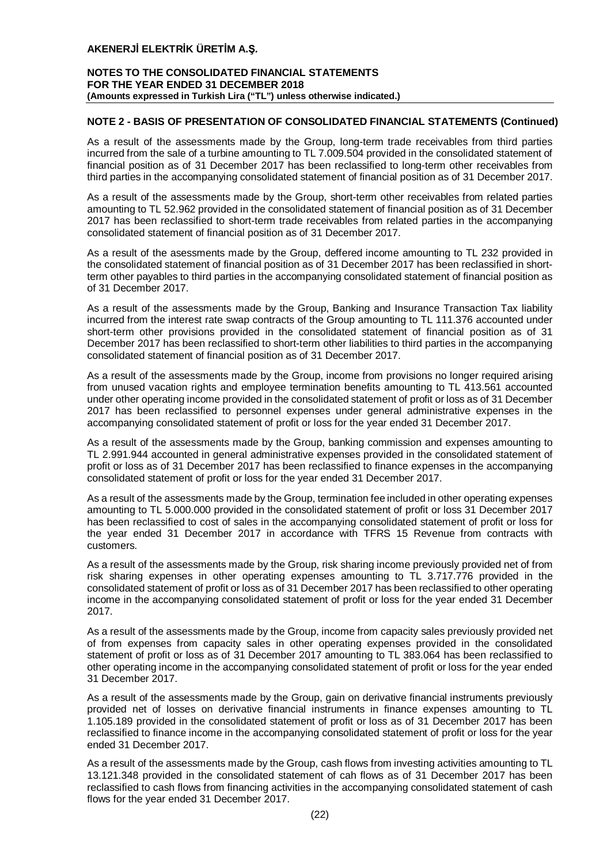## **NOTES TO THE CONSOLIDATED FINANCIAL STATEMENTS FOR THE YEAR ENDED 31 DECEMBER 2018 (Amounts expressed in Turkish Lira ("TL") unless otherwise indicated.)**

## **NOTE 2 - BASIS OF PRESENTATION OF CONSOLIDATED FINANCIAL STATEMENTS (Continued)**

As a result of the assessments made by the Group, long-term trade receivables from third parties incurred from the sale of a turbine amounting to TL 7.009.504 provided in the consolidated statement of financial position as of 31 December 2017 has been reclassified to long-term other receivables from third parties in the accompanying consolidated statement of financial position as of 31 December 2017.

As a result of the assessments made by the Group, short-term other receivables from related parties amounting to TL 52.962 provided in the consolidated statement of financial position as of 31 December 2017 has been reclassified to short-term trade receivables from related parties in the accompanying consolidated statement of financial position as of 31 December 2017.

As a result of the asessments made by the Group, deffered income amounting to TL 232 provided in the consolidated statement of financial position as of 31 December 2017 has been reclassified in shortterm other payables to third parties in the accompanying consolidated statement of financial position as of 31 December 2017.

As a result of the assessments made by the Group, Banking and Insurance Transaction Tax liability incurred from the interest rate swap contracts of the Group amounting to TL 111.376 accounted under short-term other provisions provided in the consolidated statement of financial position as of 31 December 2017 has been reclassified to short-term other liabilities to third parties in the accompanying consolidated statement of financial position as of 31 December 2017.

As a result of the assessments made by the Group, income from provisions no longer required arising from unused vacation rights and employee termination benefits amounting to TL 413.561 accounted under other operating income provided in the consolidated statement of profit or loss as of 31 December 2017 has been reclassified to personnel expenses under general administrative expenses in the accompanying consolidated statement of profit or loss for the year ended 31 December 2017.

As a result of the assessments made by the Group, banking commission and expenses amounting to TL 2.991.944 accounted in general administrative expenses provided in the consolidated statement of profit or loss as of 31 December 2017 has been reclassified to finance expenses in the accompanying consolidated statement of profit or loss for the year ended 31 December 2017.

As a result of the assessments made by the Group, termination fee included in other operating expenses amounting to TL 5.000.000 provided in the consolidated statement of profit or loss 31 December 2017 has been reclassified to cost of sales in the accompanying consolidated statement of profit or loss for the year ended 31 December 2017 in accordance with TFRS 15 Revenue from contracts with customers.

As a result of the assessments made by the Group, risk sharing income previously provided net of from risk sharing expenses in other operating expenses amounting to TL 3.717.776 provided in the consolidated statement of profit or loss as of 31 December 2017 has been reclassified to other operating income in the accompanying consolidated statement of profit or loss for the year ended 31 December 2017.

As a result of the assessments made by the Group, income from capacity sales previously provided net of from expenses from capacity sales in other operating expenses provided in the consolidated statement of profit or loss as of 31 December 2017 amounting to TL 383.064 has been reclassified to other operating income in the accompanying consolidated statement of profit or loss for the year ended 31 December 2017.

As a result of the assessments made by the Group, gain on derivative financial instruments previously provided net of losses on derivative financial instruments in finance expenses amounting to TL 1.105.189 provided in the consolidated statement of profit or loss as of 31 December 2017 has been reclassified to finance income in the accompanying consolidated statement of profit or loss for the year ended 31 December 2017.

As a result of the assessments made by the Group, cash flows from investing activities amounting to TL 13.121.348 provided in the consolidated statement of cah flows as of 31 December 2017 has been reclassified to cash flows from financing activities in the accompanying consolidated statement of cash flows for the year ended 31 December 2017.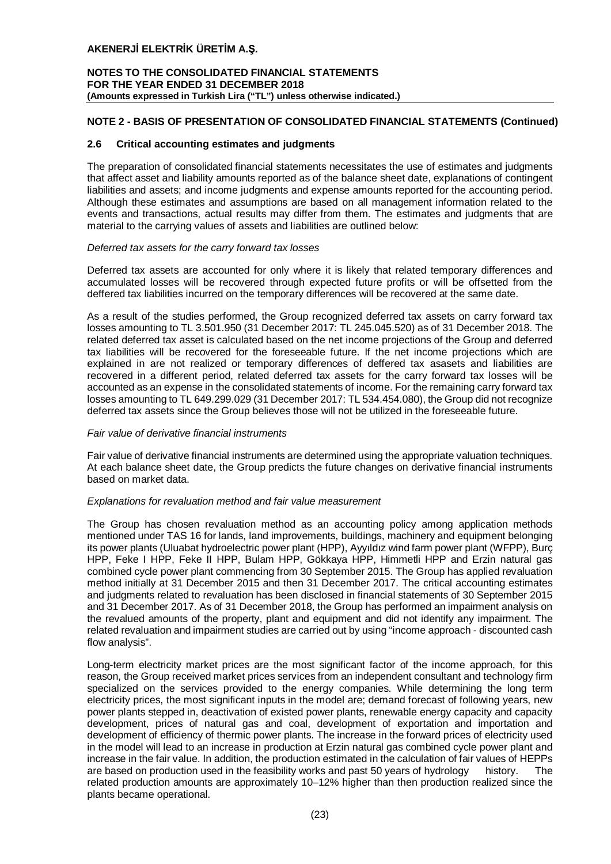## **NOTES TO THE CONSOLIDATED FINANCIAL STATEMENTS FOR THE YEAR ENDED 31 DECEMBER 2018 (Amounts expressed in Turkish Lira ("TL") unless otherwise indicated.)**

## **NOTE 2 - BASIS OF PRESENTATION OF CONSOLIDATED FINANCIAL STATEMENTS (Continued)**

## **2.6 Critical accounting estimates and judgments**

The preparation of consolidated financial statements necessitates the use of estimates and judgments that affect asset and liability amounts reported as of the balance sheet date, explanations of contingent liabilities and assets; and income judgments and expense amounts reported for the accounting period. Although these estimates and assumptions are based on all management information related to the events and transactions, actual results may differ from them. The estimates and judgments that are material to the carrying values of assets and liabilities are outlined below:

#### *Deferred tax assets for the carry forward tax losses*

Deferred tax assets are accounted for only where it is likely that related temporary differences and accumulated losses will be recovered through expected future profits or will be offsetted from the deffered tax liabilities incurred on the temporary differences will be recovered at the same date.

As a result of the studies performed, the Group recognized deferred tax assets on carry forward tax losses amounting to TL 3.501.950 (31 December 2017: TL 245.045.520) as of 31 December 2018. The related deferred tax asset is calculated based on the net income projections of the Group and deferred tax liabilities will be recovered for the foreseeable future. If the net income projections which are explained in are not realized or temporary differences of deffered tax asasets and liabilities are recovered in a different period, related deferred tax assets for the carry forward tax losses will be accounted as an expense in the consolidated statements of income. For the remaining carry forward tax losses amounting to TL 649.299.029 (31 December 2017: TL 534.454.080), the Group did not recognize deferred tax assets since the Group believes those will not be utilized in the foreseeable future.

## *Fair value of derivative financial instruments*

Fair value of derivative financial instruments are determined using the appropriate valuation techniques. At each balance sheet date, the Group predicts the future changes on derivative financial instruments based on market data.

## *Explanations for revaluation method and fair value measurement*

The Group has chosen revaluation method as an accounting policy among application methods mentioned under TAS 16 for lands, land improvements, buildings, machinery and equipment belonging its power plants (Uluabat hydroelectric power plant (HPP), Ayyıldız wind farm power plant (WFPP), Burç HPP, Feke I HPP, Feke II HPP, Bulam HPP, Gökkaya HPP, Himmetli HPP and Erzin natural gas combined cycle power plant commencing from 30 September 2015. The Group has applied revaluation method initially at 31 December 2015 and then 31 December 2017. The critical accounting estimates and judgments related to revaluation has been disclosed in financial statements of 30 September 2015 and 31 December 2017. As of 31 December 2018, the Group has performed an impairment analysis on the revalued amounts of the property, plant and equipment and did not identify any impairment. The related revaluation and impairment studies are carried out by using "income approach - discounted cash flow analysis".

Long-term electricity market prices are the most significant factor of the income approach, for this reason, the Group received market prices services from an independent consultant and technology firm specialized on the services provided to the energy companies. While determining the long term electricity prices, the most significant inputs in the model are; demand forecast of following years, new power plants stepped in, deactivation of existed power plants, renewable energy capacity and capacity development, prices of natural gas and coal, development of exportation and importation and development of efficiency of thermic power plants. The increase in the forward prices of electricity used in the model will lead to an increase in production at Erzin natural gas combined cycle power plant and increase in the fair value. In addition, the production estimated in the calculation of fair values of HEPPs are based on production used in the feasibility works and past 50 years of hydrology history. The related production amounts are approximately 10–12% higher than then production realized since the plants became operational.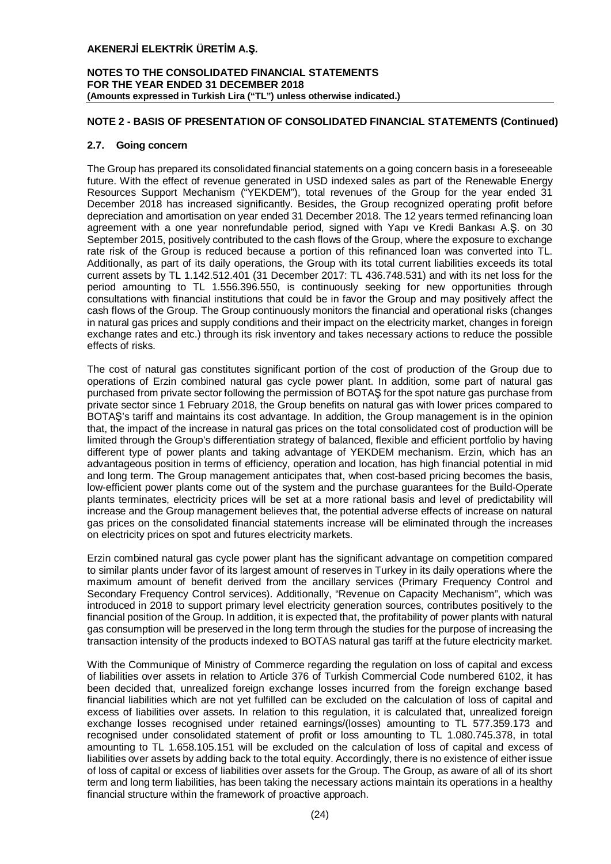## **NOTES TO THE CONSOLIDATED FINANCIAL STATEMENTS FOR THE YEAR ENDED 31 DECEMBER 2018 (Amounts expressed in Turkish Lira ("TL") unless otherwise indicated.)**

## **NOTE 2 - BASIS OF PRESENTATION OF CONSOLIDATED FINANCIAL STATEMENTS (Continued)**

## **2.7. Going concern**

The Group has prepared its consolidated financial statements on a going concern basis in a foreseeable future. With the effect of revenue generated in USD indexed sales as part of the Renewable Energy Resources Support Mechanism ("YEKDEM"), total revenues of the Group for the year ended 31 December 2018 has increased significantly. Besides, the Group recognized operating profit before depreciation and amortisation on year ended 31 December 2018. The 12 years termed refinancing loan agreement with a one year nonrefundable period, signed with Yapı ve Kredi Bankası A.Ş. on 30 September 2015, positively contributed to the cash flows of the Group, where the exposure to exchange rate risk of the Group is reduced because a portion of this refinanced loan was converted into TL. Additionally, as part of its daily operations, the Group with its total current liabilities exceeds its total current assets by TL 1.142.512.401 (31 December 2017: TL 436.748.531) and with its net loss for the period amounting to TL 1.556.396.550, is continuously seeking for new opportunities through consultations with financial institutions that could be in favor the Group and may positively affect the cash flows of the Group. The Group continuously monitors the financial and operational risks (changes in natural gas prices and supply conditions and their impact on the electricity market, changes in foreign exchange rates and etc.) through its risk inventory and takes necessary actions to reduce the possible effects of risks.

The cost of natural gas constitutes significant portion of the cost of production of the Group due to operations of Erzin combined natural gas cycle power plant. In addition, some part of natural gas purchased from private sector following the permission of BOTAŞ for the spot nature gas purchase from private sector since 1 February 2018, the Group benefits on natural gas with lower prices compared to BOTAŞ's tariff and maintains its cost advantage. In addition, the Group management is in the opinion that, the impact of the increase in natural gas prices on the total consolidated cost of production will be limited through the Group's differentiation strategy of balanced, flexible and efficient portfolio by having different type of power plants and taking advantage of YEKDEM mechanism. Erzin, which has an advantageous position in terms of efficiency, operation and location, has high financial potential in mid and long term. The Group management anticipates that, when cost-based pricing becomes the basis, low-efficient power plants come out of the system and the purchase guarantees for the Build-Operate plants terminates, electricity prices will be set at a more rational basis and level of predictability will increase and the Group management believes that, the potential adverse effects of increase on natural gas prices on the consolidated financial statements increase will be eliminated through the increases on electricity prices on spot and futures electricity markets.

Erzin combined natural gas cycle power plant has the significant advantage on competition compared to similar plants under favor of its largest amount of reserves in Turkey in its daily operations where the maximum amount of benefit derived from the ancillary services (Primary Frequency Control and Secondary Frequency Control services). Additionally, "Revenue on Capacity Mechanism", which was introduced in 2018 to support primary level electricity generation sources, contributes positively to the financial position of the Group. In addition, it is expected that, the profitability of power plants with natural gas consumption will be preserved in the long term through the studies for the purpose of increasing the transaction intensity of the products indexed to BOTAS natural gas tariff at the future electricity market.

With the Communique of Ministry of Commerce regarding the regulation on loss of capital and excess of liabilities over assets in relation to Article 376 of Turkish Commercial Code numbered 6102, it has been decided that, unrealized foreign exchange losses incurred from the foreign exchange based financial liabilities which are not yet fulfilled can be excluded on the calculation of loss of capital and excess of liabilities over assets. In relation to this regulation, it is calculated that, unrealized foreign exchange losses recognised under retained earnings/(losses) amounting to TL 577.359.173 and recognised under consolidated statement of profit or loss amounting to TL 1.080.745.378, in total amounting to TL 1.658.105.151 will be excluded on the calculation of loss of capital and excess of liabilities over assets by adding back to the total equity. Accordingly, there is no existence of either issue of loss of capital or excess of liabilities over assets for the Group. The Group, as aware of all of its short term and long term liabilities, has been taking the necessary actions maintain its operations in a healthy financial structure within the framework of proactive approach.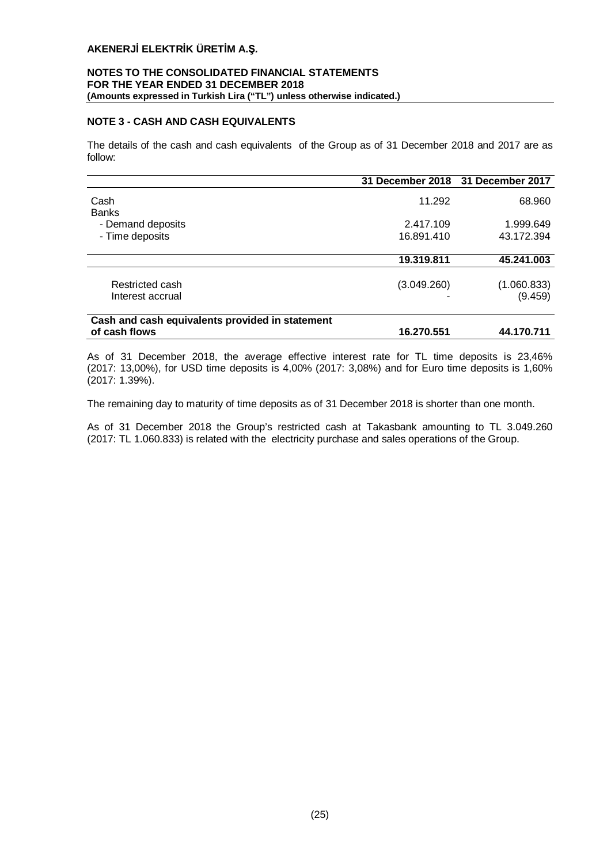## **NOTES TO THE CONSOLIDATED FINANCIAL STATEMENTS FOR THE YEAR ENDED 31 DECEMBER 2018 (Amounts expressed in Turkish Lira ("TL") unless otherwise indicated.)**

## **NOTE 3 - CASH AND CASH EQUIVALENTS**

The details of the cash and cash equivalents of the Group as of 31 December 2018 and 2017 are as follow:

|                                                 |             | 31 December 2018 31 December 2017 |
|-------------------------------------------------|-------------|-----------------------------------|
| Cash<br><b>Banks</b>                            | 11.292      | 68.960                            |
| - Demand deposits                               | 2.417.109   | 1.999.649                         |
| - Time deposits                                 | 16.891.410  | 43.172.394                        |
|                                                 | 19.319.811  | 45.241.003                        |
| Restricted cash<br>Interest accrual             | (3.049.260) | (1.060.833)<br>(9.459)            |
| Cash and cash equivalents provided in statement |             |                                   |
| of cash flows                                   | 16.270.551  | 44.170.711                        |

As of 31 December 2018, the average effective interest rate for TL time deposits is 23,46% (2017: 13,00%), for USD time deposits is 4,00% (2017: 3,08%) and for Euro time deposits is 1,60% (2017: 1.39%).

The remaining day to maturity of time deposits as of 31 December 2018 is shorter than one month.

As of 31 December 2018 the Group's restricted cash at Takasbank amounting to TL 3.049.260 (2017: TL 1.060.833) is related with the electricity purchase and sales operations of the Group.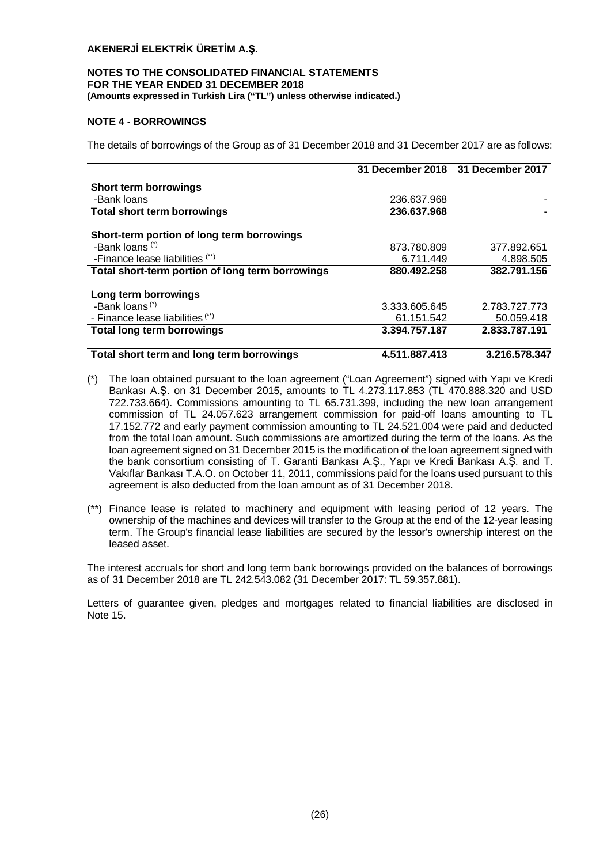## **NOTES TO THE CONSOLIDATED FINANCIAL STATEMENTS FOR THE YEAR ENDED 31 DECEMBER 2018 (Amounts expressed in Turkish Lira ("TL") unless otherwise indicated.)**

## **NOTE 4 - BORROWINGS**

The details of borrowings of the Group as of 31 December 2018 and 31 December 2017 are as follows:

|                                                  |               | 31 December 2018 31 December 2017 |
|--------------------------------------------------|---------------|-----------------------------------|
| <b>Short term borrowings</b>                     |               |                                   |
| -Bank loans                                      | 236.637.968   |                                   |
| <b>Total short term borrowings</b>               | 236.637.968   |                                   |
| Short-term portion of long term borrowings       |               |                                   |
| -Bank loans <sup>(*)</sup>                       | 873.780.809   | 377.892.651                       |
| -Finance lease liabilities (**)                  | 6.711.449     | 4.898.505                         |
| Total short-term portion of long term borrowings | 880.492.258   | 382.791.156                       |
| Long term borrowings                             |               |                                   |
| -Bank loans <sup>(*)</sup>                       | 3.333.605.645 | 2.783.727.773                     |
| - Finance lease liabilities <sup>(**)</sup>      | 61.151.542    | 50.059.418                        |
| <b>Total long term borrowings</b>                | 3.394.757.187 | 2.833.787.191                     |
| Total short term and long term borrowings        | 4.511.887.413 | 3.216.578.347                     |

- (\*) The loan obtained pursuant to the loan agreement ("Loan Agreement") signed with Yapı ve Kredi Bankası A.Ş. on 31 December 2015, amounts to TL 4.273.117.853 (TL 470.888.320 and USD 722.733.664). Commissions amounting to TL 65.731.399, including the new loan arrangement commission of TL 24.057.623 arrangement commission for paid-off loans amounting to TL 17.152.772 and early payment commission amounting to TL 24.521.004 were paid and deducted from the total loan amount. Such commissions are amortized during the term of the loans. As the loan agreement signed on 31 December 2015 is the modification of the loan agreement signed with the bank consortium consisting of T. Garanti Bankası A.Ş., Yapı ve Kredi Bankası A.Ş. and T. Vakıflar Bankası T.A.O. on October 11, 2011, commissions paid for the loans used pursuant to this agreement is also deducted from the loan amount as of 31 December 2018.
- (\*\*) Finance lease is related to machinery and equipment with leasing period of 12 years. The ownership of the machines and devices will transfer to the Group at the end of the 12-year leasing term. The Group's financial lease liabilities are secured by the lessor's ownership interest on the leased asset.

The interest accruals for short and long term bank borrowings provided on the balances of borrowings as of 31 December 2018 are TL 242.543.082 (31 December 2017: TL 59.357.881).

Letters of guarantee given, pledges and mortgages related to financial liabilities are disclosed in Note 15.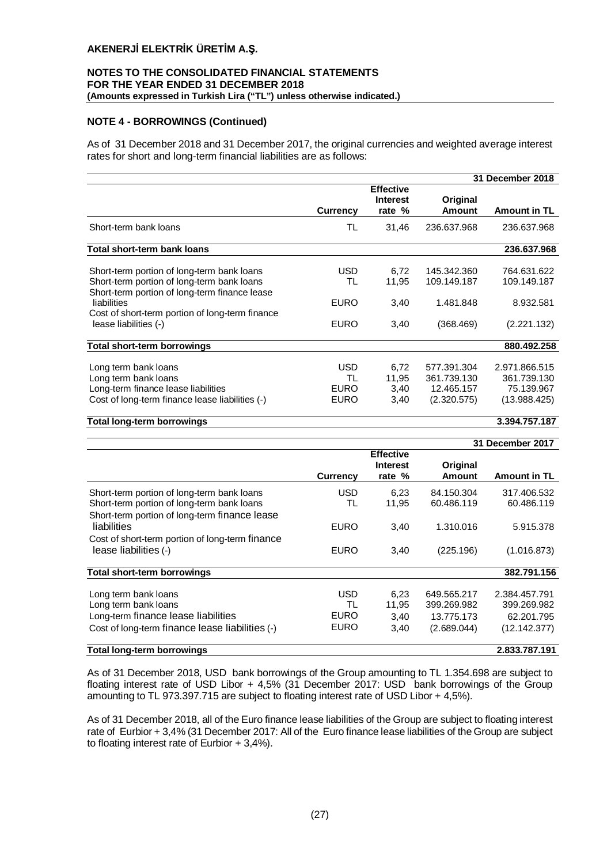## **NOTES TO THE CONSOLIDATED FINANCIAL STATEMENTS FOR THE YEAR ENDED 31 DECEMBER 2018 (Amounts expressed in Turkish Lira ("TL") unless otherwise indicated.)**

## **NOTE 4 - BORROWINGS (Continued)**

As of 31 December 2018 and 31 December 2017, the original currencies and weighted average interest rates for short and long-term financial liabilities are as follows:

|                                                                                                                                                                                                                                      |                                                |                                               |                                                         | 31 December 2018                                           |
|--------------------------------------------------------------------------------------------------------------------------------------------------------------------------------------------------------------------------------------|------------------------------------------------|-----------------------------------------------|---------------------------------------------------------|------------------------------------------------------------|
|                                                                                                                                                                                                                                      | <b>Currency</b>                                | <b>Effective</b><br><b>Interest</b><br>rate % | Original<br>Amount                                      | <b>Amount in TL</b>                                        |
| Short-term bank loans                                                                                                                                                                                                                | TL                                             | 31,46                                         | 236.637.968                                             | 236.637.968                                                |
| <b>Total short-term bank loans</b>                                                                                                                                                                                                   |                                                |                                               |                                                         | 236.637.968                                                |
| Short-term portion of long-term bank loans<br>Short-term portion of long-term bank loans<br>Short-term portion of long-term finance lease<br>liabilities<br>Cost of short-term portion of long-term finance<br>lease liabilities (-) | <b>USD</b><br>TL<br><b>EURO</b><br><b>EURO</b> | 6.72<br>11,95<br>3,40<br>3,40                 | 145.342.360<br>109.149.187<br>1.481.848<br>(368.469)    | 764.631.622<br>109.149.187<br>8.932.581<br>(2.221.132)     |
| Total short-term borrowings                                                                                                                                                                                                          |                                                |                                               |                                                         | 880.492.258                                                |
| Long term bank loans<br>Long term bank loans<br>Long-term finance lease liabilities<br>Cost of long-term finance lease liabilities (-)                                                                                               | <b>USD</b><br>TL<br><b>EURO</b><br><b>EURO</b> | 6.72<br>11,95<br>3,40<br>3,40                 | 577.391.304<br>361.739.130<br>12.465.157<br>(2.320.575) | 2.971.866.515<br>361.739.130<br>75.139.967<br>(13.988.425) |

#### **Total long-term borrowings 3.394.757.187**

|                                                                                                                                        |                                                |                                               |                                                         | 31 December 2017                                           |
|----------------------------------------------------------------------------------------------------------------------------------------|------------------------------------------------|-----------------------------------------------|---------------------------------------------------------|------------------------------------------------------------|
|                                                                                                                                        | <b>Currency</b>                                | <b>Effective</b><br><b>Interest</b><br>rate % | Original<br>Amount                                      | <b>Amount in TL</b>                                        |
| Short-term portion of long-term bank loans                                                                                             | <b>USD</b>                                     | 6,23                                          | 84.150.304                                              | 317.406.532                                                |
| Short-term portion of long-term bank loans<br>Short-term portion of long-term finance lease                                            | TL                                             | 11,95                                         | 60.486.119                                              | 60.486.119                                                 |
| liabilities                                                                                                                            | <b>EURO</b>                                    | 3,40                                          | 1.310.016                                               | 5.915.378                                                  |
| Cost of short-term portion of long-term finance<br>lease liabilities (-)                                                               | <b>EURO</b>                                    | 3,40                                          | (225.196)                                               | (1.016.873)                                                |
| <b>Total short-term borrowings</b>                                                                                                     |                                                |                                               |                                                         | 382.791.156                                                |
| Long term bank loans<br>Long term bank loans<br>Long-term finance lease liabilities<br>Cost of long-term finance lease liabilities (-) | <b>USD</b><br>TL<br><b>EURO</b><br><b>EURO</b> | 6,23<br>11,95<br>3,40<br>3,40                 | 649.565.217<br>399.269.982<br>13.775.173<br>(2.689.044) | 2.384.457.791<br>399.269.982<br>62.201.795<br>(12.142.377) |
| <b>Total long-term borrowings</b>                                                                                                      |                                                |                                               |                                                         | 2.833.787.191                                              |

As of 31 December 2018, USD bank borrowings of the Group amounting to TL 1.354.698 are subject to floating interest rate of USD Libor + 4,5% (31 December 2017: USD bank borrowings of the Group amounting to TL 973.397.715 are subject to floating interest rate of USD Libor + 4,5%).

As of 31 December 2018, all of the Euro finance lease liabilities of the Group are subject to floating interest rate of Eurbior + 3,4% (31 December 2017: All of the Euro finance lease liabilities of the Group are subject to floating interest rate of Eurbior + 3,4%).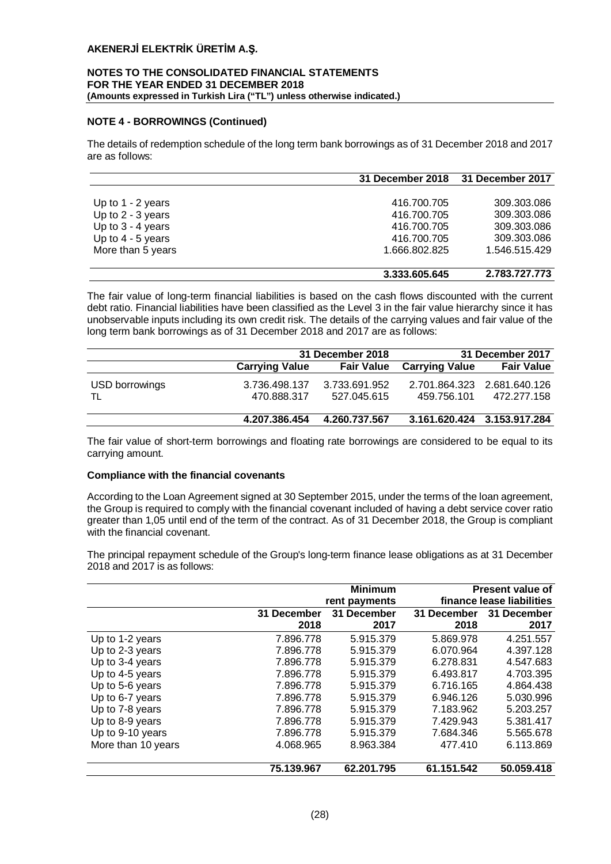## **NOTES TO THE CONSOLIDATED FINANCIAL STATEMENTS FOR THE YEAR ENDED 31 DECEMBER 2018 (Amounts expressed in Turkish Lira ("TL") unless otherwise indicated.)**

## **NOTE 4 - BORROWINGS (Continued)**

The details of redemption schedule of the long term bank borrowings as of 31 December 2018 and 2017 are as follows:

|                     | 31 December 2018 | 31 December 2017 |
|---------------------|------------------|------------------|
|                     |                  |                  |
| Up to $1 - 2$ years | 416.700.705      | 309.303.086      |
| Up to $2 - 3$ years | 416.700.705      | 309.303.086      |
| Up to $3 - 4$ years | 416.700.705      | 309.303.086      |
| Up to $4 - 5$ years | 416.700.705      | 309.303.086      |
| More than 5 years   | 1.666.802.825    | 1.546.515.429    |
|                     |                  |                  |
|                     | 3.333.605.645    | 2.783.727.773    |

The fair value of long-term financial liabilities is based on the cash flows discounted with the current debt ratio. Financial liabilities have been classified as the Level 3 in the fair value hierarchy since it has unobservable inputs including its own credit risk. The details of the carrying values and fair value of the long term bank borrowings as of 31 December 2018 and 2017 are as follows:

|                      |                              | 31 December 2018             |                       | 31 December 2017                           |
|----------------------|------------------------------|------------------------------|-----------------------|--------------------------------------------|
|                      | <b>Carrying Value</b>        | <b>Fair Value</b>            | <b>Carrying Value</b> | <b>Fair Value</b>                          |
| USD borrowings<br>TL | 3.736.498.137<br>470.888.317 | 3.733.691.952<br>527.045.615 | 459.756.101           | 2.701.864.323 2.681.640.126<br>472.277.158 |
|                      | 4.207.386.454                | 4.260.737.567                |                       | 3.161.620.424 3.153.917.284                |

The fair value of short-term borrowings and floating rate borrowings are considered to be equal to its carrying amount.

## **Compliance with the financial covenants**

According to the Loan Agreement signed at 30 September 2015, under the terms of the loan agreement, the Group is required to comply with the financial covenant included of having a debt service cover ratio greater than 1,05 until end of the term of the contract. As of 31 December 2018, the Group is compliant with the financial covenant.

The principal repayment schedule of the Group's long-term finance lease obligations as at 31 December 2018 and 2017 is as follows:

|                    |             | <b>Minimum</b><br>rent payments |             | <b>Present value of</b><br>finance lease liabilities |
|--------------------|-------------|---------------------------------|-------------|------------------------------------------------------|
|                    | 31 December | 31 December                     | 31 December | 31 December                                          |
|                    | 2018        | 2017                            | 2018        | 2017                                                 |
| Up to 1-2 years    | 7.896.778   | 5.915.379                       | 5.869.978   | 4.251.557                                            |
| Up to 2-3 years    | 7.896.778   | 5.915.379                       | 6.070.964   | 4.397.128                                            |
| Up to 3-4 years    | 7.896.778   | 5.915.379                       | 6.278.831   | 4.547.683                                            |
| Up to 4-5 years    | 7.896.778   | 5.915.379                       | 6.493.817   | 4.703.395                                            |
| Up to 5-6 years    | 7.896.778   | 5.915.379                       | 6.716.165   | 4.864.438                                            |
| Up to 6-7 years    | 7.896.778   | 5.915.379                       | 6.946.126   | 5.030.996                                            |
| Up to 7-8 years    | 7.896.778   | 5.915.379                       | 7.183.962   | 5.203.257                                            |
| Up to 8-9 years    | 7.896.778   | 5.915.379                       | 7.429.943   | 5.381.417                                            |
| Up to 9-10 years   | 7.896.778   | 5.915.379                       | 7.684.346   | 5.565.678                                            |
| More than 10 years | 4.068.965   | 8.963.384                       | 477.410     | 6.113.869                                            |
|                    | 75.139.967  | 62.201.795                      | 61.151.542  | 50.059.418                                           |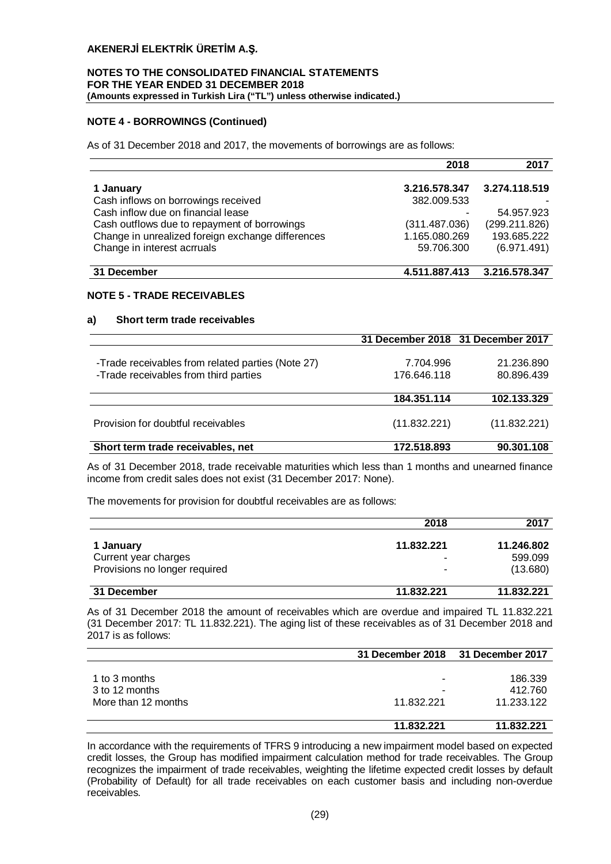## **NOTES TO THE CONSOLIDATED FINANCIAL STATEMENTS FOR THE YEAR ENDED 31 DECEMBER 2018 (Amounts expressed in Turkish Lira ("TL") unless otherwise indicated.)**

## **NOTE 4 - BORROWINGS (Continued)**

As of 31 December 2018 and 2017, the movements of borrowings are as follows:

|                                                   | 2018          | 2017          |
|---------------------------------------------------|---------------|---------------|
|                                                   |               |               |
| 1 January                                         | 3.216.578.347 | 3.274.118.519 |
| Cash inflows on borrowings received               | 382.009.533   |               |
| Cash inflow due on financial lease                |               | 54.957.923    |
| Cash outflows due to repayment of borrowings      | (311.487.036) | (299.211.826) |
| Change in unrealized foreign exchange differences | 1.165.080.269 | 193.685.222   |
| Change in interest acrruals                       | 59.706.300    | (6.971.491)   |
| 31 December                                       | 4.511.887.413 | 3.216.578.347 |

## **NOTE 5 - TRADE RECEIVABLES**

#### **a) Short term trade receivables**

|                                                   |              | 31 December 2018 31 December 2017 |
|---------------------------------------------------|--------------|-----------------------------------|
|                                                   |              |                                   |
| -Trade receivables from related parties (Note 27) | 7.704.996    | 21.236.890                        |
| -Trade receivables from third parties             | 176.646.118  | 80.896.439                        |
|                                                   | 184.351.114  | 102.133.329                       |
| Provision for doubtful receivables                | (11.832.221) | (11.832.221)                      |
| Short term trade receivables, net                 | 172.518.893  | 90.301.108                        |
|                                                   |              |                                   |

As of 31 December 2018, trade receivable maturities which less than 1 months and unearned finance income from credit sales does not exist (31 December 2017: None).

The movements for provision for doubtful receivables are as follows:

|                               | 2018       | 2017       |
|-------------------------------|------------|------------|
| 1 January                     | 11.832.221 | 11.246.802 |
| Current year charges          |            | 599.099    |
| Provisions no longer required | ۰          | (13.680)   |
| 31 December                   | 11.832.221 | 11.832.221 |

As of 31 December 2018 the amount of receivables which are overdue and impaired TL 11.832.221 (31 December 2017: TL 11.832.221). The aging list of these receivables as of 31 December 2018 and 2017 is as follows:

|                     | 31 December 2018 31 December 2017 |            |
|---------------------|-----------------------------------|------------|
|                     |                                   |            |
| 1 to 3 months       | ۰                                 | 186.339    |
| 3 to 12 months      |                                   | 412.760    |
| More than 12 months | 11.832.221                        | 11.233.122 |
|                     | 11.832.221                        | 11.832.221 |

In accordance with the requirements of TFRS 9 introducing a new impairment model based on expected credit losses, the Group has modified impairment calculation method for trade receivables. The Group recognizes the impairment of trade receivables, weighting the lifetime expected credit losses by default (Probability of Default) for all trade receivables on each customer basis and including non-overdue receivables.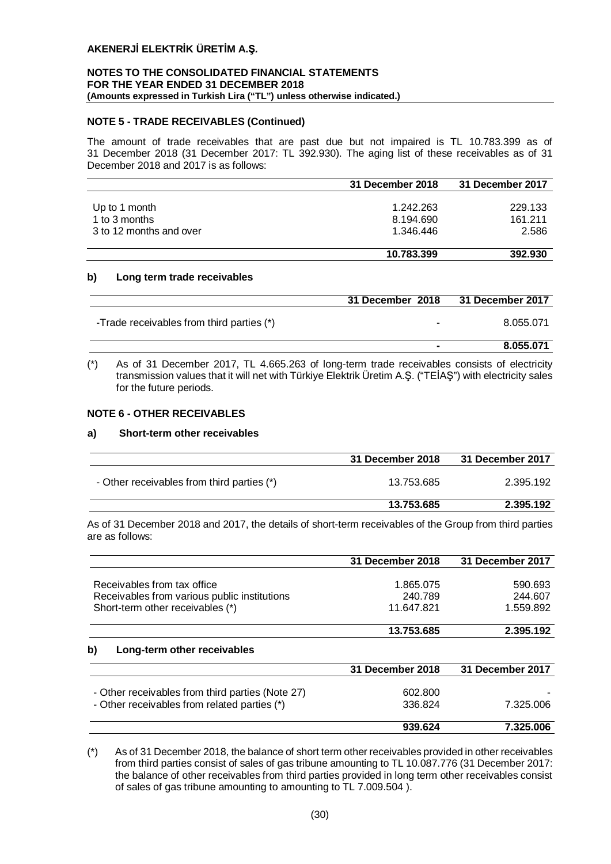## **NOTES TO THE CONSOLIDATED FINANCIAL STATEMENTS FOR THE YEAR ENDED 31 DECEMBER 2018 (Amounts expressed in Turkish Lira ("TL") unless otherwise indicated.)**

## **NOTE 5 - TRADE RECEIVABLES (Continued)**

The amount of trade receivables that are past due but not impaired is TL 10.783.399 as of 31 December 2018 (31 December 2017: TL 392.930). The aging list of these receivables as of 31 December 2018 and 2017 is as follows:

|                         | 31 December 2018 | 31 December 2017 |
|-------------------------|------------------|------------------|
|                         |                  |                  |
| Up to 1 month           | 1.242.263        | 229.133          |
| 1 to 3 months           | 8.194.690        | 161.211          |
| 3 to 12 months and over | 1.346.446        | 2.586            |
|                         | 10.783.399       | 392.930          |

#### **b) Long term trade receivables**

|                                           | 31 December 2018 | 31 December 2017 |
|-------------------------------------------|------------------|------------------|
| -Trade receivables from third parties (*) |                  | 8.055.071        |
|                                           |                  | 8.055.071        |

(\*) As of 31 December 2017, TL 4.665.263 of long-term trade receivables consists of electricity transmission values that it will net with Türkiye Elektrik Üretim A.Ş. ("TEİAŞ") with electricity sales for the future periods.

## **NOTE 6 - OTHER RECEIVABLES**

## **a) Short-term other receivables**

|                                            | 31 December 2018 | 31 December 2017 |
|--------------------------------------------|------------------|------------------|
| - Other receivables from third parties (*) | 13.753.685       | 2.395.192        |
|                                            | 13.753.685       | 2.395.192        |

As of 31 December 2018 and 2017, the details of short-term receivables of the Group from third parties are as follows:

|                                                  | 31 December 2018 | 31 December 2017 |
|--------------------------------------------------|------------------|------------------|
| Receivables from tax office                      | 1.865.075        | 590.693          |
| Receivables from various public institutions     | 240.789          | 244.607          |
| Short-term other receivables (*)                 | 11.647.821       | 1.559.892        |
|                                                  | 13.753.685       | 2.395.192        |
| b)<br>Long-term other receivables                |                  |                  |
|                                                  | 31 December 2018 | 31 December 2017 |
| - Other receivables from third parties (Note 27) | 602.800          |                  |
| - Other receivables from related parties (*)     | 336.824          | 7.325.006        |
|                                                  | 939.624          | 7.325.006        |

(\*) As of 31 December 2018, the balance of short term other receivables provided in other receivables from third parties consist of sales of gas tribune amounting to TL 10.087.776 (31 December 2017: the balance of other receivables from third parties provided in long term other receivables consist of sales of gas tribune amounting to amounting to TL 7.009.504 ).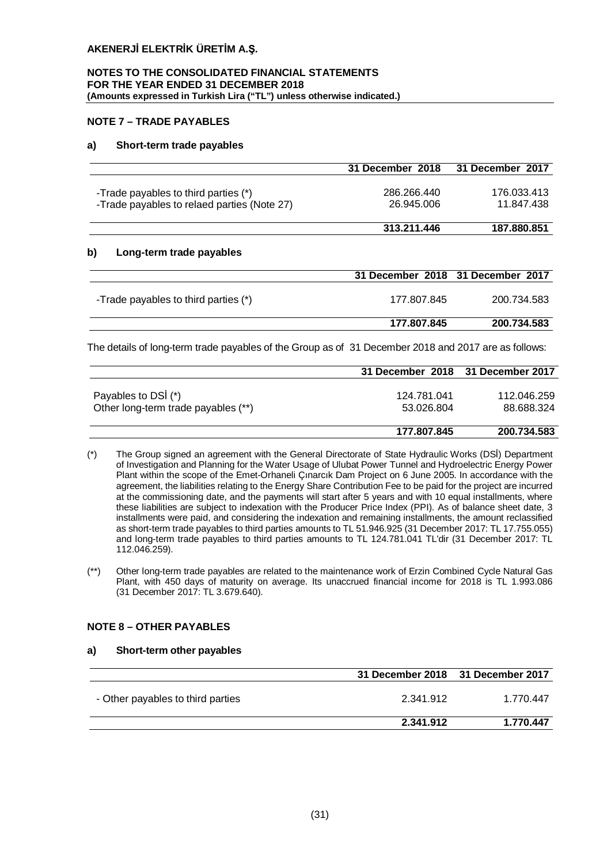#### **NOTES TO THE CONSOLIDATED FINANCIAL STATEMENTS FOR THE YEAR ENDED 31 DECEMBER 2018 (Amounts expressed in Turkish Lira ("TL") unless otherwise indicated.)**

## **NOTE 7 – TRADE PAYABLES**

## **a) Short-term trade payables**

|                                                                                     | 31 December 2018          | 31 December 2017          |
|-------------------------------------------------------------------------------------|---------------------------|---------------------------|
| -Trade payables to third parties (*)<br>-Trade payables to relaed parties (Note 27) | 286.266.440<br>26.945.006 | 176.033.413<br>11.847.438 |
|                                                                                     | 313.211.446               | 187.880.851               |

## **b) Long-term trade payables**

|                                      | 31 December 2018 31 December 2017 |             |
|--------------------------------------|-----------------------------------|-------------|
| -Trade payables to third parties (*) | 177.807.845                       | 200.734.583 |
|                                      | 177.807.845                       | 200.734.583 |

The details of long-term trade payables of the Group as of 31 December 2018 and 2017 are as follows:

|                                     | 31 December 2018 31 December 2017 |             |
|-------------------------------------|-----------------------------------|-------------|
|                                     |                                   |             |
| Payables to DSI (*)                 | 124.781.041                       | 112.046.259 |
| Other long-term trade payables (**) | 53.026.804                        | 88.688.324  |
|                                     |                                   |             |
|                                     | 177.807.845                       | 200.734.583 |

- (\*) The Group signed an agreement with the General Directorate of State Hydraulic Works (DSİ) Department of Investigation and Planning for the Water Usage of Ulubat Power Tunnel and Hydroelectric Energy Power Plant within the scope of the Emet-Orhaneli Çınarcık Dam Project on 6 June 2005. In accordance with the agreement, the liabilities relating to the Energy Share Contribution Fee to be paid for the project are incurred at the commissioning date, and the payments will start after 5 years and with 10 equal installments, where these liabilities are subject to indexation with the Producer Price Index (PPI). As of balance sheet date, 3 installments were paid, and considering the indexation and remaining installments, the amount reclassified as short-term trade payables to third parties amounts to TL 51.946.925 (31 December 2017: TL 17.755.055) and long-term trade payables to third parties amounts to TL 124.781.041 TL'dir (31 December 2017: TL 112.046.259).
- (\*\*) Other long-term trade payables are related to the maintenance work of Erzin Combined Cycle Natural Gas Plant, with 450 days of maturity on average. Its unaccrued financial income for 2018 is TL 1.993.086 (31 December 2017: TL 3.679.640).

## **NOTE 8 – OTHER PAYABLES**

#### **a) Short-term other payables**

|                                   | 31 December 2018 31 December 2017 |           |
|-----------------------------------|-----------------------------------|-----------|
| - Other payables to third parties | 2.341.912                         | 1.770.447 |
|                                   | 2.341.912                         | 1.770.447 |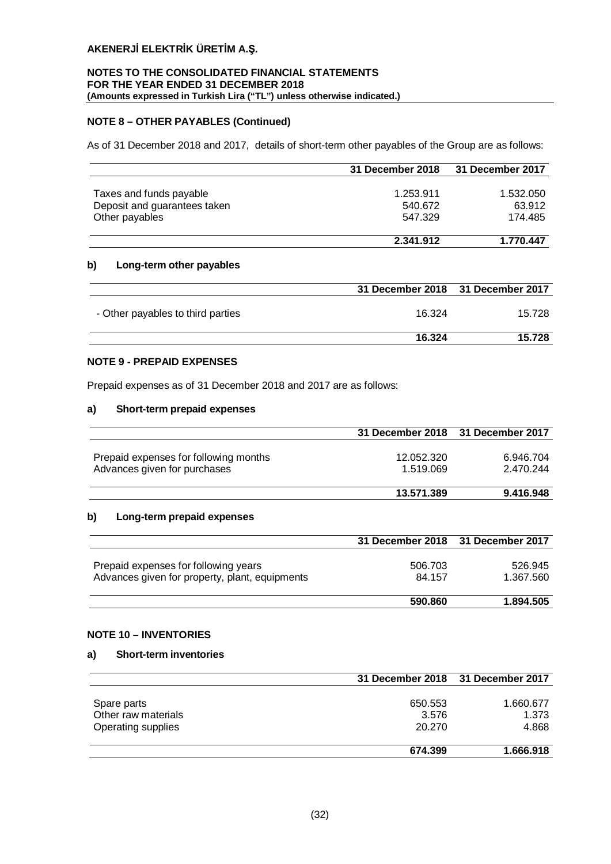## **NOTES TO THE CONSOLIDATED FINANCIAL STATEMENTS FOR THE YEAR ENDED 31 DECEMBER 2018 (Amounts expressed in Turkish Lira ("TL") unless otherwise indicated.)**

## **NOTE 8 – OTHER PAYABLES (Continued)**

As of 31 December 2018 and 2017, details of short-term other payables of the Group are as follows:

|                              | 31 December 2018 | 31 December 2017 |
|------------------------------|------------------|------------------|
|                              |                  |                  |
| Taxes and funds payable      | 1.253.911        | 1.532.050        |
| Deposit and guarantees taken | 540.672          | 63.912           |
| Other payables               | 547.329          | 174.485          |
|                              | 2.341.912        | 1.770.447        |

## **b) Long-term other payables**

|                                   | 31 December 2018 31 December 2017 |        |
|-----------------------------------|-----------------------------------|--------|
| - Other payables to third parties | 16.324                            | 15.728 |
|                                   | 16.324                            | 15.728 |

## **NOTE 9 - PREPAID EXPENSES**

Prepaid expenses as of 31 December 2018 and 2017 are as follows:

## **a) Short-term prepaid expenses**

|                                       | 31 December 2018 31 December 2017 |           |
|---------------------------------------|-----------------------------------|-----------|
|                                       |                                   |           |
| Prepaid expenses for following months | 12.052.320                        | 6.946.704 |
| Advances given for purchases          | 1.519.069                         | 2.470.244 |
|                                       |                                   |           |
|                                       | 13.571.389                        | 9.416.948 |

## **b) Long-term prepaid expenses**

|                                                                                        | 31 December 2018 31 December 2017 |                      |
|----------------------------------------------------------------------------------------|-----------------------------------|----------------------|
| Prepaid expenses for following years<br>Advances given for property, plant, equipments | 506.703<br>84.157                 | 526.945<br>1.367.560 |
|                                                                                        | 590,860                           | 1.894.505            |

## **NOTE 10 – INVENTORIES**

## **a) Short-term inventories**

|                     | 31 December 2018 31 December 2017 |           |
|---------------------|-----------------------------------|-----------|
|                     |                                   |           |
| Spare parts         | 650.553                           | 1.660.677 |
| Other raw materials | 3.576                             | 1.373     |
| Operating supplies  | 20.270                            | 4.868     |
|                     | 674.399                           | 1.666.918 |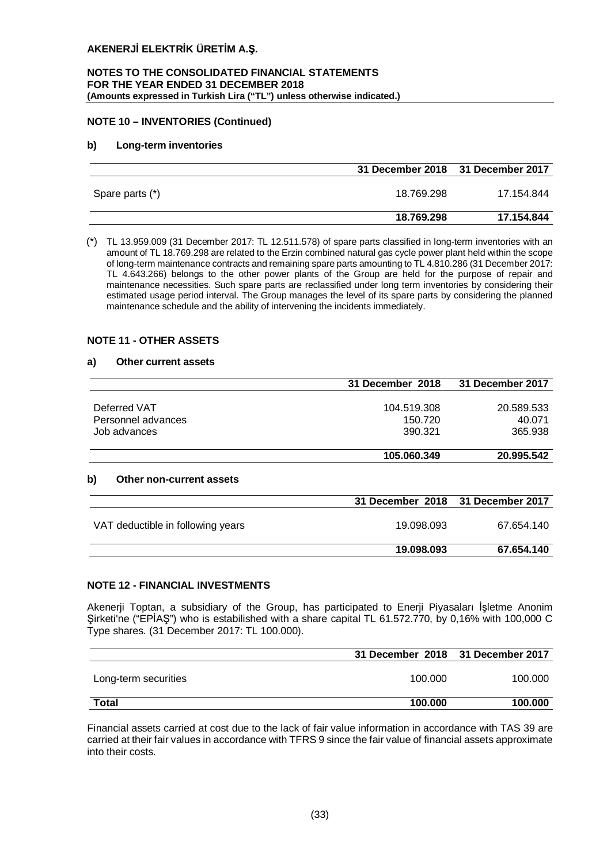#### **NOTES TO THE CONSOLIDATED FINANCIAL STATEMENTS FOR THE YEAR ENDED 31 DECEMBER 2018 (Amounts expressed in Turkish Lira ("TL") unless otherwise indicated.)**

## **NOTE 10 – INVENTORIES (Continued)**

## **b) Long-term inventories**

|                 | 31 December 2018 31 December 2017 |            |
|-----------------|-----------------------------------|------------|
| Spare parts (*) | 18.769.298                        | 17.154.844 |
|                 | 18.769.298                        | 17.154.844 |

(\*) TL 13.959.009 (31 December 2017: TL 12.511.578) of spare parts classified in long-term inventories with an amount of TL 18.769.298 are related to the Erzin combined natural gas cycle power plant held within the scope of long-term maintenance contracts and remaining spare parts amounting to TL 4.810.286 (31 December 2017: TL 4.643.266) belongs to the other power plants of the Group are held for the purpose of repair and maintenance necessities. Such spare parts are reclassified under long term inventories by considering their estimated usage period interval. The Group manages the level of its spare parts by considering the planned maintenance schedule and the ability of intervening the incidents immediately.

## **NOTE 11 - OTHER ASSETS**

#### **a) Other current assets**

|                                       | 31 December 2018 | 31 December 2017 |
|---------------------------------------|------------------|------------------|
| Deferred VAT                          | 104.519.308      | 20.589.533       |
| Personnel advances                    | 150.720          | 40.071           |
| Job advances                          | 390.321          | 365.938          |
|                                       | 105.060.349      | 20.995.542       |
| b)<br><b>Other non-current assets</b> |                  |                  |
|                                       | 31 December 2018 | 31 December 2017 |
| VAT deductible in following years     | 19.098.093       | 67.654.140       |

## **NOTE 12 - FINANCIAL INVESTMENTS**

Akenerji Toptan, a subsidiary of the Group, has participated to Enerji Piyasaları İşletme Anonim Şirketi'ne ("EPİAŞ") who is estabilished with a share capital TL 61.572.770, by 0,16% with 100,000 C Type shares. (31 December 2017: TL 100.000).

**19.098.093 67.654.140**

|                      | 31 December 2018 31 December 2017 |         |
|----------------------|-----------------------------------|---------|
| Long-term securities | 100.000                           | 100.000 |
| <b>Total</b>         | 100.000                           | 100.000 |

Financial assets carried at cost due to the lack of fair value information in accordance with TAS 39 are carried at their fair values in accordance with TFRS 9 since the fair value of financial assets approximate into their costs.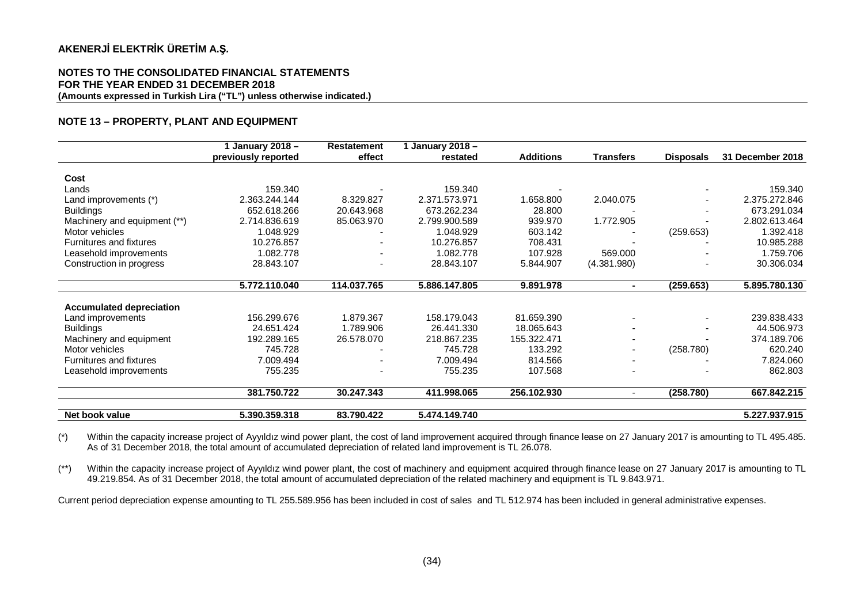#### **NOTES TO THE CONSOLIDATED FINANCIAL STATEMENTS FOR THE YEAR ENDED 31 DECEMBER 2018 (Amounts expressed in Turkish Lira ("TL") unless otherwise indicated.)**

## **NOTE 13 – PROPERTY, PLANT AND EQUIPMENT**

|                                 | January 2018 -      | <b>Restatement</b>           | 1 January 2018 - |                  |                          |                  |                  |
|---------------------------------|---------------------|------------------------------|------------------|------------------|--------------------------|------------------|------------------|
|                                 | previously reported | effect                       | restated         | <b>Additions</b> | <b>Transfers</b>         | <b>Disposals</b> | 31 December 2018 |
|                                 |                     |                              |                  |                  |                          |                  |                  |
| Cost                            |                     |                              |                  |                  |                          |                  |                  |
| Lands                           | 159.340             |                              | 159.340          |                  |                          |                  | 159.340          |
| Land improvements (*)           | 2.363.244.144       | 8.329.827                    | 2.371.573.971    | .658.800         | 2.040.075                |                  | 2.375.272.846    |
| <b>Buildings</b>                | 652.618.266         | 20.643.968                   | 673.262.234      | 28,800           |                          |                  | 673.291.034      |
| Machinery and equipment (**)    | 2.714.836.619       | 85.063.970                   | 2.799.900.589    | 939.970          | 1.772.905                |                  | 2.802.613.464    |
| Motor vehicles                  | 1.048.929           |                              | 1.048.929        | 603.142          |                          | (259.653)        | 1.392.418        |
| Furnitures and fixtures         | 10.276.857          |                              | 10.276.857       | 708.431          |                          |                  | 10.985.288       |
| Leasehold improvements          | 1.082.778           |                              | 1.082.778        | 107.928          | 569.000                  |                  | 1.759.706        |
| Construction in progress        | 28.843.107          | $\qquad \qquad \blacksquare$ | 28.843.107       | 5.844.907        | (4.381.980)              |                  | 30.306.034       |
|                                 |                     |                              |                  |                  |                          |                  |                  |
|                                 | 5.772.110.040       | 114.037.765                  | 5.886.147.805    | 9.891.978        | $\blacksquare$           | (259.653)        | 5.895.780.130    |
|                                 |                     |                              |                  |                  |                          |                  |                  |
| <b>Accumulated depreciation</b> |                     |                              |                  |                  |                          |                  |                  |
| Land improvements               | 156.299.676         | 1.879.367                    | 158.179.043      | 81.659.390       |                          |                  | 239.838.433      |
| <b>Buildings</b>                | 24.651.424          | 1.789.906                    | 26.441.330       | 18.065.643       | $\overline{\phantom{0}}$ |                  | 44.506.973       |
| Machinery and equipment         | 192.289.165         | 26.578.070                   | 218.867.235      | 155.322.471      | $\overline{\phantom{a}}$ |                  | 374.189.706      |
| Motor vehicles                  | 745.728             |                              | 745.728          | 133.292          | $\blacksquare$           | (258.780)        | 620.240          |
| <b>Furnitures and fixtures</b>  | 7.009.494           |                              | 7.009.494        | 814.566          |                          |                  | 7.824.060        |
| Leasehold improvements          | 755.235             |                              | 755.235          | 107.568          |                          |                  | 862.803          |
|                                 |                     |                              |                  |                  |                          |                  |                  |
|                                 | 381.750.722         | 30.247.343                   | 411.998.065      | 256.102.930      | $\blacksquare$           | (258.780)        | 667.842.215      |
| Net book value                  | 5.390.359.318       | 83.790.422                   | 5.474.149.740    |                  |                          |                  | 5.227.937.915    |

(\*) Within the capacity increase project of Ayyıldız wind power plant, the cost of land improvement acquired through finance lease on 27 January 2017 is amounting to TL 495.485. As of 31 December 2018, the total amount of accumulated depreciation of related land improvement is TL 26.078.

(\*\*) Within the capacity increase project of Ayyıldız wind power plant, the cost of machinery and equipment acquired through finance lease on 27 January 2017 is amounting to TL 49.219.854. As of 31 December 2018, the total amount of accumulated depreciation of the related machinery and equipment is TL 9.843.971.

Current period depreciation expense amounting to TL 255.589.956 has been included in cost of sales and TL 512.974 has been included in general administrative expenses.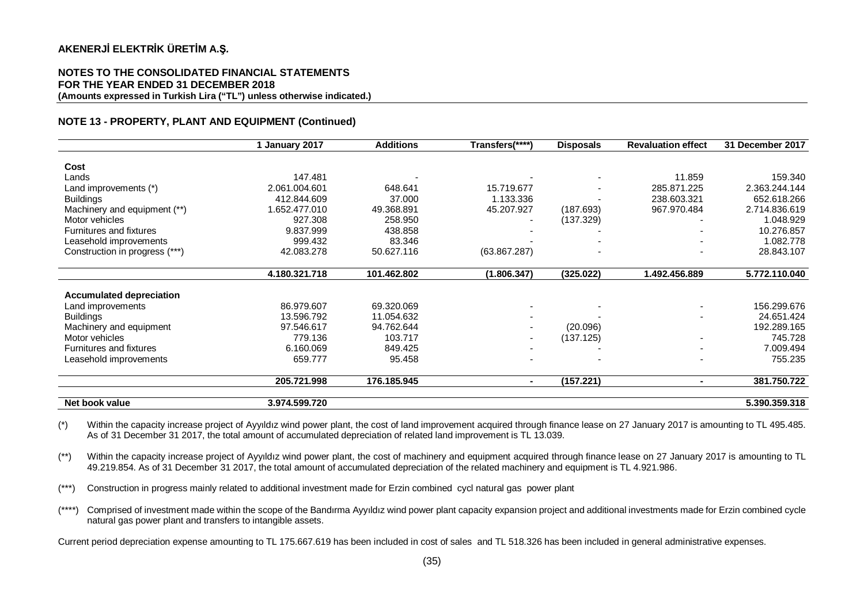#### **NOTES TO THE CONSOLIDATED FINANCIAL STATEMENTS FOR THE YEAR ENDED 31 DECEMBER 2018 (Amounts expressed in Turkish Lira ("TL") unless otherwise indicated.)**

#### **NOTE 13 - PROPERTY, PLANT AND EQUIPMENT (Continued)**

|                                 | January 2017  | <b>Additions</b> | Transfers(****) | <b>Disposals</b> | <b>Revaluation effect</b> | 31 December 2017 |
|---------------------------------|---------------|------------------|-----------------|------------------|---------------------------|------------------|
|                                 |               |                  |                 |                  |                           |                  |
| Cost                            |               |                  |                 |                  |                           |                  |
| Lands                           | 147.481       |                  |                 |                  | 11.859                    | 159.340          |
| Land improvements (*)           | 2.061.004.601 | 648.641          | 15.719.677      |                  | 285.871.225               | 2.363.244.144    |
| <b>Buildings</b>                | 412.844.609   | 37,000           | 1.133.336       |                  | 238.603.321               | 652.618.266      |
| Machinery and equipment (**)    | 1.652.477.010 | 49.368.891       | 45.207.927      | (187.693)        | 967.970.484               | 2.714.836.619    |
| Motor vehicles                  | 927.308       | 258.950          |                 | (137.329)        |                           | 1.048.929        |
| Furnitures and fixtures         | 9.837.999     | 438.858          |                 |                  |                           | 10.276.857       |
| Leasehold improvements          | 999.432       | 83.346           |                 |                  |                           | 1.082.778        |
| Construction in progress (***)  | 42.083.278    | 50.627.116       | (63.867.287)    |                  |                           | 28.843.107       |
|                                 |               |                  |                 |                  |                           |                  |
|                                 | 4.180.321.718 | 101.462.802      | (1.806.347)     | (325.022)        | 1.492.456.889             | 5.772.110.040    |
| <b>Accumulated depreciation</b> |               |                  |                 |                  |                           |                  |
| Land improvements               | 86.979.607    | 69.320.069       |                 |                  |                           | 156.299.676      |
| <b>Buildings</b>                | 13.596.792    | 11.054.632       |                 |                  |                           | 24.651.424       |
|                                 | 97.546.617    | 94.762.644       |                 | (20.096)         |                           | 192.289.165      |
| Machinery and equipment         |               |                  |                 |                  |                           |                  |
| Motor vehicles                  | 779.136       | 103.717          |                 | (137.125)        |                           | 745.728          |
| Furnitures and fixtures         | 6.160.069     | 849.425          |                 |                  |                           | 7.009.494        |
| Leasehold improvements          | 659.777       | 95.458           |                 |                  |                           | 755.235          |
|                                 | 205.721.998   | 176.185.945      |                 | (157.221)        |                           | 381.750.722      |
| Net book value                  | 3.974.599.720 |                  |                 |                  |                           | 5.390.359.318    |

(\*) Within the capacity increase project of Ayyıldız wind power plant, the cost of land improvement acquired through finance lease on 27 January 2017 is amounting to TL 495.485. As of 31 December 31 2017, the total amount of accumulated depreciation of related land improvement is TL 13.039.

(\*\*) Within the capacity increase project of Ayyıldız wind power plant, the cost of machinery and equipment acquired through finance lease on 27 January 2017 is amounting to TL 49.219.854. As of 31 December 31 2017, the total amount of accumulated depreciation of the related machinery and equipment is TL 4.921.986.

(\*\*\*) Construction in progress mainly related to additional investment made for Erzin combined cycl natural gas power plant

(\*\*\*\*) Comprised of investment made within the scope of the Bandırma Ayyıldız wind power plant capacity expansion project and additional investments made for Erzin combined cycle natural gas power plant and transfers to intangible assets.

Current period depreciation expense amounting to TL 175.667.619 has been included in cost of sales and TL 518.326 has been included in general administrative expenses.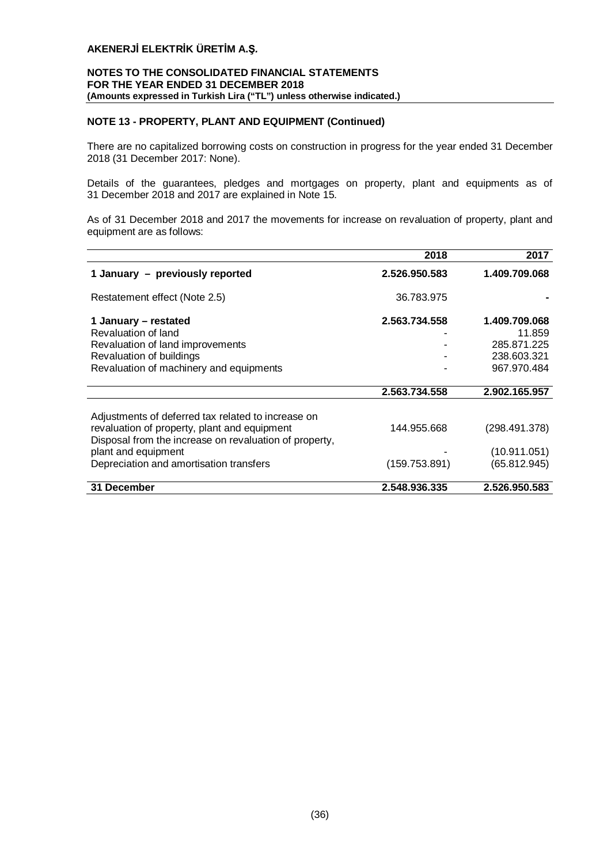## **NOTES TO THE CONSOLIDATED FINANCIAL STATEMENTS FOR THE YEAR ENDED 31 DECEMBER 2018 (Amounts expressed in Turkish Lira ("TL") unless otherwise indicated.)**

## **NOTE 13 - PROPERTY, PLANT AND EQUIPMENT (Continued)**

There are no capitalized borrowing costs on construction in progress for the year ended 31 December 2018 (31 December 2017: None).

Details of the guarantees, pledges and mortgages on property, plant and equipments as of 31 December 2018 and 2017 are explained in Note 15.

As of 31 December 2018 and 2017 the movements for increase on revaluation of property, plant and equipment are as follows:

|                                                        | 2018          | 2017          |
|--------------------------------------------------------|---------------|---------------|
| 1 January - previously reported                        | 2.526.950.583 | 1.409.709.068 |
| Restatement effect (Note 2.5)                          | 36.783.975    |               |
| 1 January – restated                                   | 2.563.734.558 | 1.409.709.068 |
| Revaluation of land                                    |               | 11.859        |
| Revaluation of land improvements                       |               | 285.871.225   |
| Revaluation of buildings                               |               | 238.603.321   |
| Revaluation of machinery and equipments                |               | 967.970.484   |
|                                                        | 2.563.734.558 | 2.902.165.957 |
|                                                        |               |               |
| Adjustments of deferred tax related to increase on     |               |               |
| revaluation of property, plant and equipment           | 144.955.668   | (298.491.378) |
| Disposal from the increase on revaluation of property, |               |               |
| plant and equipment                                    |               | (10.911.051)  |
| Depreciation and amortisation transfers                | (159.753.891) | (65.812.945)  |
| 31 December                                            | 2.548.936.335 | 2.526.950.583 |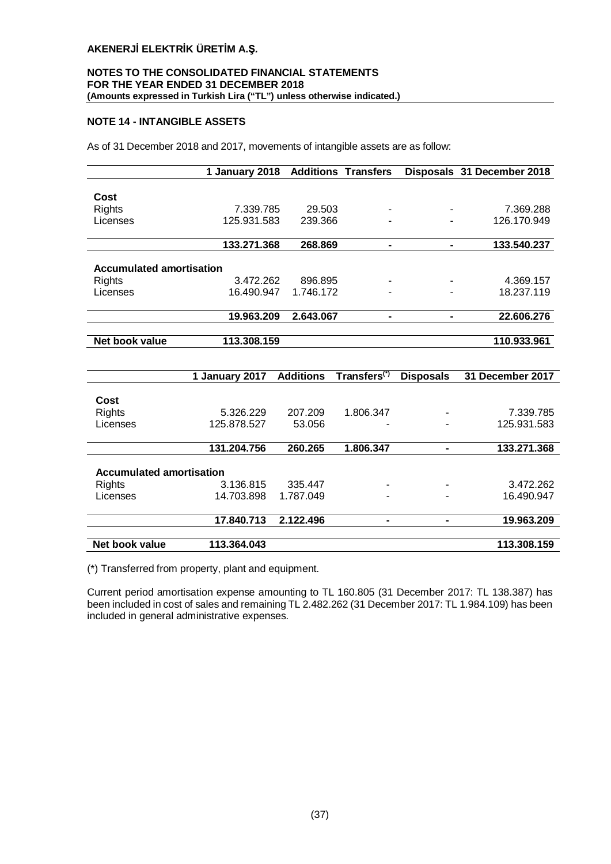## **NOTES TO THE CONSOLIDATED FINANCIAL STATEMENTS FOR THE YEAR ENDED 31 DECEMBER 2018 (Amounts expressed in Turkish Lira ("TL") unless otherwise indicated.)**

## **NOTE 14 - INTANGIBLE ASSETS**

As of 31 December 2018 and 2017, movements of intangible assets are as follow:

|                                 | 1 January 2018 | <b>Additions Transfers</b> |                |   | Disposals 31 December 2018 |
|---------------------------------|----------------|----------------------------|----------------|---|----------------------------|
|                                 |                |                            |                |   |                            |
| Cost                            |                |                            |                |   |                            |
| <b>Rights</b>                   | 7.339.785      | 29.503                     | ۰              | ۰ | 7.369.288                  |
| Licenses                        | 125.931.583    | 239.366                    |                |   | 126.170.949                |
|                                 |                |                            |                |   |                            |
|                                 | 133.271.368    | 268.869                    | $\blacksquare$ |   | 133.540.237                |
|                                 |                |                            |                |   |                            |
| <b>Accumulated amortisation</b> |                |                            |                |   |                            |
| <b>Rights</b>                   | 3.472.262      | 896.895                    | ۰              |   | 4.369.157                  |
| Licenses                        | 16.490.947     | 1.746.172                  | ۰              |   | 18.237.119                 |
|                                 |                |                            |                |   |                            |
|                                 | 19.963.209     | 2.643.067                  | $\blacksquare$ |   | 22.606.276                 |
| Net book value                  | 113.308.159    |                            |                |   | 110.933.961                |
|                                 |                |                            |                |   |                            |

|                                 | 1 January 2017 | <b>Additions</b> | Transfers <sup>(*)</sup> | <b>Disposals</b> | 31 December 2017 |
|---------------------------------|----------------|------------------|--------------------------|------------------|------------------|
|                                 |                |                  |                          |                  |                  |
| Cost                            |                |                  |                          |                  |                  |
| <b>Rights</b>                   | 5.326.229      | 207.209          | 1.806.347                |                  | 7.339.785        |
| Licenses                        | 125.878.527    | 53.056           |                          |                  | 125.931.583      |
|                                 | 131.204.756    | 260.265          | 1.806.347                |                  | 133.271.368      |
|                                 |                |                  |                          |                  |                  |
| <b>Accumulated amortisation</b> |                |                  |                          |                  |                  |
| Rights                          | 3.136.815      | 335.447          |                          |                  | 3.472.262        |
| Licenses                        | 14.703.898     | 1.787.049        |                          |                  | 16.490.947       |
|                                 | 17.840.713     | 2.122.496        |                          |                  | 19.963.209       |
|                                 |                |                  |                          |                  |                  |
| Net book value                  | 113.364.043    |                  |                          |                  | 113.308.159      |

(\*) Transferred from property, plant and equipment.

Current period amortisation expense amounting to TL 160.805 (31 December 2017: TL 138.387) has been included in cost of sales and remaining TL 2.482.262 (31 December 2017: TL 1.984.109) has been included in general administrative expenses.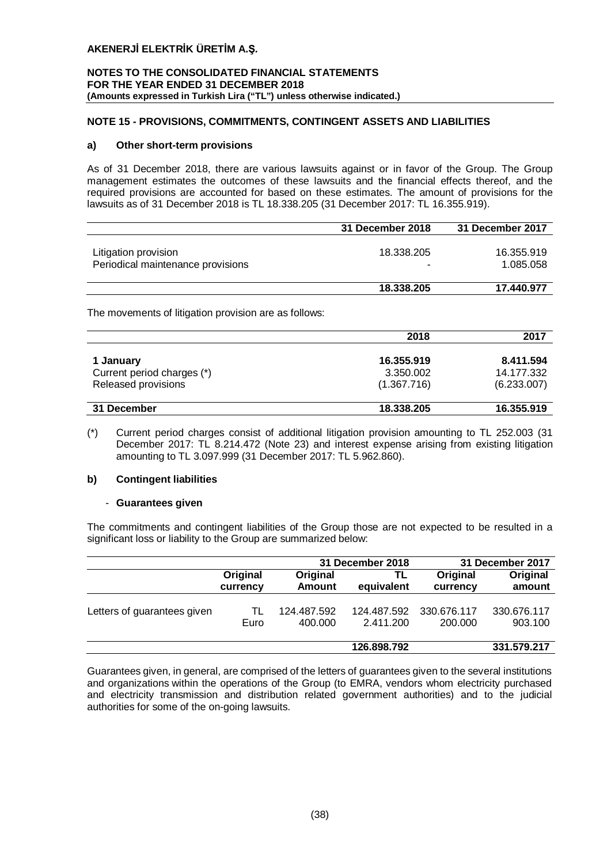## **NOTES TO THE CONSOLIDATED FINANCIAL STATEMENTS FOR THE YEAR ENDED 31 DECEMBER 2018 (Amounts expressed in Turkish Lira ("TL") unless otherwise indicated.)**

## **NOTE 15 - PROVISIONS, COMMITMENTS, CONTINGENT ASSETS AND LIABILITIES**

#### **a) Other short-term provisions**

As of 31 December 2018, there are various lawsuits against or in favor of the Group. The Group management estimates the outcomes of these lawsuits and the financial effects thereof, and the required provisions are accounted for based on these estimates. The amount of provisions for the lawsuits as of 31 December 2018 is TL 18.338.205 (31 December 2017: TL 16.355.919).

|                                                           | 31 December 2018 | 31 December 2017        |
|-----------------------------------------------------------|------------------|-------------------------|
| Litigation provision<br>Periodical maintenance provisions | 18.338.205       | 16.355.919<br>1.085.058 |
|                                                           | 18.338.205       | 17.440.977              |

The movements of litigation provision are as follows:

|                                         | 2018                    | 2017                    |
|-----------------------------------------|-------------------------|-------------------------|
| 1 January<br>Current period charges (*) | 16.355.919<br>3.350.002 | 8.411.594<br>14.177.332 |
| Released provisions                     | (1.367.716)             | (6.233.007)             |
| 31 December                             | 18.338.205              | 16.355.919              |

(\*) Current period charges consist of additional litigation provision amounting to TL 252.003 (31 December 2017: TL 8.214.472 (Note 23) and interest expense arising from existing litigation amounting to TL 3.097.999 (31 December 2017: TL 5.962.860).

## **b) Contingent liabilities**

## - **Guarantees given**

The commitments and contingent liabilities of the Group those are not expected to be resulted in a significant loss or liability to the Group are summarized below:

|                             |          | 31 December 2018 | 31 December 2017 |             |             |
|-----------------------------|----------|------------------|------------------|-------------|-------------|
|                             | Original | Original         | TL               | Original    | Original    |
|                             | currency | <b>Amount</b>    | equivalent       | currency    | amount      |
| Letters of guarantees given | TL       | 124.487.592      | 124.487.592      | 330.676.117 | 330.676.117 |
|                             | Euro     | 400.000          | 2.411.200        | 200.000     | 903.100     |
|                             |          |                  | 126.898.792      |             | 331.579.217 |

Guarantees given, in general, are comprised of the letters of guarantees given to the several institutions and organizations within the operations of the Group (to EMRA, vendors whom electricity purchased and electricity transmission and distribution related government authorities) and to the judicial authorities for some of the on-going lawsuits.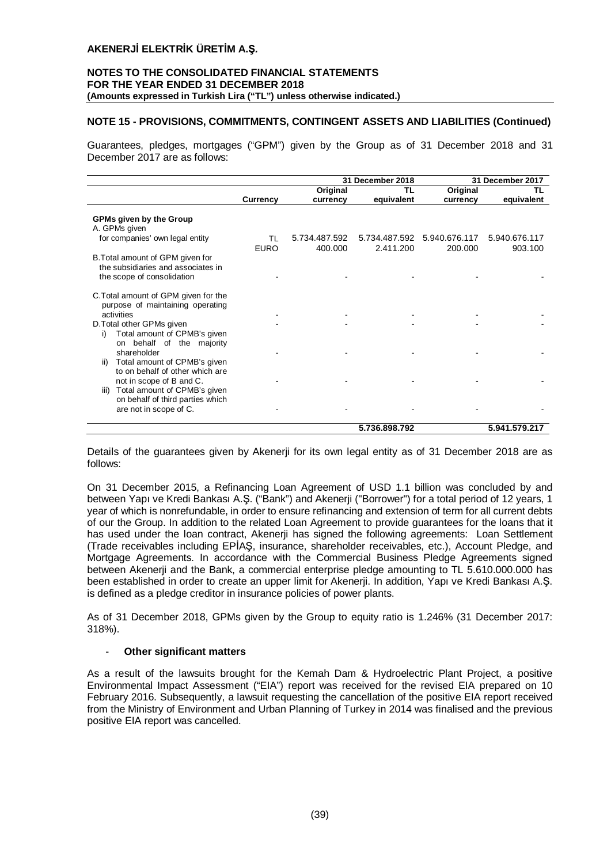#### **NOTES TO THE CONSOLIDATED FINANCIAL STATEMENTS FOR THE YEAR ENDED 31 DECEMBER 2018 (Amounts expressed in Turkish Lira ("TL") unless otherwise indicated.)**

## **NOTE 15 - PROVISIONS, COMMITMENTS, CONTINGENT ASSETS AND LIABILITIES (Continued)**

Guarantees, pledges, mortgages ("GPM") given by the Group as of 31 December 2018 and 31 December 2017 are as follows:

|                                                                                                      |                 |               | 31 December 2018 |               | 31 December 2017 |
|------------------------------------------------------------------------------------------------------|-----------------|---------------|------------------|---------------|------------------|
|                                                                                                      |                 | Original      | ΤL               | Original      | ΤL               |
|                                                                                                      | <b>Currency</b> | currency      | equivalent       | currency      | equivalent       |
| <b>GPMs given by the Group</b><br>A. GPMs given                                                      |                 |               |                  |               |                  |
| for companies' own legal entity                                                                      | TL              | 5.734.487.592 | 5.734.487.592    | 5.940.676.117 | 5.940.676.117    |
|                                                                                                      | <b>EURO</b>     | 400.000       | 2.411.200        | 200.000       | 903.100          |
| B. Total amount of GPM given for<br>the subsidiaries and associates in<br>the scope of consolidation |                 |               |                  |               |                  |
| C. Total amount of GPM given for the<br>purpose of maintaining operating<br>activities               |                 |               |                  |               |                  |
| D. Total other GPMs given<br>Total amount of CPMB's given<br>i)<br>on behalf of the majority         |                 |               |                  |               |                  |
| shareholder<br>Total amount of CPMB's given<br>ii)<br>to on behalf of other which are                |                 |               |                  |               |                  |
| not in scope of B and C.<br>Total amount of CPMB's given<br>iii)<br>on behalf of third parties which |                 |               |                  |               |                  |
| are not in scope of C.                                                                               |                 |               |                  |               |                  |
|                                                                                                      |                 |               | 5.736.898.792    |               | 5.941.579.217    |

Details of the guarantees given by Akenerji for its own legal entity as of 31 December 2018 are as follows:

On 31 December 2015, a Refinancing Loan Agreement of USD 1.1 billion was concluded by and between Yapı ve Kredi Bankası A.Ş. ("Bank") and Akenerji ("Borrower") for a total period of 12 years, 1 year of which is nonrefundable, in order to ensure refinancing and extension of term for all current debts of our the Group. In addition to the related Loan Agreement to provide guarantees for the loans that it has used under the loan contract, Akenerji has signed the following agreements: Loan Settlement (Trade receivables including EPİAŞ, insurance, shareholder receivables, etc.), Account Pledge, and Mortgage Agreements. In accordance with the Commercial Business Pledge Agreements signed between Akenerji and the Bank, a commercial enterprise pledge amounting to TL 5.610.000.000 has been established in order to create an upper limit for Akenerji. In addition, Yapı ve Kredi Bankası A.Ş. is defined as a pledge creditor in insurance policies of power plants.

As of 31 December 2018, GPMs given by the Group to equity ratio is 1.246% (31 December 2017: 318%).

## - **Other significant matters**

As a result of the lawsuits brought for the Kemah Dam & Hydroelectric Plant Project, a positive Environmental Impact Assessment ("EIA") report was received for the revised EIA prepared on 10 February 2016. Subsequently, a lawsuit requesting the cancellation of the positive EIA report received from the Ministry of Environment and Urban Planning of Turkey in 2014 was finalised and the previous positive EIA report was cancelled.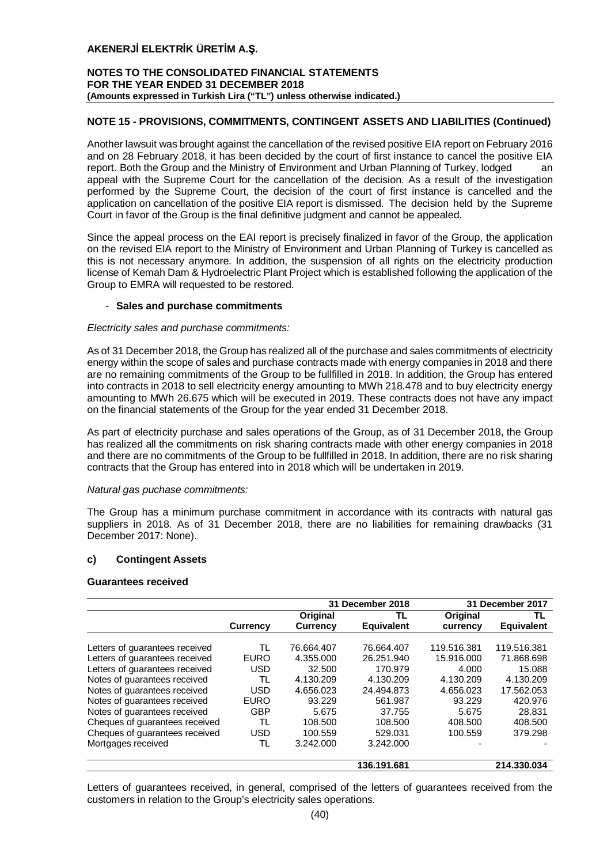## **NOTES TO THE CONSOLIDATED FINANCIAL STATEMENTS FOR THE YEAR ENDED 31 DECEMBER 2018 (Amounts expressed in Turkish Lira ("TL") unless otherwise indicated.)**

## **NOTE 15 - PROVISIONS, COMMITMENTS, CONTINGENT ASSETS AND LIABILITIES (Continued)**

Another lawsuit was brought against the cancellation of the revised positive EIA report on February 2016 and on 28 February 2018, it has been decided by the court of first instance to cancel the positive EIA report. Both the Group and the Ministry of Environment and Urban Planning of Turkey, lodged an appeal with the Supreme Court for the cancellation of the decision. As a result of the investigation performed by the Supreme Court, the decision of the court of first instance is cancelled and the application on cancellation of the positive EIA report is dismissed. The decision held by the Supreme Court in favor of the Group is the final definitive judgment and cannot be appealed.

Since the appeal process on the EAI report is precisely finalized in favor of the Group, the application on the revised EIA report to the Ministry of Environment and Urban Planning of Turkey is cancelled as this is not necessary anymore. In addition, the suspension of all rights on the electricity production license of Kemah Dam & Hydroelectric Plant Project which is established following the application of the Group to EMRA will requested to be restored.

#### - **Sales and purchase commitments**

#### *Electricity sales and purchase commitments:*

As of 31 December 2018, the Group has realized all of the purchase and sales commitments of electricity energy within the scope of sales and purchase contracts made with energy companies in 2018 and there are no remaining commitments of the Group to be fullfilled in 2018. In addition, the Group has entered into contracts in 2018 to sell electricity energy amounting to MWh 218.478 and to buy electricity energy amounting to MWh 26.675 which will be executed in 2019. These contracts does not have any impact on the financial statements of the Group for the year ended 31 December 2018.

As part of electricity purchase and sales operations of the Group, as of 31 December 2018, the Group has realized all the commitments on risk sharing contracts made with other energy companies in 2018 and there are no commitments of the Group to be fullfilled in 2018. In addition, there are no risk sharing contracts that the Group has entered into in 2018 which will be undertaken in 2019.

## *Natural gas puchase commitments:*

The Group has a minimum purchase commitment in accordance with its contracts with natural gas suppliers in 2018. As of 31 December 2018, there are no liabilities for remaining drawbacks (31 December 2017: None).

## **c) Contingent Assets**

#### **Guarantees received**

|                                |                 |                 | 31 December 2018 |             | 31 December 2017  |
|--------------------------------|-----------------|-----------------|------------------|-------------|-------------------|
|                                |                 | Original        | TL               | Original    | TL                |
|                                | <b>Currency</b> | <b>Currency</b> | Equivalent       | currency    | <b>Equivalent</b> |
|                                |                 |                 |                  |             |                   |
| Letters of quarantees received | TL              | 76.664.407      | 76.664.407       | 119.516.381 | 119.516.381       |
| Letters of guarantees received | <b>EURO</b>     | 4.355.000       | 26.251.940       | 15.916.000  | 71.868.698        |
| Letters of guarantees received | USD             | 32.500          | 170.979          | 4.000       | 15.088            |
| Notes of quarantees received   | TL              | 4.130.209       | 4.130.209        | 4.130.209   | 4.130.209         |
| Notes of guarantees received   | <b>USD</b>      | 4.656.023       | 24.494.873       | 4.656.023   | 17.562.053        |
| Notes of guarantees received   | <b>EURO</b>     | 93.229          | 561.987          | 93.229      | 420.976           |
| Notes of quarantees received   | GBP             | 5.675           | 37.755           | 5.675       | 28.831            |
| Cheques of guarantees received | TL              | 108.500         | 108,500          | 408.500     | 408.500           |
| Cheques of guarantees received | USD             | 100.559         | 529.031          | 100.559     | 379.298           |
| Mortgages received             | TL              | 3.242.000       | 3.242.000        |             |                   |
|                                |                 |                 | 136.191.681      |             | 214.330.034       |

Letters of guarantees received, in general, comprised of the letters of guarantees received from the customers in relation to the Group's electricity sales operations.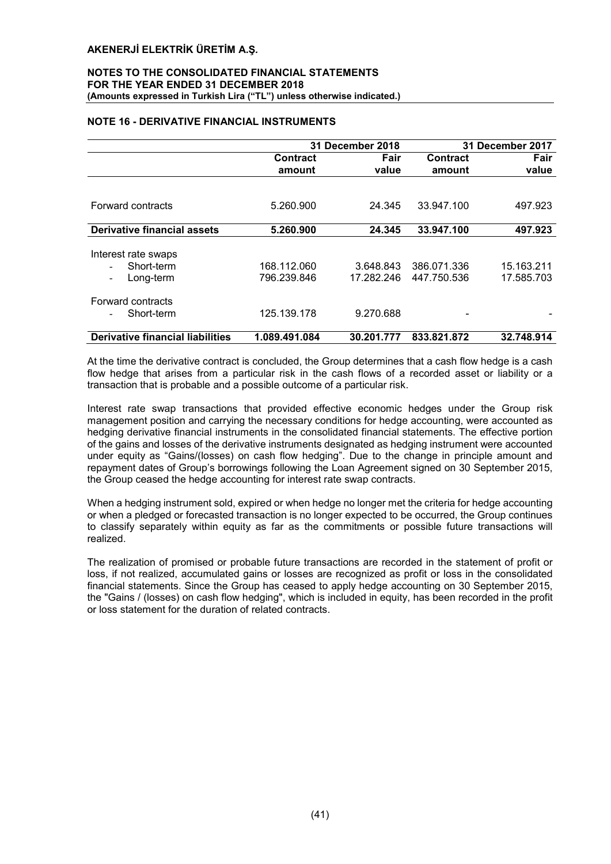#### NOTES TO THE CONSOLIDATED FINANCIAL STATEMENTS FOR THE YEAR ENDED 31 DECEMBER 2018 (Amounts expressed in Turkish Lira ("TL") unless otherwise indicated.)

## NOTE 16 - DERIVATIVE FINANCIAL INSTRUMENTS

|                                         |                 | 31 December 2018 |                 | 31 December 2017 |
|-----------------------------------------|-----------------|------------------|-----------------|------------------|
|                                         | <b>Contract</b> | Fair             | <b>Contract</b> | Fair             |
|                                         | amount          | value            | amount          | value            |
|                                         |                 |                  |                 |                  |
| Forward contracts                       | 5.260.900       | 24.345           | 33.947.100      | 497.923          |
|                                         |                 |                  |                 |                  |
| <b>Derivative financial assets</b>      | 5.260.900       | 24.345           | 33.947.100      | 497.923          |
|                                         |                 |                  |                 |                  |
| Interest rate swaps                     |                 |                  |                 |                  |
| Short-term                              | 168.112.060     | 3.648.843        | 386.071.336     | 15.163.211       |
| Long-term<br>Ξ.                         | 796.239.846     | 17.282.246       | 447.750.536     | 17.585.703       |
| Forward contracts                       |                 |                  |                 |                  |
| Short-term                              | 125.139.178     | 9.270.688        |                 |                  |
| <b>Derivative financial liabilities</b> | 1.089.491.084   | 30.201.777       | 833.821.872     | 32.748.914       |

At the time the derivative contract is concluded, the Group determines that a cash flow hedge is a cash flow hedge that arises from a particular risk in the cash flows of a recorded asset or liability or a transaction that is probable and a possible outcome of a particular risk.

Interest rate swap transactions that provided effective economic hedges under the Group risk management position and carrying the necessary conditions for hedge accounting, were accounted as hedging derivative financial instruments in the consolidated financial statements. The effective portion of the gains and losses of the derivative instruments designated as hedging instrument were accounted under equity as "Gains/(losses) on cash flow hedging". Due to the change in principle amount and repayment dates of Group's borrowings following the Loan Agreement signed on 30 September 2015, the Group ceased the hedge accounting for interest rate swap contracts.

When a hedging instrument sold, expired or when hedge no longer met the criteria for hedge accounting or when a pledged or forecasted transaction is no longer expected to be occurred, the Group continues to classify separately within equity as far as the commitments or possible future transactions will realized.

The realization of promised or probable future transactions are recorded in the statement of profit or loss, if not realized, accumulated gains or losses are recognized as profit or loss in the consolidated financial statements. Since the Group has ceased to apply hedge accounting on 30 September 2015, the "Gains / (losses) on cash flow hedging", which is included in equity, has been recorded in the profit or loss statement for the duration of related contracts.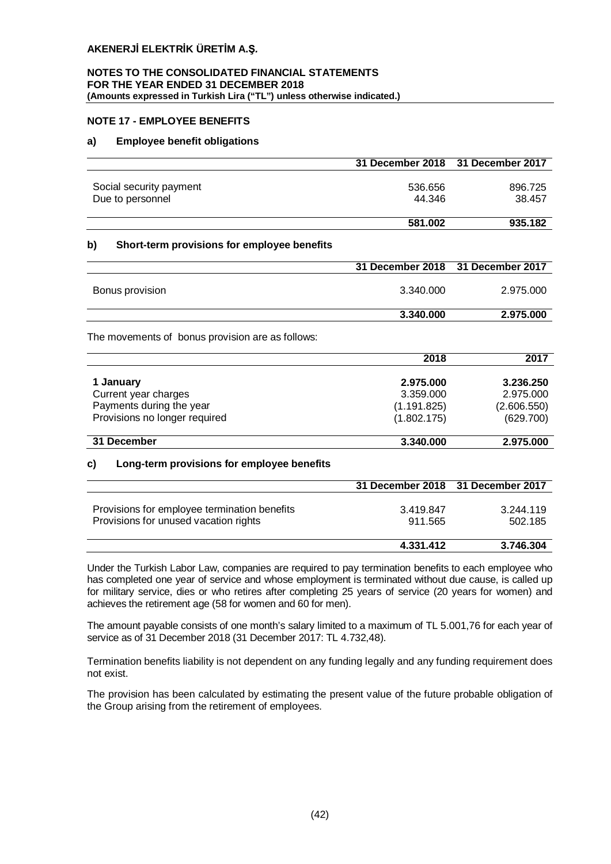#### **NOTES TO THE CONSOLIDATED FINANCIAL STATEMENTS FOR THE YEAR ENDED 31 DECEMBER 2018 (Amounts expressed in Turkish Lira ("TL") unless otherwise indicated.)**

## **NOTE 17 - EMPLOYEE BENEFITS**

## **a) Employee benefit obligations**

|                                                   | 31 December 2018 | 31 December 2017 |
|---------------------------------------------------|------------------|------------------|
| Social security payment                           | 536.656          | 896.725          |
| Due to personnel                                  | 44.346           | 38.457           |
|                                                   |                  |                  |
|                                                   | 581.002          | 935.182          |
| Short-term provisions for employee benefits<br>b) |                  |                  |
|                                                   | 31 December 2018 | 31 December 2017 |
| Bonus provision                                   | 3.340.000        | 2.975.000        |
|                                                   | 3.340.000        | 2.975.000        |
| The movements of bonus provision are as follows:  |                  |                  |
|                                                   | 2018             | 2017             |
| 1 January                                         | 2.975.000        | 3.236.250        |
| Current year charges                              | 3.359.000        | 2.975.000        |
| Payments during the year                          | (1.191.825)      | (2.606.550)      |
| Provisions no longer required                     | (1.802.175)      | (629.700)        |
| 31 December                                       | 3.340.000        | 2.975.000        |
| Long-term provisions for employee benefits<br>C)  |                  |                  |
|                                                   | 31 December 2018 | 31 December 2017 |
| Provisions for employee termination benefits      | 3.419.847        | 3.244.119        |
| Provisions for unused vacation rights             | 911.565          | 502.185          |

Under the Turkish Labor Law, companies are required to pay termination benefits to each employee who has completed one year of service and whose employment is terminated without due cause, is called up for military service, dies or who retires after completing 25 years of service (20 years for women) and achieves the retirement age (58 for women and 60 for men).

**4.331.412 3.746.304**

The amount payable consists of one month's salary limited to a maximum of TL 5.001,76 for each year of service as of 31 December 2018 (31 December 2017: TL 4.732,48).

Termination benefits liability is not dependent on any funding legally and any funding requirement does not exist.

The provision has been calculated by estimating the present value of the future probable obligation of the Group arising from the retirement of employees.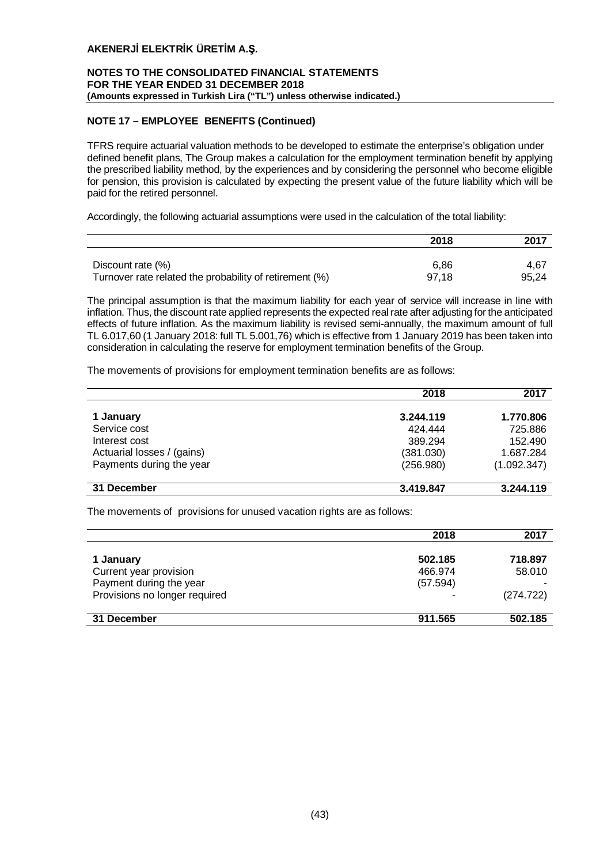## **NOTES TO THE CONSOLIDATED FINANCIAL STATEMENTS FOR THE YEAR ENDED 31 DECEMBER 2018 (Amounts expressed in Turkish Lira ("TL") unless otherwise indicated.)**

## **NOTE 17 – EMPLOYEE BENEFITS (Continued)**

TFRS require actuarial valuation methods to be developed to estimate the enterprise's obligation under defined benefit plans, The Group makes a calculation for the employment termination benefit by applying the prescribed liability method, by the experiences and by considering the personnel who become eligible for pension, this provision is calculated by expecting the present value of the future liability which will be paid for the retired personnel.

Accordingly, the following actuarial assumptions were used in the calculation of the total liability:

|                                                         | 2018  | 2017  |
|---------------------------------------------------------|-------|-------|
|                                                         |       |       |
| Discount rate (%)                                       | 6.86  | 4.67  |
| Turnover rate related the probability of retirement (%) | 97.18 | 95.24 |

The principal assumption is that the maximum liability for each year of service will increase in line with inflation. Thus, the discount rate applied represents the expected real rate after adjusting for the anticipated effects of future inflation. As the maximum liability is revised semi-annually, the maximum amount of full TL 6.017,60 (1 January 2018: full TL 5.001,76) which is effective from 1 January 2019 has been taken into consideration in calculating the reserve for employment termination benefits of the Group.

The movements of provisions for employment termination benefits are as follows:

|                            | 2018      | 2017        |
|----------------------------|-----------|-------------|
| 1 January                  | 3.244.119 | 1.770.806   |
| Service cost               | 424,444   | 725.886     |
| Interest cost              | 389.294   | 152.490     |
| Actuarial losses / (gains) | (381.030) | 1.687.284   |
| Payments during the year   | (256.980) | (1.092.347) |
|                            |           |             |
| 31 December                | 3.419.847 | 3.244.119   |

The movements of provisions for unused vacation rights are as follows:

|                               | 2018     | 2017      |
|-------------------------------|----------|-----------|
| 1 January                     | 502.185  | 718.897   |
| Current year provision        | 466.974  | 58.010    |
| Payment during the year       | (57.594) |           |
| Provisions no longer required |          | (274.722) |
|                               |          |           |
| 31 December                   | 911.565  | 502.185   |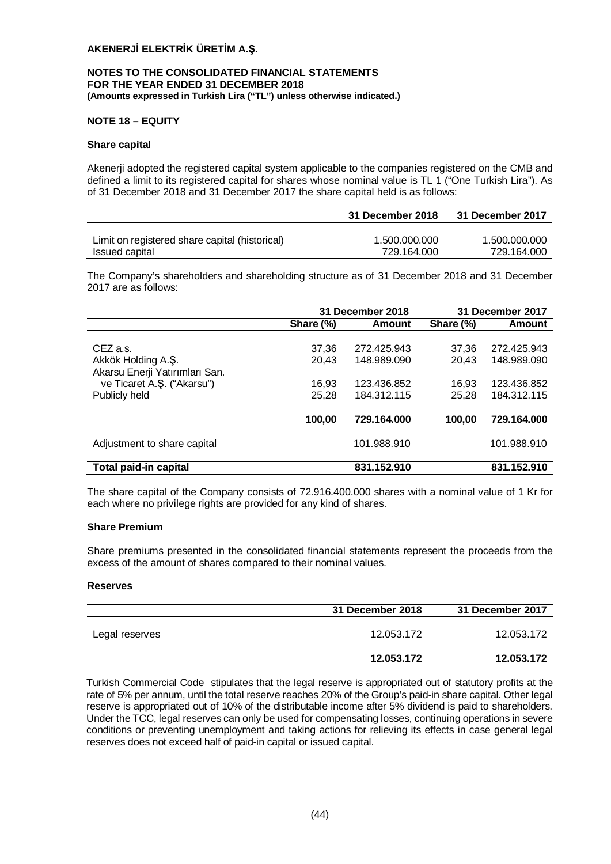## **NOTES TO THE CONSOLIDATED FINANCIAL STATEMENTS FOR THE YEAR ENDED 31 DECEMBER 2018 (Amounts expressed in Turkish Lira ("TL") unless otherwise indicated.)**

## **NOTE 18 – EQUITY**

#### **Share capital**

Akenerji adopted the registered capital system applicable to the companies registered on the CMB and defined a limit to its registered capital for shares whose nominal value is TL 1 ("One Turkish Lira"). As of 31 December 2018 and 31 December 2017 the share capital held is as follows:

|                                                | 31 December 2018 | 31 December 2017 |
|------------------------------------------------|------------------|------------------|
|                                                |                  |                  |
| Limit on registered share capital (historical) | 1.500.000.000    | 1.500.000.000    |
| Issued capital                                 | 729.164.000      | 729.164.000      |

The Company's shareholders and shareholding structure as of 31 December 2018 and 31 December 2017 are as follows:

|                                                                                                                 |                                  | 31 December 2018                                         |                                  | 31 December 2017                                         |
|-----------------------------------------------------------------------------------------------------------------|----------------------------------|----------------------------------------------------------|----------------------------------|----------------------------------------------------------|
|                                                                                                                 | Share (%)                        | Amount                                                   | Share (%)                        | Amount                                                   |
| CEZ a.s.<br>Akkök Holding A.Ş.<br>Akarsu Enerji Yatırımları San.<br>ve Ticaret A.Ş. ("Akarsu")<br>Publicly held | 37,36<br>20.43<br>16.93<br>25.28 | 272.425.943<br>148.989.090<br>123.436.852<br>184.312.115 | 37.36<br>20,43<br>16.93<br>25.28 | 272.425.943<br>148.989.090<br>123.436.852<br>184.312.115 |
|                                                                                                                 | 100,00                           | 729.164.000                                              | 100,00                           | 729.164.000                                              |
| Adjustment to share capital                                                                                     |                                  | 101.988.910                                              |                                  | 101.988.910                                              |
| <b>Total paid-in capital</b>                                                                                    |                                  | 831.152.910                                              |                                  | 831.152.910                                              |

The share capital of the Company consists of 72.916.400.000 shares with a nominal value of 1 Kr for each where no privilege rights are provided for any kind of shares.

## **Share Premium**

Share premiums presented in the consolidated financial statements represent the proceeds from the excess of the amount of shares compared to their nominal values.

## **Reserves**

|                | 31 December 2018 | 31 December 2017 |
|----------------|------------------|------------------|
| Legal reserves | 12.053.172       | 12.053.172       |
|                | 12.053.172       | 12.053.172       |

Turkish Commercial Code stipulates that the legal reserve is appropriated out of statutory profits at the rate of 5% per annum, until the total reserve reaches 20% of the Group's paid-in share capital. Other legal reserve is appropriated out of 10% of the distributable income after 5% dividend is paid to shareholders. Under the TCC, legal reserves can only be used for compensating losses, continuing operations in severe conditions or preventing unemployment and taking actions for relieving its effects in case general legal reserves does not exceed half of paid-in capital or issued capital.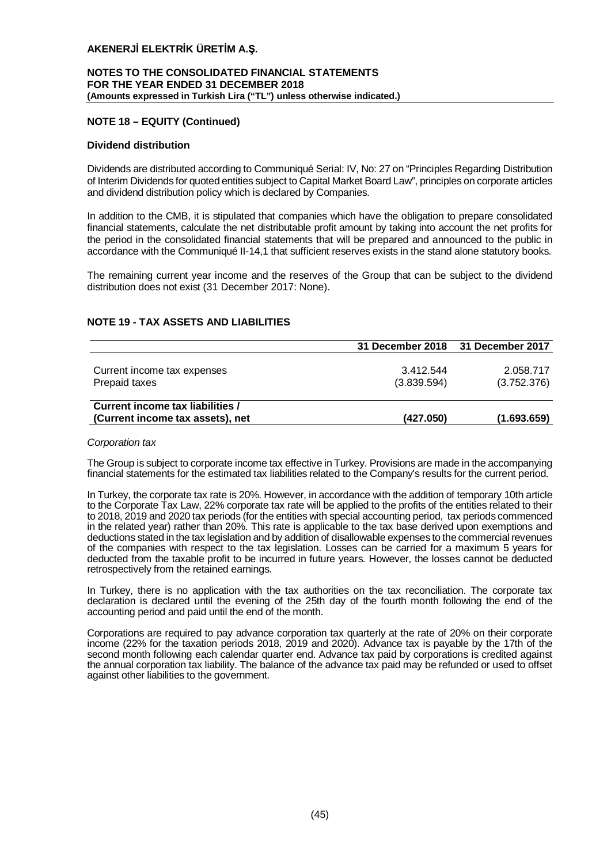## **NOTES TO THE CONSOLIDATED FINANCIAL STATEMENTS FOR THE YEAR ENDED 31 DECEMBER 2018 (Amounts expressed in Turkish Lira ("TL") unless otherwise indicated.)**

## **NOTE 18 – EQUITY (Continued)**

## **Dividend distribution**

Dividends are distributed according to Communiqué Serial: IV, No: 27 on "Principles Regarding Distribution of Interim Dividends for quoted entities subject to Capital Market Board Law", principles on corporate articles and dividend distribution policy which is declared by Companies.

In addition to the CMB, it is stipulated that companies which have the obligation to prepare consolidated financial statements, calculate the net distributable profit amount by taking into account the net profits for the period in the consolidated financial statements that will be prepared and announced to the public in accordance with the Communiqué II-14,1 that sufficient reserves exists in the stand alone statutory books.

The remaining current year income and the reserves of the Group that can be subject to the dividend distribution does not exist (31 December 2017: None).

## **NOTE 19 - TAX ASSETS AND LIABILITIES**

|                                                                      | 31 December 2018 31 December 2017 |                          |
|----------------------------------------------------------------------|-----------------------------------|--------------------------|
| Current income tax expenses<br>Prepaid taxes                         | 3.412.544<br>(3.839.594)          | 2.058.717<br>(3.752.376) |
| Current income tax liabilities /<br>(Current income tax assets), net | (427.050)                         | (1.693.659)              |

#### *Corporation tax*

The Group is subject to corporate income tax effective in Turkey. Provisions are made in the accompanying financial statements for the estimated tax liabilities related to the Company's results for the current period.

In Turkey, the corporate tax rate is 20%. However, in accordance with the addition of temporary 10th article to the Corporate Tax Law, 22% corporate tax rate will be applied to the profits of the entities related to their to 2018, 2019 and 2020 tax periods (for the entities with special accounting period, tax periods commenced in the related year) rather than 20%. This rate is applicable to the tax base derived upon exemptions and deductions stated in the tax legislation and by addition of disallowable expenses to the commercial revenues of the companies with respect to the tax legislation. Losses can be carried for a maximum 5 years for deducted from the taxable profit to be incurred in future years. However, the losses cannot be deducted retrospectively from the retained earnings.

In Turkey, there is no application with the tax authorities on the tax reconciliation. The corporate tax declaration is declared until the evening of the 25th day of the fourth month following the end of the accounting period and paid until the end of the month.

Corporations are required to pay advance corporation tax quarterly at the rate of 20% on their corporate income (22% for the taxation periods 2018, 2019 and 2020). Advance tax is payable by the 17th of the second month following each calendar quarter end. Advance tax paid by corporations is credited against the annual corporation tax liability. The balance of the advance tax paid may be refunded or used to offset against other liabilities to the government.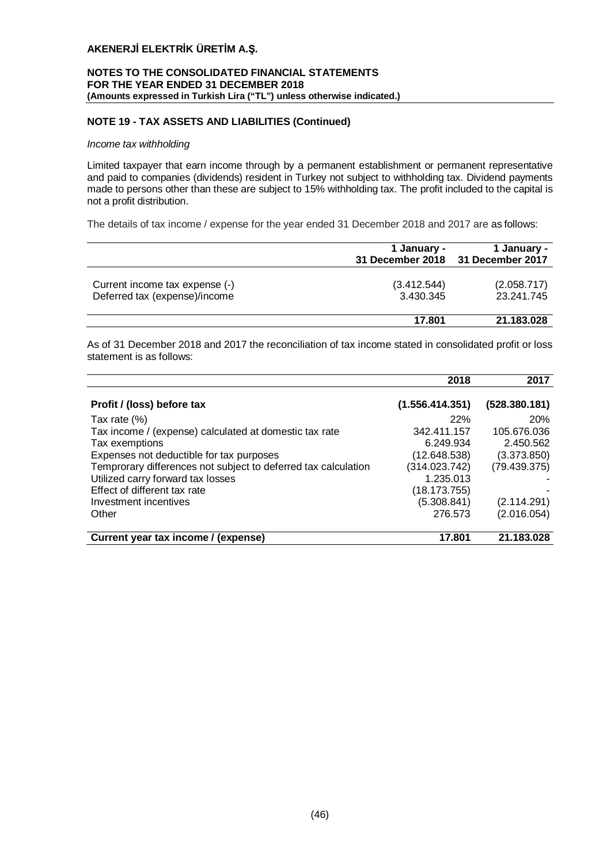## **NOTES TO THE CONSOLIDATED FINANCIAL STATEMENTS FOR THE YEAR ENDED 31 DECEMBER 2018 (Amounts expressed in Turkish Lira ("TL") unless otherwise indicated.)**

## **NOTE 19 - TAX ASSETS AND LIABILITIES (Continued)**

#### *Income tax withholding*

Limited taxpayer that earn income through by a permanent establishment or permanent representative and paid to companies (dividends) resident in Turkey not subject to withholding tax. Dividend payments made to persons other than these are subject to 15% withholding tax. The profit included to the capital is not a profit distribution.

The details of tax income / expense for the year ended 31 December 2018 and 2017 are as follows:

|                                                                 | 1 January -<br>31 December 2018 | 1 January -<br>31 December 2017 |
|-----------------------------------------------------------------|---------------------------------|---------------------------------|
| Current income tax expense (-)<br>Deferred tax (expense)/income | (3.412.544)<br>3.430.345        | (2.058.717)<br>23.241.745       |
|                                                                 | 17.801                          | 21.183.028                      |

As of 31 December 2018 and 2017 the reconciliation of tax income stated in consolidated profit or loss statement is as follows:

|                                                                | 2018            | 2017          |
|----------------------------------------------------------------|-----------------|---------------|
| Profit / (loss) before tax                                     | (1.556.414.351) | (528.380.181) |
| Tax rate $(\%)$                                                | 22%             | <b>20%</b>    |
| Tax income / (expense) calculated at domestic tax rate         | 342.411.157     | 105.676.036   |
| Tax exemptions                                                 | 6.249.934       | 2.450.562     |
| Expenses not deductible for tax purposes                       | (12.648.538)    | (3.373.850)   |
| Temprorary differences not subject to deferred tax calculation | (314.023.742)   | (79.439.375)  |
| Utilized carry forward tax losses                              | 1.235.013       |               |
| Effect of different tax rate                                   | (18.173.755)    |               |
| Investment incentives                                          | (5.308.841)     | (2.114.291)   |
| Other                                                          | 276.573         | (2.016.054)   |
| Current year tax income / (expense)                            | 17.801          | 21.183.028    |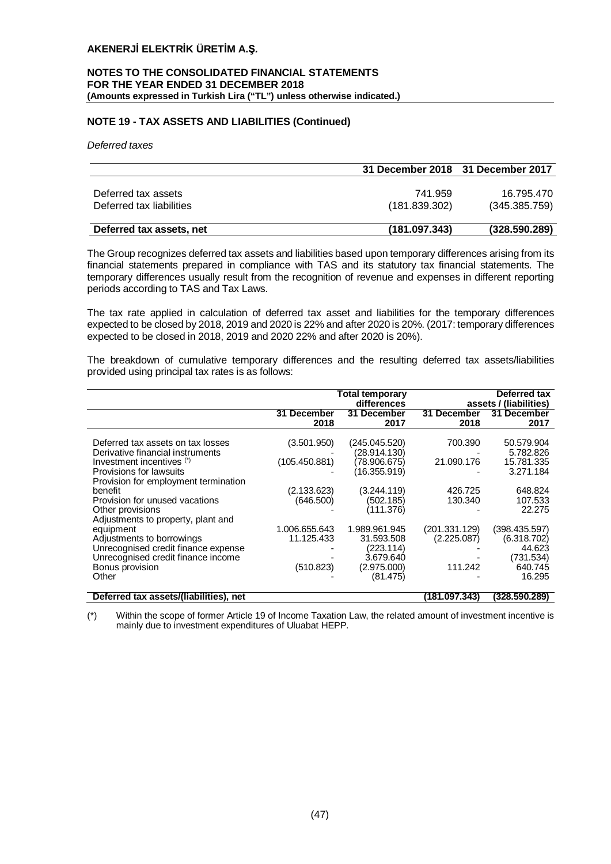#### **NOTES TO THE CONSOLIDATED FINANCIAL STATEMENTS FOR THE YEAR ENDED 31 DECEMBER 2018 (Amounts expressed in Turkish Lira ("TL") unless otherwise indicated.)**

## **NOTE 19 - TAX ASSETS AND LIABILITIES (Continued)**

*Deferred taxes*

|                          | 31 December 2018 31 December 2017 |               |
|--------------------------|-----------------------------------|---------------|
|                          |                                   |               |
| Deferred tax assets      | 741.959                           | 16.795.470    |
| Deferred tax liabilities | (181.839.302)                     | (345.385.759) |
|                          |                                   |               |
| Deferred tax assets, net | (181.097.343)                     | (328.590.289) |

The Group recognizes deferred tax assets and liabilities based upon temporary differences arising from its financial statements prepared in compliance with TAS and its statutory tax financial statements. The temporary differences usually result from the recognition of revenue and expenses in different reporting periods according to TAS and Tax Laws.

The tax rate applied in calculation of deferred tax asset and liabilities for the temporary differences expected to be closed by 2018, 2019 and 2020 is 22% and after 2020 is 20%. (2017: temporary differences expected to be closed in 2018, 2019 and 2020 22% and after 2020 is 20%).

The breakdown of cumulative temporary differences and the resulting deferred tax assets/liabilities provided using principal tax rates is as follows:

|                                                                                                                                                                                                                    |                                                          | Total temporary<br>differences                                                            |                                             | Deferred tax<br>assets / (liabilities)                                   |
|--------------------------------------------------------------------------------------------------------------------------------------------------------------------------------------------------------------------|----------------------------------------------------------|-------------------------------------------------------------------------------------------|---------------------------------------------|--------------------------------------------------------------------------|
|                                                                                                                                                                                                                    | 31 December<br>2018                                      | 31 December<br>2017                                                                       | 31 December<br>2018                         | 31 December<br>2017                                                      |
| Deferred tax assets on tax losses<br>Derivative financial instruments<br>Investment incentives (*)<br>Provisions for lawsuits<br>Provision for employment termination<br>benefit<br>Provision for unused vacations | (3.501.950)<br>(105.450.881)<br>(2.133.623)<br>(646.500) | (245.045.520)<br>(28.914.130)<br>(78.906.675)<br>(16.355.919)<br>(3.244.119)<br>(502.185) | 700.390<br>21.090.176<br>426.725<br>130.340 | 50.579.904<br>5.782.826<br>15.781.335<br>3.271.184<br>648.824<br>107.533 |
| Other provisions<br>Adjustments to property, plant and                                                                                                                                                             |                                                          | (111.376)                                                                                 |                                             | 22,275                                                                   |
| equipment<br>Adjustments to borrowings<br>Unrecognised credit finance expense<br>Unrecognised credit finance income                                                                                                | 1.006.655.643<br>11.125.433                              | 1.989.961.945<br>31.593.508<br>(223.114)<br>3.679.640                                     | (201.331.129)<br>(2.225.087)                | (398.435.597)<br>(6.318.702)<br>44.623<br>(731.534)                      |
| Bonus provision<br>Other                                                                                                                                                                                           | (510.823)                                                | (2.975.000)<br>(81.475)                                                                   | 111.242                                     | 640.745<br>16.295                                                        |
| Deferred tax assets/(liabilities), net                                                                                                                                                                             |                                                          |                                                                                           | (181.097.343)                               | (328.590.289)                                                            |

(\*) Within the scope of former Article 19 of Income Taxation Law, the related amount of investment incentive is mainly due to investment expenditures of Uluabat HEPP.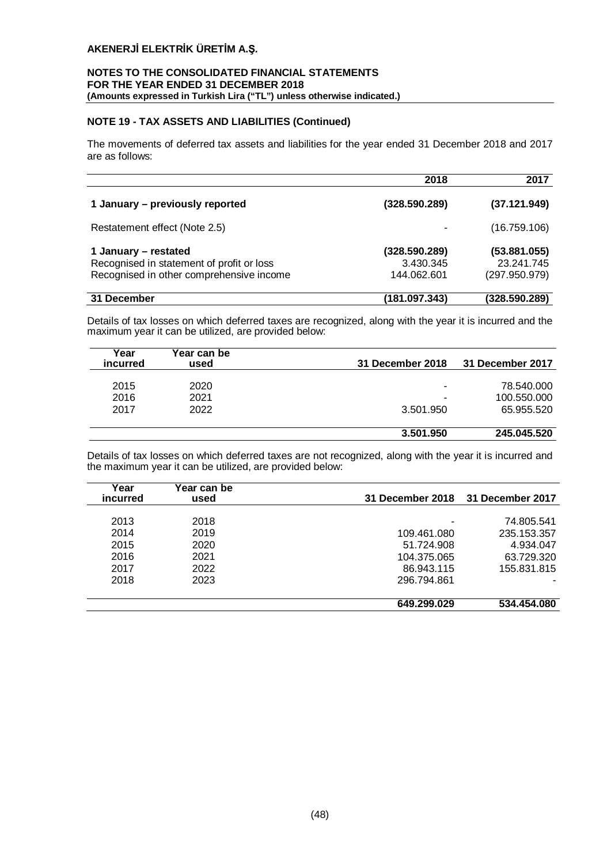## **NOTES TO THE CONSOLIDATED FINANCIAL STATEMENTS FOR THE YEAR ENDED 31 DECEMBER 2018 (Amounts expressed in Turkish Lira ("TL") unless otherwise indicated.)**

## **NOTE 19 - TAX ASSETS AND LIABILITIES (Continued)**

The movements of deferred tax assets and liabilities for the year ended 31 December 2018 and 2017 are as follows:

|                                                                                                               | 2018                                      | 2017                                        |
|---------------------------------------------------------------------------------------------------------------|-------------------------------------------|---------------------------------------------|
| 1 January - previously reported                                                                               | (328.590.289)                             | (37.121.949)                                |
| Restatement effect (Note 2.5)                                                                                 |                                           | (16.759.106)                                |
| 1 January – restated<br>Recognised in statement of profit or loss<br>Recognised in other comprehensive income | (328.590.289)<br>3.430.345<br>144.062.601 | (53.881.055)<br>23.241.745<br>(297.950.979) |
| 31 December                                                                                                   | (181.097.343)                             | (328.590.289)                               |

Details of tax losses on which deferred taxes are recognized, along with the year it is incurred and the maximum year it can be utilized, are provided below:

| Year<br>incurred | Year can be<br>used | 31 December 2018         | 31 December 2017 |
|------------------|---------------------|--------------------------|------------------|
| 2015             | 2020                |                          | 78.540.000       |
| 2016             | 2021                | $\overline{\phantom{0}}$ | 100.550.000      |
| 2017             | 2022                | 3.501.950                | 65.955.520       |
|                  |                     |                          |                  |
|                  |                     | 3.501.950                | 245.045.520      |

Details of tax losses on which deferred taxes are not recognized, along with the year it is incurred and the maximum year it can be utilized, are provided below:

| Year<br><b>incurred</b> | ∕ear can be<br>used | <b>31 December 2018</b> | 31 December 2017 |
|-------------------------|---------------------|-------------------------|------------------|
| 2013                    | 2018                |                         | 74.805.541       |
| 2014                    | 2019                | 109.461.080             | 235.153.357      |
| 2015                    | 2020                | 51.724.908              | 4.934.047        |
| 2016                    | 2021                | 104.375.065             | 63.729.320       |
| 2017                    | 2022                | 86.943.115              | 155.831.815      |
| 2018                    | 2023                | 296.794.861             |                  |
|                         |                     | 649.299.029             | 534.454.080      |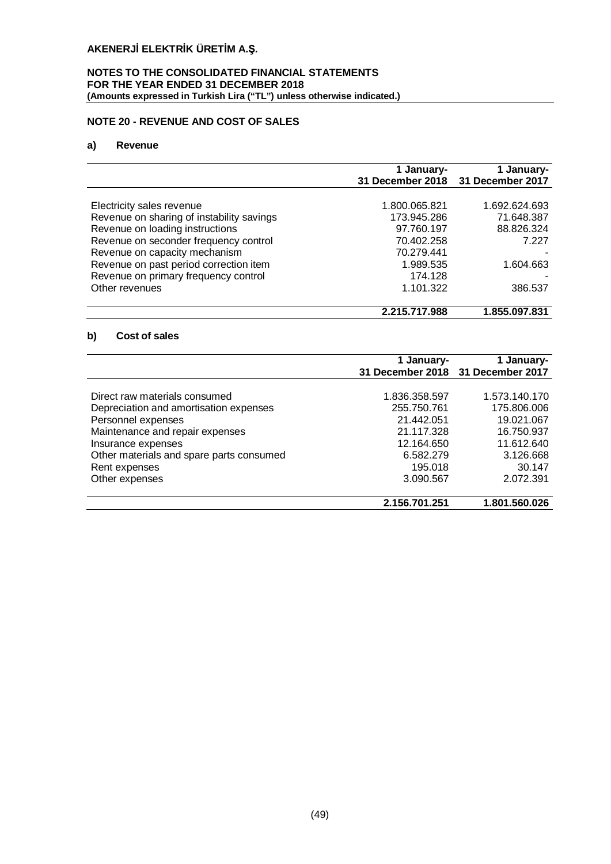## **NOTES TO THE CONSOLIDATED FINANCIAL STATEMENTS FOR THE YEAR ENDED 31 DECEMBER 2018 (Amounts expressed in Turkish Lira ("TL") unless otherwise indicated.)**

## **NOTE 20 - REVENUE AND COST OF SALES**

## **a) Revenue**

|                                           | 1 January-    | 1 January-<br>31 December 2018 31 December 2017 |
|-------------------------------------------|---------------|-------------------------------------------------|
|                                           |               |                                                 |
| Electricity sales revenue                 | 1.800.065.821 | 1.692.624.693                                   |
| Revenue on sharing of instability savings | 173.945.286   | 71.648.387                                      |
| Revenue on loading instructions           | 97.760.197    | 88.826.324                                      |
| Revenue on seconder frequency control     | 70.402.258    | 7.227                                           |
| Revenue on capacity mechanism             | 70.279.441    |                                                 |
| Revenue on past period correction item    | 1.989.535     | 1.604.663                                       |
| Revenue on primary frequency control      | 174.128       |                                                 |
| Other revenues                            | 1.101.322     | 386.537                                         |
|                                           | 2.215.717.988 | 1.855.097.831                                   |

## **b) Cost of sales**

|                                          | 1 January-    | 1 January-<br>31 December 2018 31 December 2017 |
|------------------------------------------|---------------|-------------------------------------------------|
|                                          |               |                                                 |
| Direct raw materials consumed            | 1.836.358.597 | 1.573.140.170                                   |
| Depreciation and amortisation expenses   | 255.750.761   | 175,806,006                                     |
| Personnel expenses                       | 21.442.051    | 19.021.067                                      |
| Maintenance and repair expenses          | 21.117.328    | 16.750.937                                      |
| Insurance expenses                       | 12.164.650    | 11.612.640                                      |
| Other materials and spare parts consumed | 6.582.279     | 3.126.668                                       |
| Rent expenses                            | 195.018       | 30.147                                          |
| Other expenses                           | 3.090.567     | 2.072.391                                       |
|                                          | 2.156.701.251 | 1.801.560.026                                   |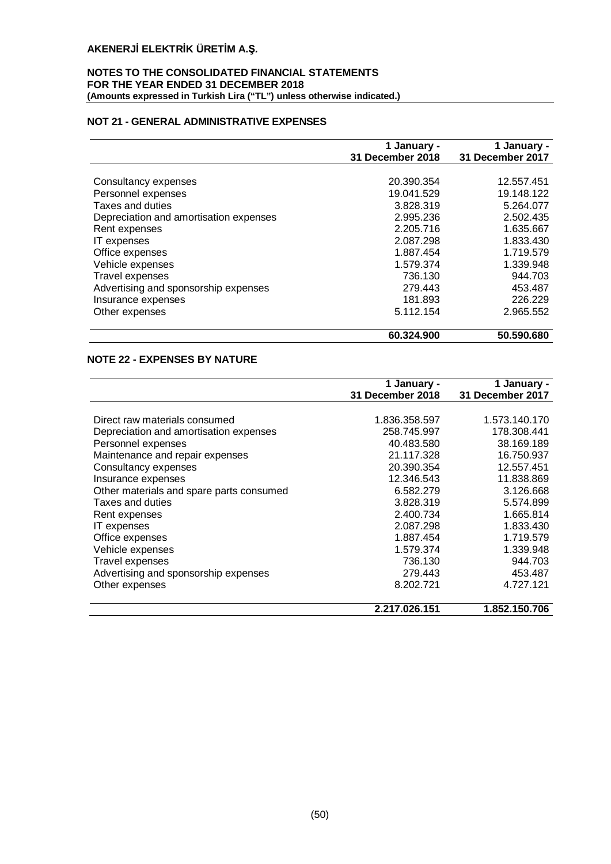## **NOTES TO THE CONSOLIDATED FINANCIAL STATEMENTS FOR THE YEAR ENDED 31 DECEMBER 2018 (Amounts expressed in Turkish Lira ("TL") unless otherwise indicated.)**

## **NOT 21 - GENERAL ADMINISTRATIVE EXPENSES**

|                                        | 1 January -      | 1 January -      |
|----------------------------------------|------------------|------------------|
|                                        | 31 December 2018 | 31 December 2017 |
|                                        |                  |                  |
| Consultancy expenses                   | 20.390.354       | 12.557.451       |
| Personnel expenses                     | 19.041.529       | 19.148.122       |
| Taxes and duties                       | 3.828.319        | 5.264.077        |
| Depreciation and amortisation expenses | 2.995.236        | 2.502.435        |
| Rent expenses                          | 2.205.716        | 1.635.667        |
| IT expenses                            | 2.087.298        | 1.833.430        |
| Office expenses                        | 1.887.454        | 1.719.579        |
| Vehicle expenses                       | 1.579.374        | 1.339.948        |
| Travel expenses                        | 736.130          | 944.703          |
| Advertising and sponsorship expenses   | 279.443          | 453.487          |
| Insurance expenses                     | 181.893          | 226.229          |
| Other expenses                         | 5.112.154        | 2.965.552        |
|                                        | 60.324.900       | 50.590.680       |

## **NOTE 22 - EXPENSES BY NATURE**

|                                          | 1 January -      | 1 January -      |
|------------------------------------------|------------------|------------------|
|                                          | 31 December 2018 | 31 December 2017 |
|                                          |                  |                  |
| Direct raw materials consumed            | 1.836.358.597    | 1.573.140.170    |
| Depreciation and amortisation expenses   | 258.745.997      | 178.308.441      |
| Personnel expenses                       | 40.483.580       | 38.169.189       |
| Maintenance and repair expenses          | 21.117.328       | 16.750.937       |
| Consultancy expenses                     | 20.390.354       | 12.557.451       |
| Insurance expenses                       | 12.346.543       | 11.838.869       |
| Other materials and spare parts consumed | 6.582.279        | 3.126.668        |
| Taxes and duties                         | 3.828.319        | 5.574.899        |
| Rent expenses                            | 2.400.734        | 1.665.814        |
| IT expenses                              | 2.087.298        | 1.833.430        |
| Office expenses                          | 1.887.454        | 1.719.579        |
| Vehicle expenses                         | 1.579.374        | 1.339.948        |
| Travel expenses                          | 736.130          | 944.703          |
| Advertising and sponsorship expenses     | 279.443          | 453.487          |
| Other expenses                           | 8.202.721        | 4.727.121        |
|                                          | 2.217.026.151    | 1.852.150.706    |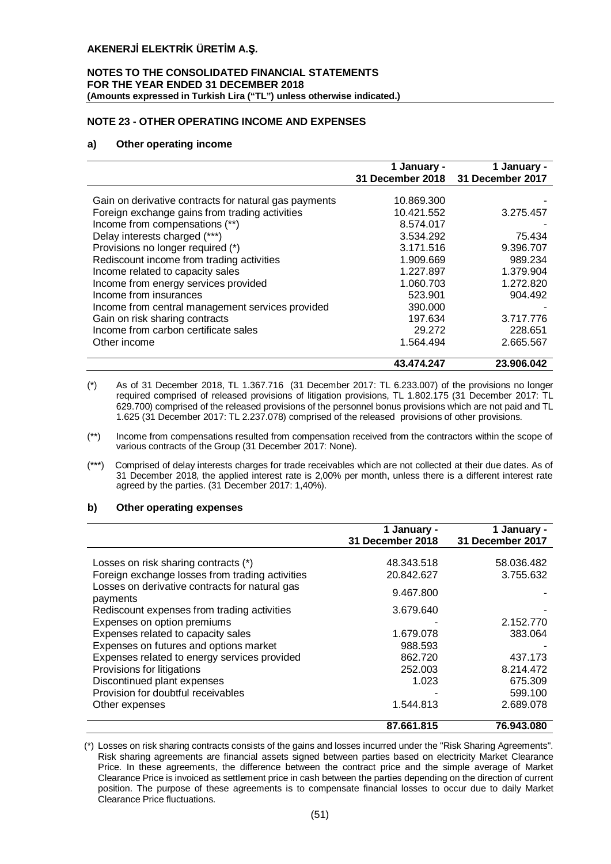#### **NOTES TO THE CONSOLIDATED FINANCIAL STATEMENTS FOR THE YEAR ENDED 31 DECEMBER 2018 (Amounts expressed in Turkish Lira ("TL") unless otherwise indicated.)**

## **NOTE 23 - OTHER OPERATING INCOME AND EXPENSES**

## **a) Other operating income**

|                                                       | 1 January -      | 1 January -      |
|-------------------------------------------------------|------------------|------------------|
|                                                       | 31 December 2018 | 31 December 2017 |
| Gain on derivative contracts for natural gas payments | 10.869.300       |                  |
| Foreign exchange gains from trading activities        | 10.421.552       | 3.275.457        |
| Income from compensations (**)                        | 8.574.017        |                  |
| Delay interests charged (***)                         | 3.534.292        | 75.434           |
| Provisions no longer required (*)                     | 3.171.516        | 9.396.707        |
| Rediscount income from trading activities             | 1.909.669        | 989.234          |
| Income related to capacity sales                      | 1.227.897        | 1.379.904        |
| Income from energy services provided                  | 1.060.703        | 1.272.820        |
| Income from insurances                                | 523.901          | 904.492          |
| Income from central management services provided      | 390.000          |                  |
| Gain on risk sharing contracts                        | 197.634          | 3.717.776        |
| Income from carbon certificate sales                  | 29.272           | 228.651          |
| Other income                                          | 1.564.494        | 2.665.567        |
|                                                       | 43.474.247       | 23.906.042       |

(\*) As of 31 December 2018, TL 1.367.716 (31 December 2017: TL 6.233.007) of the provisions no longer required comprised of released provisions of litigation provisions, TL 1.802.175 (31 December 2017: TL 629.700) comprised of the released provisions of the personnel bonus provisions which are not paid and TL 1.625 (31 December 2017: TL 2.237.078) comprised of the released provisions of other provisions.

(\*\*\*) Comprised of delay interests charges for trade receivables which are not collected at their due dates. As of 31 December 2018, the applied interest rate is 2,00% per month, unless there is a different interest rate agreed by the parties. (31 December 2017: 1,40%).

#### **b) Other operating expenses**

|                                                                                                               | 1 January -<br>31 December 2018 | 1 January -<br>31 December 2017 |
|---------------------------------------------------------------------------------------------------------------|---------------------------------|---------------------------------|
| Losses on risk sharing contracts (*)                                                                          | 48.343.518                      | 58.036.482                      |
| Foreign exchange losses from trading activities<br>Losses on derivative contracts for natural gas<br>payments | 20.842.627<br>9.467.800         | 3.755.632                       |
| Rediscount expenses from trading activities<br>Expenses on option premiums                                    | 3.679.640                       | 2.152.770                       |
| Expenses related to capacity sales                                                                            | 1.679.078<br>988.593            | 383.064                         |
| Expenses on futures and options market<br>Expenses related to energy services provided                        | 862.720                         | 437.173                         |
| Provisions for litigations<br>Discontinued plant expenses                                                     | 252,003<br>1.023                | 8.214.472<br>675.309            |
| Provision for doubtful receivables<br>Other expenses                                                          | 1.544.813                       | 599.100<br>2.689.078            |
|                                                                                                               | 87.661.815                      | 76.943.080                      |

(\*) Losses on risk sharing contracts consists of the gains and losses incurred under the "Risk Sharing Agreements". Risk sharing agreements are financial assets signed between parties based on electricity Market Clearance Price. In these agreements, the difference between the contract price and the simple average of Market Clearance Price is invoiced as settlement price in cash between the parties depending on the direction of current position. The purpose of these agreements is to compensate financial losses to occur due to daily Market Clearance Price fluctuations.

<sup>(\*\*)</sup> Income from compensations resulted from compensation received from the contractors within the scope of various contracts of the Group (31 December 2017: None).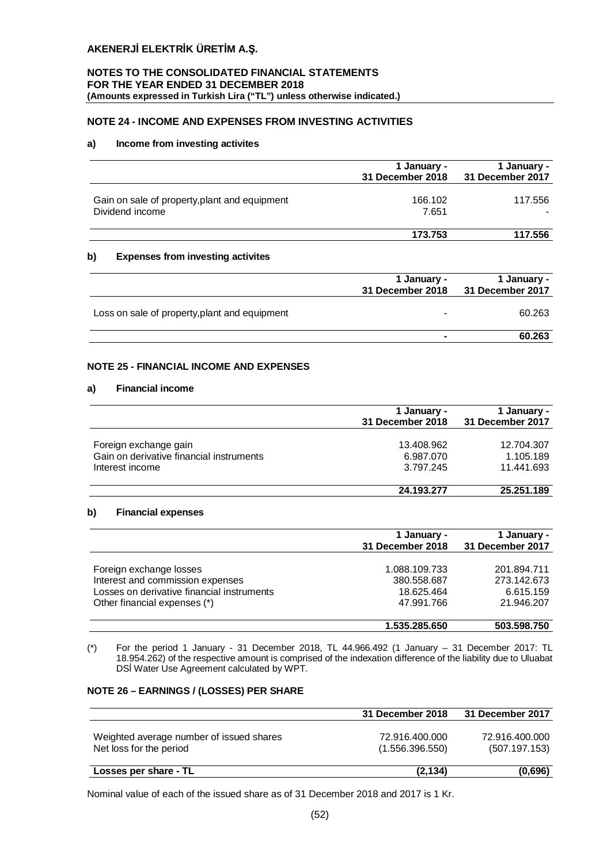## **NOTES TO THE CONSOLIDATED FINANCIAL STATEMENTS FOR THE YEAR ENDED 31 DECEMBER 2018 (Amounts expressed in Turkish Lira ("TL") unless otherwise indicated.)**

## **NOTE 24 - INCOME AND EXPENSES FROM INVESTING ACTIVITIES**

## **a) Income from investing activites**

|                                                                  | 1 January -<br>31 December 2018 | 1 January -<br>31 December 2017 |
|------------------------------------------------------------------|---------------------------------|---------------------------------|
| Gain on sale of property, plant and equipment<br>Dividend income | 166.102<br>7.651                | 117.556                         |
|                                                                  | 173.753                         | 117.556                         |
| b)<br><b>Expenses from investing activites</b>                   |                                 |                                 |
|                                                                  | 1 January -<br>31 December 2018 | 1 January -<br>31 December 2017 |
| Loss on sale of property, plant and equipment                    |                                 | 60.263                          |
|                                                                  |                                 |                                 |

## **NOTE 25 - FINANCIAL INCOME AND EXPENSES**

#### **a) Financial income**

|                                          | 1 January -<br>31 December 2018 | 1 January -<br>31 December 2017 |
|------------------------------------------|---------------------------------|---------------------------------|
|                                          |                                 |                                 |
| Foreign exchange gain                    | 13.408.962                      | 12.704.307                      |
| Gain on derivative financial instruments | 6.987.070                       | 1.105.189                       |
| Interest income                          | 3.797.245                       | 11.441.693                      |
|                                          | 24.193.277                      | 25.251.189                      |

## **b) Financial expenses**

|                                                                                                                                           | 1 January -<br>31 December 2018                          | 1 January -<br>31 December 2017                       |
|-------------------------------------------------------------------------------------------------------------------------------------------|----------------------------------------------------------|-------------------------------------------------------|
| Foreign exchange losses<br>Interest and commission expenses<br>Losses on derivative financial instruments<br>Other financial expenses (*) | 1.088.109.733<br>380.558.687<br>18.625.464<br>47.991.766 | 201.894.711<br>273.142.673<br>6.615.159<br>21.946.207 |
|                                                                                                                                           | 1.535.285.650                                            | 503.598.750                                           |

(\*) For the period 1 January - 31 December 2018, TL 44.966.492 (1 January – 31 December 2017: TL 18.954.262) of the respective amount is comprised of the indexation difference of the liability due to Uluabat DSİ Water Use Agreement calculated by WPT.

## **NOTE 26 – EARNINGS / (LOSSES) PER SHARE**

|                                                                     | 31 December 2018                  | 31 December 2017                |
|---------------------------------------------------------------------|-----------------------------------|---------------------------------|
| Weighted average number of issued shares<br>Net loss for the period | 72.916.400.000<br>(1.556.396.550) | 72.916.400.000<br>(507.197.153) |
| Losses per share - TL                                               | (2.134)                           | (0.696)                         |

Nominal value of each of the issued share as of 31 December 2018 and 2017 is 1 Kr.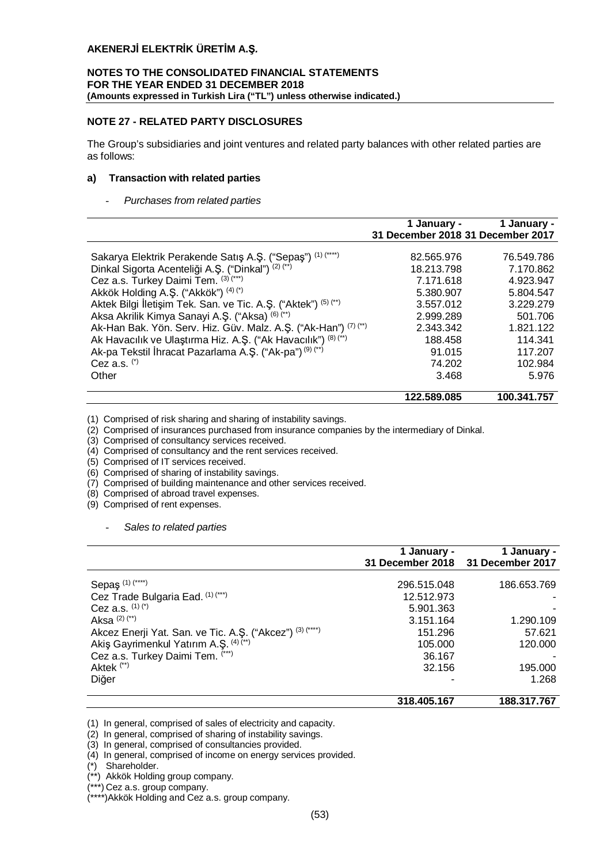## **NOTES TO THE CONSOLIDATED FINANCIAL STATEMENTS FOR THE YEAR ENDED 31 DECEMBER 2018 (Amounts expressed in Turkish Lira ("TL") unless otherwise indicated.)**

## **NOTE 27 - RELATED PARTY DISCLOSURES**

The Group's subsidiaries and joint ventures and related party balances with other related parties are as follows:

## **a) Transaction with related parties**

#### - *Purchases from related parties*

|                                                                                                                                                                                                                                                                                                                                                                                                                                                                                                                                                                       | 1 January -<br>31 December 2018 31 December 2017                                                                                  | 1 January -                                                                                                                      |
|-----------------------------------------------------------------------------------------------------------------------------------------------------------------------------------------------------------------------------------------------------------------------------------------------------------------------------------------------------------------------------------------------------------------------------------------------------------------------------------------------------------------------------------------------------------------------|-----------------------------------------------------------------------------------------------------------------------------------|----------------------------------------------------------------------------------------------------------------------------------|
| Sakarya Elektrik Perakende Satış A.Ş. ("Sepaş") (1) (****)<br>Dinkal Sigorta Acenteliği A.Ş. ("Dinkal") (2) (**)<br>Cez a.s. Turkey Daimi Tem. (3) (***)<br>Akkök Holding A.Ş. ("Akkök") (4) (*)<br>Aktek Bilgi İletişim Tek. San. ve Tic. A.Ş. ("Aktek") (5) (**)<br>Aksa Akrilik Kimya Sanayi A.Ş. ("Aksa) (6) (**)<br>Ak-Han Bak. Yön. Serv. Hiz. Güv. Malz. A.Ş. ("Ak-Han") (7) (**)<br>Ak Havacılık ve Ulaştırma Hiz. A.Ş. ("Ak Havacılık") (8) (**)<br>Ak-pa Tekstil İhracat Pazarlama A.Ş. ("Ak-pa") <sup>(9)</sup> <sup>(**)</sup><br>Cez a.s. $(')$<br>Other | 82.565.976<br>18.213.798<br>7.171.618<br>5.380.907<br>3.557.012<br>2.999.289<br>2.343.342<br>188.458<br>91.015<br>74.202<br>3.468 | 76.549.786<br>7.170.862<br>4.923.947<br>5.804.547<br>3.229.279<br>501.706<br>1.821.122<br>114.341<br>117.207<br>102.984<br>5.976 |
|                                                                                                                                                                                                                                                                                                                                                                                                                                                                                                                                                                       | 122.589.085                                                                                                                       | 100.341.757                                                                                                                      |

(1) Comprised of risk sharing and sharing of instability savings.

(2) Comprised of insurances purchased from insurance companies by the intermediary of Dinkal.

(3) Comprised of consultancy services received.

(4) Comprised of consultancy and the rent services received.

(5) Comprised of IT services received.

(6) Comprised of sharing of instability savings.

(7) Comprised of building maintenance and other services received.

(8) Comprised of abroad travel expenses.

(9) Comprised of rent expenses.

- *Sales to related parties*

|                                                          | 1 January - | 1 January -<br>31 December 2018 31 December 2017 |
|----------------------------------------------------------|-------------|--------------------------------------------------|
|                                                          |             |                                                  |
| Sepaş <sup>(1)(****)</sup>                               | 296.515.048 | 186.653.769                                      |
| Cez Trade Bulgaria Ead. (1) (***)                        | 12.512.973  |                                                  |
| Cez a.s. $(1)(*)$                                        | 5.901.363   |                                                  |
| Aksa $(2)$ $(*)$                                         | 3.151.164   | 1.290.109                                        |
| Akcez Enerji Yat. San. ve Tic. A.Ş. ("Akcez") (3) (****) | 151.296     | 57.621                                           |
| Akiş Gayrimenkul Yatırım A.Ş. (4) (**)                   | 105.000     | 120,000                                          |
| Cez a.s. Turkey Daimi Tem. (***)                         | 36.167      |                                                  |
| Aktek <sup>(**)</sup>                                    | 32.156      | 195.000                                          |
| Diğer                                                    |             | 1.268                                            |
|                                                          | 318.405.167 | 188.317.767                                      |

(1) In general, comprised of sales of electricity and capacity.

(2) In general, comprised of sharing of instability savings.

(3) In general, comprised of consultancies provided.

(4) In general, comprised of income on energy services provided.

(\*) Shareholder.

(\*\*) Akkök Holding group company.

\*\*\*) Cez a.s. group company.

(\*\*\*\*)Akkök Holding and Cez a.s. group company.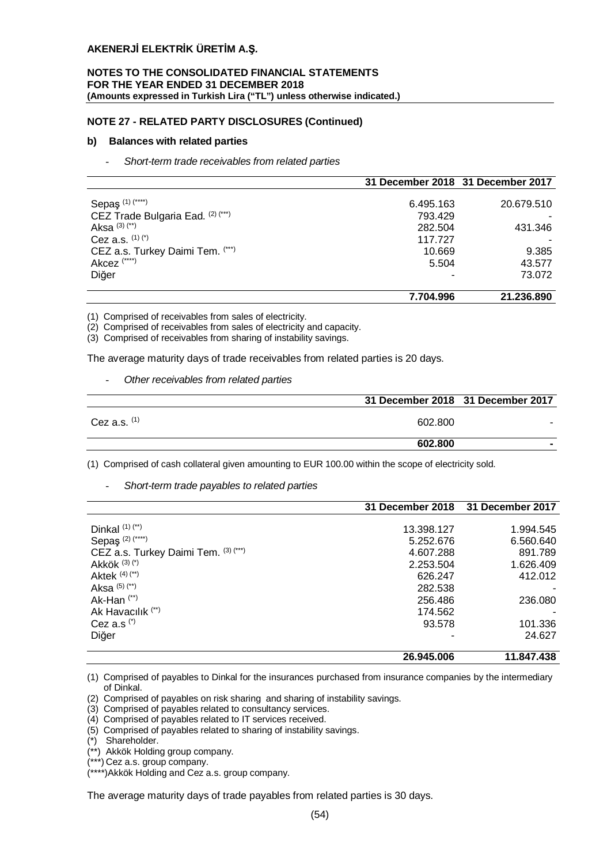#### **NOTES TO THE CONSOLIDATED FINANCIAL STATEMENTS FOR THE YEAR ENDED 31 DECEMBER 2018 (Amounts expressed in Turkish Lira ("TL") unless otherwise indicated.)**

## **NOTE 27 - RELATED PARTY DISCLOSURES (Continued)**

#### **b) Balances with related parties**

- *Short-term trade receivables from related parties*

|                                   | 31 December 2018 31 December 2017 |            |
|-----------------------------------|-----------------------------------|------------|
|                                   |                                   |            |
| Sepaş <sup>(1)(****)</sup>        | 6.495.163                         | 20.679.510 |
| CEZ Trade Bulgaria Ead. (2) (***) | 793.429                           |            |
| Aksa $(3)$ $(*)$                  | 282.504                           | 431.346    |
| Cez a.s. $(1)(')$                 | 117.727                           |            |
| CEZ a.s. Turkey Daimi Tem. (***)  | 10.669                            | 9.385      |
| Akcez <sup>(****)</sup>           | 5.504                             | 43.577     |
| Diğer                             |                                   | 73.072     |
|                                   | 7.704.996                         | 21.236.890 |

(1) Comprised of receivables from sales of electricity.

(2) Comprised of receivables from sales of electricity and capacity.

(3) Comprised of receivables from sharing of instability savings.

The average maturity days of trade receivables from related parties is 20 days.

## - *Other receivables from related parties*

|                | 31 December 2018 31 December 2017 |   |
|----------------|-----------------------------------|---|
| Cez a.s. $(1)$ | 602.800                           |   |
|                | 602.800                           | - |

(1) Comprised of cash collateral given amounting to EUR 100.00 within the scope of electricity sold.

- *Short-term trade payables to related parties*

|                                      | <b>31 December 2018</b> | 31 December 2017 |
|--------------------------------------|-------------------------|------------------|
|                                      |                         |                  |
| Dinkal $(1)$ $(*)$                   | 13.398.127              | 1.994.545        |
| Sepaş <sup>(2)(****)</sup>           | 5.252.676               | 6.560.640        |
| CEZ a.s. Turkey Daimi Tem. (3) (***) | 4.607.288               | 891.789          |
| Akkök $(3)(*)$                       | 2.253.504               | 1.626.409        |
| Aktek $(4)$ $(*)$                    | 626.247                 | 412.012          |
| Aksa $(5)$ $(**)$                    | 282.538                 |                  |
| Ak-Han <sup>(**)</sup>               | 256.486                 | 236,080          |
| Ak Havacılık <sup>(**)</sup>         | 174.562                 |                  |
| Cez a.s $(*)$                        | 93.578                  | 101.336          |
| Diğer                                |                         | 24.627           |
|                                      | 26.945.006              | 11.847.438       |

(1) Comprised of payables to Dinkal for the insurances purchased from insurance companies by the intermediary of Dinkal.

(2) Comprised of payables on risk sharing and sharing of instability savings.

- (3) Comprised of payables related to consultancy services.
- (4) Comprised of payables related to IT services received.
- (5) Comprised of payables related to sharing of instability savings.
- (\*) Shareholder.
- (\*\*) Akkök Holding group company.
- (\*\*\*) Cez a.s. group company.
- (\*\*\*\*)Akkök Holding and Cez a.s. group company.

The average maturity days of trade payables from related parties is 30 days.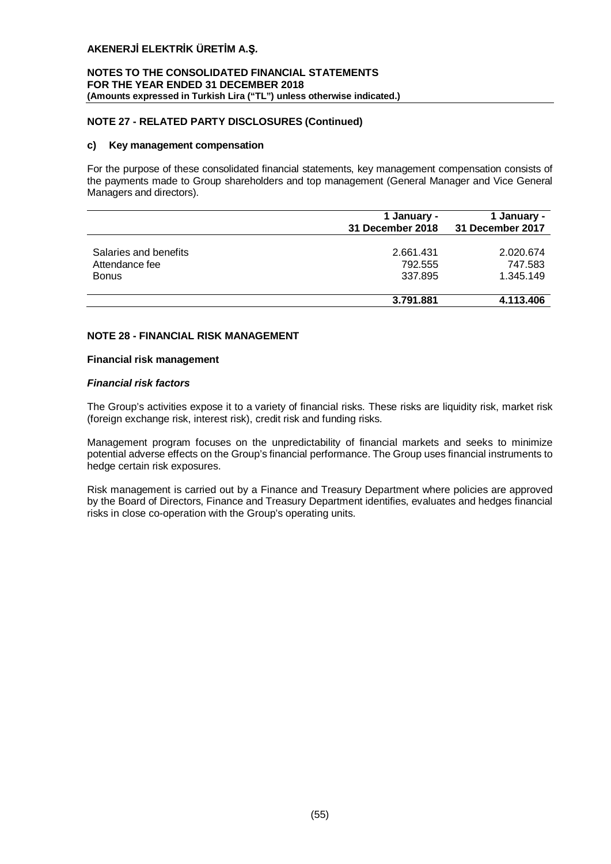## **NOTES TO THE CONSOLIDATED FINANCIAL STATEMENTS FOR THE YEAR ENDED 31 DECEMBER 2018 (Amounts expressed in Turkish Lira ("TL") unless otherwise indicated.)**

## **NOTE 27 - RELATED PARTY DISCLOSURES (Continued)**

#### **c) Key management compensation**

For the purpose of these consolidated financial statements, key management compensation consists of the payments made to Group shareholders and top management (General Manager and Vice General Managers and directors).

| 1 January -<br>31 December 2018 | 1 January -<br>31 December 2017 |
|---------------------------------|---------------------------------|
| 2.661.431                       | 2.020.674                       |
| 792.555                         | 747.583                         |
| 337.895                         | 1.345.149                       |
|                                 | 4.113.406                       |
|                                 | 3.791.881                       |

## **NOTE 28 - FINANCIAL RISK MANAGEMENT**

#### **Financial risk management**

## *Financial risk factors*

The Group's activities expose it to a variety of financial risks. These risks are liquidity risk, market risk (foreign exchange risk, interest risk), credit risk and funding risks.

Management program focuses on the unpredictability of financial markets and seeks to minimize potential adverse effects on the Group's financial performance. The Group uses financial instruments to hedge certain risk exposures.

Risk management is carried out by a Finance and Treasury Department where policies are approved by the Board of Directors, Finance and Treasury Department identifies, evaluates and hedges financial risks in close co-operation with the Group's operating units.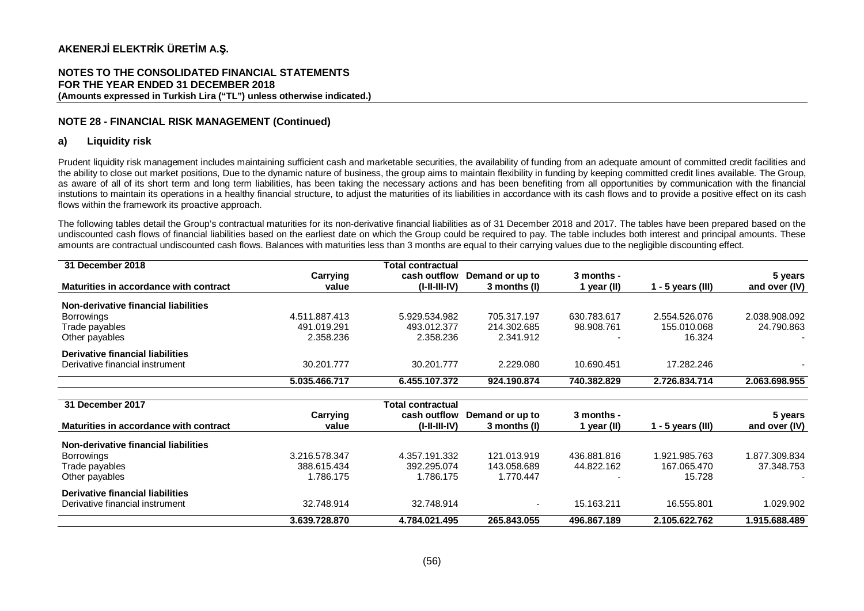#### **NOTES TO THE CONSOLIDATED FINANCIAL STATEMENTS FOR THE YEAR ENDED 31 DECEMBER 2018 (Amounts expressed in Turkish Lira ("TL") unless otherwise indicated.)**

## **NOTE 28 - FINANCIAL RISK MANAGEMENT (Continued)**

## **a) Liquidity risk**

Prudent liquidity risk management includes maintaining sufficient cash and marketable securities, the availability of funding from an adequate amount of committed credit facilities and the ability to close out market positions, Due to the dynamic nature of business, the group aims to maintain flexibility in funding by keeping committed credit lines available. The Group, as aware of all of its short term and long term liabilities, has been taking the necessary actions and has been benefiting from all opportunities by communication with the financial instutions to maintain its operations in a healthy financial structure, to adjust the maturities of its liabilities in accordance with its cash flows and to provide a positive effect on its cash flows within the framework its proactive approach.

The following tables detail the Group's contractual maturities for its non-derivative financial liabilities as of 31 December 2018 and 2017. The tables have been prepared based on the undiscounted cash flows of financial liabilities based on the earliest date on which the Group could be required to pay. The table includes both interest and principal amounts. These amounts are contractual undiscounted cash flows. Balances with maturities less than 3 months are equal to their carrying values due to the negligible discounting effect.

| 31 December 2018                       |               | <b>Total contractual</b> |                 |             |                   |               |
|----------------------------------------|---------------|--------------------------|-----------------|-------------|-------------------|---------------|
|                                        | Carrying      | cash outflow             | Demand or up to | 3 months -  |                   | 5 years       |
| Maturities in accordance with contract | value         | $(I-II-II-IV)$           | 3 months (I)    | l year (II) | 1 - 5 years (III) | and over (IV) |
| Non-derivative financial liabilities   |               |                          |                 |             |                   |               |
| Borrowings                             | 4.511.887.413 | 5.929.534.982            | 705.317.197     | 630.783.617 | 2.554.526.076     | 2.038.908.092 |
| Trade payables                         | 491.019.291   | 493.012.377              | 214.302.685     | 98.908.761  | 155.010.068       | 24.790.863    |
| Other payables                         | 2.358.236     | 2.358.236                | 2.341.912       |             | 16.324            |               |
| Derivative financial liabilities       |               |                          |                 |             |                   |               |
| Derivative financial instrument        | 30.201.777    | 30.201.777               | 2.229.080       | 10.690.451  | 17.282.246        |               |
|                                        | 5.035.466.717 | 6.455.107.372            | 924.190.874     | 740.382.829 | 2.726.834.714     | 2.063.698.955 |

| 31 December 2017                       |               | <b>Total contractual</b> |                 |                          |                   |               |
|----------------------------------------|---------------|--------------------------|-----------------|--------------------------|-------------------|---------------|
|                                        | Carrying      | cash outflow             | Demand or up to | 3 months -               |                   | 5 years       |
| Maturities in accordance with contract | value         | $(I-I-III-IV)$           | 3 months (I)    | l year (II)              | 1 - 5 years (III) | and over (IV) |
| Non-derivative financial liabilities   |               |                          |                 |                          |                   |               |
| Borrowings                             | 3.216.578.347 | 4.357.191.332            | 121.013.919     | 436.881.816              | 1.921.985.763     | 1.877.309.834 |
| Trade payables                         | 388.615.434   | 392.295.074              | 143.058.689     | 44.822.162               | 167.065.470       | 37.348.753    |
| Other payables                         | 1.786.175     | 1.786.175                | 1.770.447       | $\overline{\phantom{0}}$ | 15.728            | $\sim$        |
| Derivative financial liabilities       |               |                          |                 |                          |                   |               |
| Derivative financial instrument        | 32.748.914    | 32.748.914               | $\sim$          | 15.163.211               | 16.555.801        | 1.029.902     |
|                                        | 3.639.728.870 | 4.784.021.495            | 265.843.055     | 496.867.189              | 2.105.622.762     | 1.915.688.489 |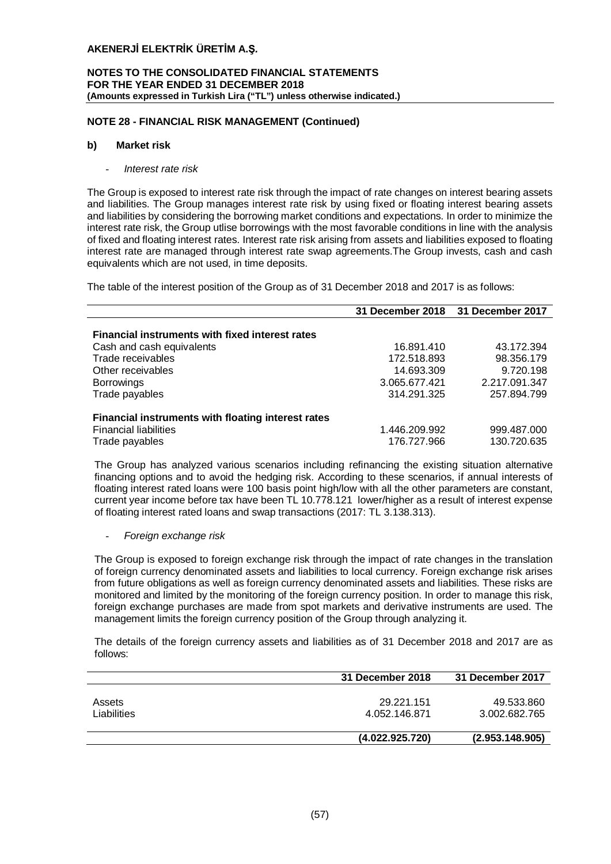## **NOTES TO THE CONSOLIDATED FINANCIAL STATEMENTS FOR THE YEAR ENDED 31 DECEMBER 2018 (Amounts expressed in Turkish Lira ("TL") unless otherwise indicated.)**

## **NOTE 28 - FINANCIAL RISK MANAGEMENT (Continued)**

#### **b) Market risk**

- *Interest rate risk*

The Group is exposed to interest rate risk through the impact of rate changes on interest bearing assets and liabilities. The Group manages interest rate risk by using fixed or floating interest bearing assets and liabilities by considering the borrowing market conditions and expectations. In order to minimize the interest rate risk, the Group utlise borrowings with the most favorable conditions in line with the analysis of fixed and floating interest rates. Interest rate risk arising from assets and liabilities exposed to floating interest rate are managed through interest rate swap agreements.The Group invests, cash and cash equivalents which are not used, in time deposits.

The table of the interest position of the Group as of 31 December 2018 and 2017 is as follows:

|                                                        | 31 December 2018 31 December 2017 |               |
|--------------------------------------------------------|-----------------------------------|---------------|
|                                                        |                                   |               |
| <b>Financial instruments with fixed interest rates</b> |                                   |               |
| Cash and cash equivalents                              | 16.891.410                        | 43.172.394    |
| Trade receivables                                      | 172.518.893                       | 98.356.179    |
| Other receivables                                      | 14.693.309                        | 9.720.198     |
| <b>Borrowings</b>                                      | 3.065.677.421                     | 2.217.091.347 |
| Trade payables                                         | 314.291.325                       | 257.894.799   |
| Financial instruments with floating interest rates     |                                   |               |
| <b>Financial liabilities</b>                           | 1.446.209.992                     | 999.487.000   |
| Trade payables                                         | 176.727.966                       | 130.720.635   |

The Group has analyzed various scenarios including refinancing the existing situation alternative financing options and to avoid the hedging risk. According to these scenarios, if annual interests of floating interest rated loans were 100 basis point high/low with all the other parameters are constant, current year income before tax have been TL 10.778.121 lower/higher as a result of interest expense of floating interest rated loans and swap transactions (2017: TL 3.138.313).

- *Foreign exchange risk*

The Group is exposed to foreign exchange risk through the impact of rate changes in the translation of foreign currency denominated assets and liabilities to local currency. Foreign exchange risk arises from future obligations as well as foreign currency denominated assets and liabilities. These risks are monitored and limited by the monitoring of the foreign currency position. In order to manage this risk, foreign exchange purchases are made from spot markets and derivative instruments are used. The management limits the foreign currency position of the Group through analyzing it.

The details of the foreign currency assets and liabilities as of 31 December 2018 and 2017 are as follows:

|             | 31 December 2018 | 31 December 2017 |
|-------------|------------------|------------------|
|             |                  |                  |
| Assets      | 29.221.151       | 49.533.860       |
| Liabilities | 4.052.146.871    | 3.002.682.765    |
|             |                  |                  |
|             | (4.022.925.720)  | (2.953.148.905)  |
|             |                  |                  |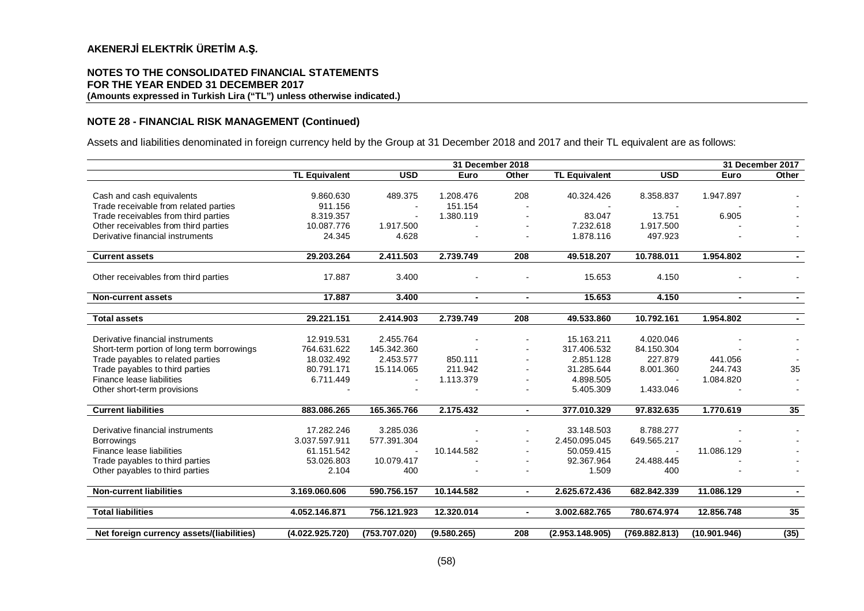#### **NOTES TO THE CONSOLIDATED FINANCIAL STATEMENTS FOR THE YEAR ENDED 31 DECEMBER 2017 (Amounts expressed in Turkish Lira ("TL") unless otherwise indicated.)**

## **NOTE 28 - FINANCIAL RISK MANAGEMENT (Continued)**

Assets and liabilities denominated in foreign currency held by the Group at 31 December 2018 and 2017 and their TL equivalent are as follows:

|                                            |                      | 31 December 2018         |                |                |                      |               | 31 December 2017 |                 |  |
|--------------------------------------------|----------------------|--------------------------|----------------|----------------|----------------------|---------------|------------------|-----------------|--|
|                                            | <b>TL Equivalent</b> | <b>USD</b>               | Euro           | Other          | <b>TL Equivalent</b> | <b>USD</b>    | Euro             | Other           |  |
|                                            |                      |                          |                |                |                      |               |                  |                 |  |
| Cash and cash equivalents                  | 9.860.630            | 489.375                  | 1.208.476      | 208            | 40.324.426           | 8.358.837     | 1.947.897        |                 |  |
| Trade receivable from related parties      | 911.156              | $\overline{\phantom{a}}$ | 151.154        |                |                      |               |                  |                 |  |
| Trade receivables from third parties       | 8.319.357            | $\overline{\phantom{a}}$ | 1.380.119      |                | 83.047               | 13.751        | 6.905            |                 |  |
| Other receivables from third parties       | 10.087.776           | 1.917.500                |                |                | 7.232.618            | 1.917.500     |                  |                 |  |
| Derivative financial instruments           | 24.345               | 4.628                    |                |                | 1.878.116            | 497.923       |                  |                 |  |
| <b>Current assets</b>                      | 29.203.264           | 2.411.503                | 2.739.749      | 208            | 49.518.207           | 10.788.011    | 1.954.802        |                 |  |
| Other receivables from third parties       | 17.887               | 3.400                    |                |                | 15.653               | 4.150         |                  |                 |  |
|                                            |                      |                          |                |                |                      |               |                  |                 |  |
| <b>Non-current assets</b>                  | 17.887               | 3.400                    | $\blacksquare$ | $\blacksquare$ | 15.653               | 4.150         | $\blacksquare$   |                 |  |
| <b>Total assets</b>                        | 29.221.151           | 2.414.903                | 2.739.749      | 208            | 49.533.860           | 10.792.161    | 1.954.802        | $\sim$          |  |
|                                            |                      |                          |                |                |                      |               |                  |                 |  |
| Derivative financial instruments           | 12.919.531           | 2.455.764                |                |                | 15.163.211           | 4.020.046     |                  |                 |  |
| Short-term portion of long term borrowings | 764.631.622          | 145.342.360              |                |                | 317.406.532          | 84.150.304    |                  |                 |  |
| Trade payables to related parties          | 18.032.492           | 2.453.577                | 850.111        |                | 2.851.128            | 227.879       | 441.056          |                 |  |
| Trade payables to third parties            | 80.791.171           | 15.114.065               | 211.942        |                | 31.285.644           | 8.001.360     | 244.743          | 35              |  |
| Finance lease liabilities                  | 6.711.449            | $\overline{\phantom{a}}$ | 1.113.379      |                | 4.898.505            |               | 1.084.820        |                 |  |
| Other short-term provisions                |                      |                          |                |                | 5.405.309            | 1.433.046     |                  |                 |  |
| <b>Current liabilities</b>                 | 883.086.265          | 165.365.766              | 2.175.432      | $\blacksquare$ | 377.010.329          | 97.832.635    | 1.770.619        | 35 <sub>5</sub> |  |
|                                            |                      |                          |                |                |                      |               |                  |                 |  |
| Derivative financial instruments           | 17.282.246           | 3.285.036                |                |                | 33.148.503           | 8.788.277     |                  |                 |  |
| <b>Borrowings</b>                          | 3.037.597.911        | 577.391.304              |                |                | 2.450.095.045        | 649.565.217   |                  |                 |  |
| Finance lease liabilities                  | 61.151.542           |                          | 10.144.582     |                | 50.059.415           |               | 11.086.129       |                 |  |
| Trade payables to third parties            | 53.026.803           | 10.079.417               |                |                | 92.367.964           | 24.488.445    |                  |                 |  |
| Other payables to third parties            | 2.104                | 400                      |                |                | 1.509                | 400           |                  |                 |  |
| <b>Non-current liabilities</b>             | 3.169.060.606        | 590.756.157              | 10.144.582     | $\blacksquare$ | 2.625.672.436        | 682.842.339   | 11.086.129       |                 |  |
|                                            |                      |                          |                |                |                      |               |                  |                 |  |
| <b>Total liabilities</b>                   | 4.052.146.871        | 756.121.923              | 12.320.014     | $\blacksquare$ | 3.002.682.765        | 780.674.974   | 12.856.748       | 35              |  |
|                                            |                      |                          |                |                |                      |               |                  |                 |  |
| Net foreign currency assets/(liabilities)  | (4.022.925.720)      | (753.707.020)            | (9.580.265)    | 208            | (2.953.148.905)      | (769.882.813) | (10.901.946)     | (35)            |  |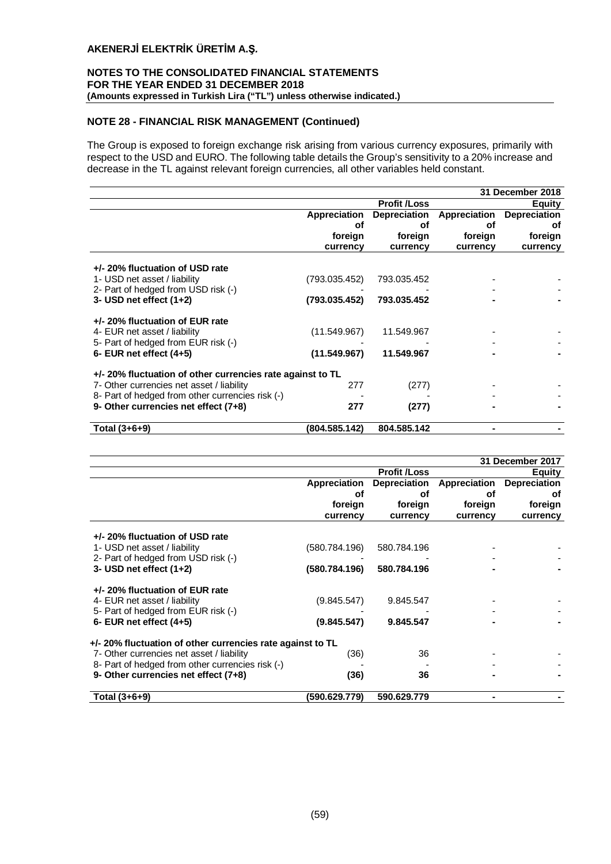## **NOTES TO THE CONSOLIDATED FINANCIAL STATEMENTS FOR THE YEAR ENDED 31 DECEMBER 2018 (Amounts expressed in Turkish Lira ("TL") unless otherwise indicated.)**

## **NOTE 28 - FINANCIAL RISK MANAGEMENT (Continued)**

The Group is exposed to foreign exchange risk arising from various currency exposures, primarily with respect to the USD and EURO. The following table details the Group's sensitivity to a 20% increase and decrease in the TL against relevant foreign currencies, all other variables held constant.

|                                                                                                        | 31 December 2018 |                     |              |                     |  |
|--------------------------------------------------------------------------------------------------------|------------------|---------------------|--------------|---------------------|--|
|                                                                                                        |                  | <b>Profit /Loss</b> |              | <b>Equity</b>       |  |
|                                                                                                        | Appreciation     | <b>Depreciation</b> | Appreciation | <b>Depreciation</b> |  |
|                                                                                                        | οf               | оf                  | οf           | οf                  |  |
|                                                                                                        | foreign          | foreign             | foreign      | foreign             |  |
|                                                                                                        | currency         | currency            | currency     | currency            |  |
| +/- 20% fluctuation of USD rate<br>1- USD net asset / liability                                        | (793.035.452)    | 793.035.452         |              |                     |  |
| 2- Part of hedged from USD risk (-)<br>3- USD net effect $(1+2)$                                       | (793.035.452)    | 793.035.452         |              |                     |  |
| +/- 20% fluctuation of EUR rate<br>4- EUR net asset / liability<br>5- Part of hedged from EUR risk (-) | (11.549.967)     | 11.549.967          |              |                     |  |
| 6- EUR net effect $(4+5)$                                                                              | (11.549.967)     | 11.549.967          |              |                     |  |
| +/- 20% fluctuation of other currencies rate against to TL                                             |                  |                     |              |                     |  |
| 7- Other currencies net asset / liability                                                              | 277              | (277)               |              |                     |  |
| 8- Part of hedged from other currencies risk (-)                                                       |                  |                     |              |                     |  |
| 9- Other currencies net effect (7+8)                                                                   | 277              | (277)               |              |                     |  |
| Total $(3+6+9)$                                                                                        | (804.585.142)    | 804.585.142         |              |                     |  |

| 31 December 2017                                                                         |               |                     |               |                     |  |
|------------------------------------------------------------------------------------------|---------------|---------------------|---------------|---------------------|--|
|                                                                                          |               | <b>Profit /Loss</b> | <b>Equity</b> |                     |  |
|                                                                                          | Appreciation  | <b>Depreciation</b> | Appreciation  | <b>Depreciation</b> |  |
|                                                                                          | οf            | οf                  | οf            | οf                  |  |
|                                                                                          | foreign       | foreign             | foreign       | foreign             |  |
|                                                                                          | currency      | currency            | currency      | currency            |  |
| +/- 20% fluctuation of USD rate<br>1- USD net asset / liability                          | (580.784.196) | 580.784.196         |               |                     |  |
| 2- Part of hedged from USD risk (-)<br>3- USD net effect $(1+2)$                         | (580.784.196) | 580.784.196         |               |                     |  |
| +/- 20% fluctuation of EUR rate<br>4- EUR net asset / liability                          | (9.845.547)   | 9.845.547           |               |                     |  |
| 5- Part of hedged from EUR risk (-)<br>6- EUR net effect $(4+5)$                         | (9.845.547)   | 9.845.547           |               |                     |  |
| +/- 20% fluctuation of other currencies rate against to TL                               |               |                     |               |                     |  |
| 7- Other currencies net asset / liability                                                | (36)          | 36                  |               |                     |  |
| 8- Part of hedged from other currencies risk (-)<br>9- Other currencies net effect (7+8) | (36)          | 36                  |               |                     |  |
| Total (3+6+9)                                                                            | (590.629.779) | 590.629.779         |               |                     |  |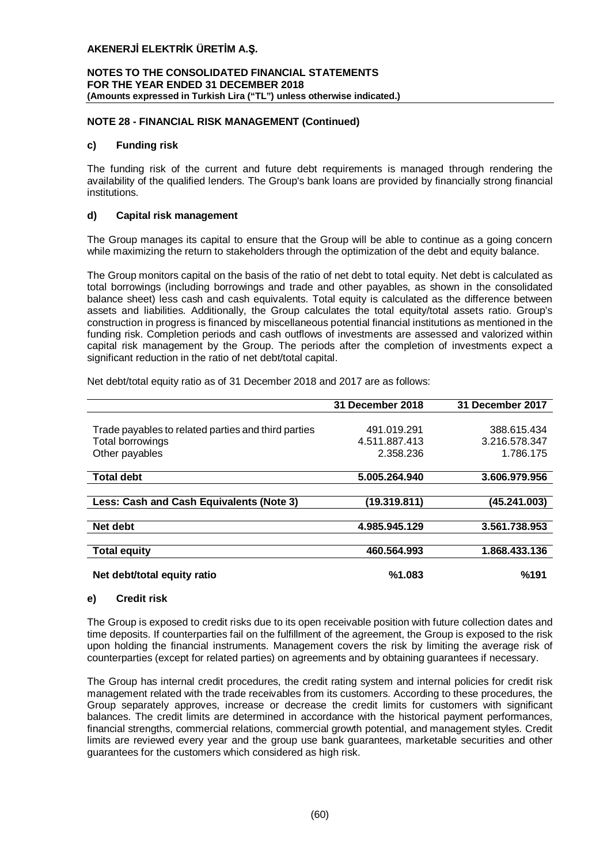## **NOTES TO THE CONSOLIDATED FINANCIAL STATEMENTS FOR THE YEAR ENDED 31 DECEMBER 2018 (Amounts expressed in Turkish Lira ("TL") unless otherwise indicated.)**

## **NOTE 28 - FINANCIAL RISK MANAGEMENT (Continued)**

## **c) Funding risk**

The funding risk of the current and future debt requirements is managed through rendering the availability of the qualified lenders. The Group's bank loans are provided by financially strong financial institutions.

## **d) Capital risk management**

The Group manages its capital to ensure that the Group will be able to continue as a going concern while maximizing the return to stakeholders through the optimization of the debt and equity balance.

The Group monitors capital on the basis of the ratio of net debt to total equity. Net debt is calculated as total borrowings (including borrowings and trade and other payables, as shown in the consolidated balance sheet) less cash and cash equivalents. Total equity is calculated as the difference between assets and liabilities. Additionally, the Group calculates the total equity/total assets ratio. Group's construction in progress is financed by miscellaneous potential financial institutions as mentioned in the funding risk. Completion periods and cash outflows of investments are assessed and valorized within capital risk management by the Group. The periods after the completion of investments expect a significant reduction in the ratio of net debt/total capital.

Net debt/total equity ratio as of 31 December 2018 and 2017 are as follows:

|                                                     | 31 December 2018 | 31 December 2017 |
|-----------------------------------------------------|------------------|------------------|
|                                                     |                  |                  |
| Trade payables to related parties and third parties | 491.019.291      | 388.615.434      |
| Total borrowings                                    | 4.511.887.413    | 3.216.578.347    |
| Other payables                                      | 2.358.236        | 1.786.175        |
|                                                     |                  |                  |
| <b>Total debt</b>                                   | 5.005.264.940    | 3.606.979.956    |
|                                                     |                  |                  |
| Less: Cash and Cash Equivalents (Note 3)            | (19.319.811)     | (45.241.003)     |
|                                                     |                  |                  |
| Net debt                                            | 4.985.945.129    | 3.561.738.953    |
|                                                     |                  |                  |
| <b>Total equity</b>                                 | 460.564.993      | 1.868.433.136    |
|                                                     |                  |                  |
| Net debt/total equity ratio                         | %1.083           | %191             |

## **e) Credit risk**

The Group is exposed to credit risks due to its open receivable position with future collection dates and time deposits. If counterparties fail on the fulfillment of the agreement, the Group is exposed to the risk upon holding the financial instruments. Management covers the risk by limiting the average risk of counterparties (except for related parties) on agreements and by obtaining guarantees if necessary.

The Group has internal credit procedures, the credit rating system and internal policies for credit risk management related with the trade receivables from its customers. According to these procedures, the Group separately approves, increase or decrease the credit limits for customers with significant balances. The credit limits are determined in accordance with the historical payment performances, financial strengths, commercial relations, commercial growth potential, and management styles. Credit limits are reviewed every year and the group use bank guarantees, marketable securities and other guarantees for the customers which considered as high risk.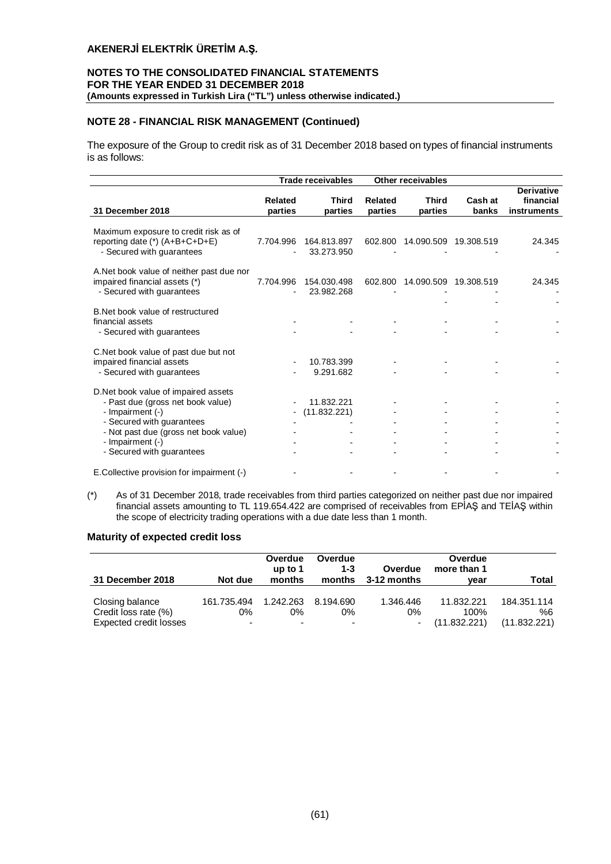## **NOTES TO THE CONSOLIDATED FINANCIAL STATEMENTS FOR THE YEAR ENDED 31 DECEMBER 2018 (Amounts expressed in Turkish Lira ("TL") unless otherwise indicated.)**

## **NOTE 28 - FINANCIAL RISK MANAGEMENT (Continued)**

The exposure of the Group to credit risk as of 31 December 2018 based on types of financial instruments is as follows:

|                                                                         |                    | Trade receivables       |                    | <b>Other receivables</b> |                  |                                               |
|-------------------------------------------------------------------------|--------------------|-------------------------|--------------------|--------------------------|------------------|-----------------------------------------------|
| 31 December 2018                                                        | Related<br>parties | <b>Third</b><br>parties | Related<br>parties | <b>Third</b><br>parties  | Cash at<br>banks | <b>Derivative</b><br>financial<br>instruments |
| Maximum exposure to credit risk as of<br>reporting date (*) (A+B+C+D+E) | 7.704.996          | 164.813.897             | 602.800            | 14.090.509 19.308.519    |                  | 24.345                                        |
| - Secured with guarantees                                               |                    | 33.273.950              |                    |                          |                  |                                               |
| A. Net book value of neither past due nor                               |                    |                         |                    |                          |                  |                                               |
| impaired financial assets (*)                                           | 7.704.996          | 154.030.498             | 602.800            | 14.090.509               | 19.308.519       | 24.345                                        |
| - Secured with guarantees                                               |                    | 23.982.268              |                    |                          |                  |                                               |
|                                                                         |                    |                         |                    |                          |                  |                                               |
| B. Net book value of restructured                                       |                    |                         |                    |                          |                  |                                               |
| financial assets                                                        |                    |                         |                    |                          |                  |                                               |
| - Secured with guarantees                                               |                    |                         |                    |                          |                  |                                               |
|                                                                         |                    |                         |                    |                          |                  |                                               |
| C. Net book value of past due but not                                   |                    |                         |                    |                          |                  |                                               |
| impaired financial assets                                               |                    | 10.783.399              |                    |                          |                  |                                               |
| - Secured with guarantees                                               |                    | 9.291.682               |                    |                          |                  |                                               |
| D.Net book value of impaired assets                                     |                    |                         |                    |                          |                  |                                               |
| - Past due (gross net book value)                                       |                    | 11.832.221              |                    |                          |                  |                                               |
| - Impairment (-)                                                        |                    | (11.832.221)            |                    |                          |                  |                                               |
| - Secured with guarantees                                               |                    |                         |                    |                          |                  |                                               |
| - Not past due (gross net book value)                                   |                    |                         |                    |                          |                  |                                               |
| - Impairment (-)                                                        |                    |                         |                    |                          |                  |                                               |
| - Secured with guarantees                                               |                    |                         |                    |                          |                  |                                               |
| E.Collective provision for impairment (-)                               |                    |                         |                    |                          |                  |                                               |

(\*) As of 31 December 2018, trade receivables from third parties categorized on neither past due nor impaired financial assets amounting to TL 119.654.422 are comprised of receivables from EPİAŞ and TEİAŞ within the scope of electricity trading operations with a due date less than 1 month.

## **Maturity of expected credit loss**

| 31 December 2018                        | Not due                  | Overdue<br>up to $1$<br>months | Overdue<br>$1 - 3$<br>months | Overdue<br>3-12 months | Overdue<br>more than 1<br>vear | Total             |
|-----------------------------------------|--------------------------|--------------------------------|------------------------------|------------------------|--------------------------------|-------------------|
| Closing balance<br>Credit loss rate (%) | 161.735.494<br>0%        | 1.242.263<br>0%                | 8.194.690<br>0%              | 1.346.446<br>0%        | 11.832.221<br>100%             | 184.351.114<br>%6 |
| Expected credit losses                  | $\overline{\phantom{a}}$ | $\blacksquare$                 | $\overline{\phantom{0}}$     | ٠                      | (11.832.221)                   | (11.832.221)      |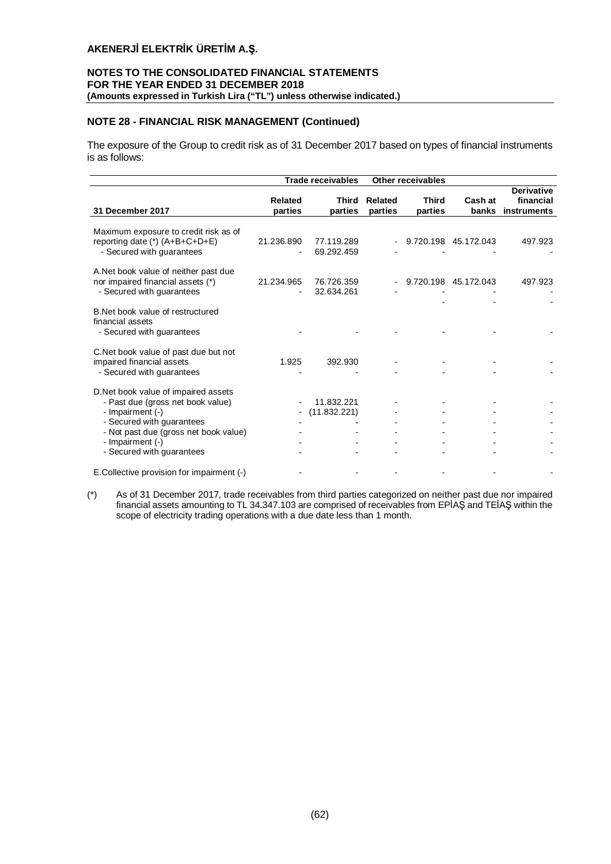## **NOTES TO THE CONSOLIDATED FINANCIAL STATEMENTS FOR THE YEAR ENDED 31 DECEMBER 2018 (Amounts expressed in Turkish Lira ("TL") unless otherwise indicated.)**

## **NOTE 28 - FINANCIAL RISK MANAGEMENT (Continued)**

The exposure of the Group to credit risk as of 31 December 2017 based on types of financial instruments is as follows:

|                                                                                                                                                                                                                     |            | <b>Trade receivables</b>   |         | <b>Other receivables</b> |                      |                   |
|---------------------------------------------------------------------------------------------------------------------------------------------------------------------------------------------------------------------|------------|----------------------------|---------|--------------------------|----------------------|-------------------|
|                                                                                                                                                                                                                     |            |                            |         |                          |                      | <b>Derivative</b> |
|                                                                                                                                                                                                                     | Related    | Third                      | Related | <b>Third</b>             | Cash at              | financial         |
| 31 December 2017                                                                                                                                                                                                    | parties    | parties                    | parties | parties                  | banks                | instruments       |
| Maximum exposure to credit risk as of<br>reporting date (*) (A+B+C+D+E)<br>- Secured with guarantees                                                                                                                | 21.236.890 | 77.119.289<br>69.292.459   |         |                          | 9.720.198 45.172.043 | 497.923           |
| A.Net book value of neither past due<br>nor impaired financial assets (*)<br>- Secured with guarantees                                                                                                              | 21.234.965 | 76.726.359<br>32.634.261   |         |                          | 9.720.198 45.172.043 | 497.923           |
| B. Net book value of restructured<br>financial assets<br>- Secured with guarantees                                                                                                                                  |            |                            |         |                          |                      |                   |
| C. Net book value of past due but not<br>impaired financial assets<br>- Secured with guarantees                                                                                                                     | 1.925      | 392.930                    |         |                          |                      |                   |
| D.Net book value of impaired assets<br>- Past due (gross net book value)<br>- Impairment (-)<br>- Secured with guarantees<br>- Not past due (gross net book value)<br>- Impairment (-)<br>- Secured with guarantees |            | 11.832.221<br>(11.832.221) |         |                          |                      |                   |
| E.Collective provision for impairment (-)                                                                                                                                                                           |            |                            |         |                          |                      |                   |

(\*) As of 31 December 2017, trade receivables from third parties categorized on neither past due nor impaired financial assets amounting to TL 34.347.103 are comprised of receivables from EPİAŞ and TEİAŞ within the scope of electricity trading operations with a due date less than 1 month.